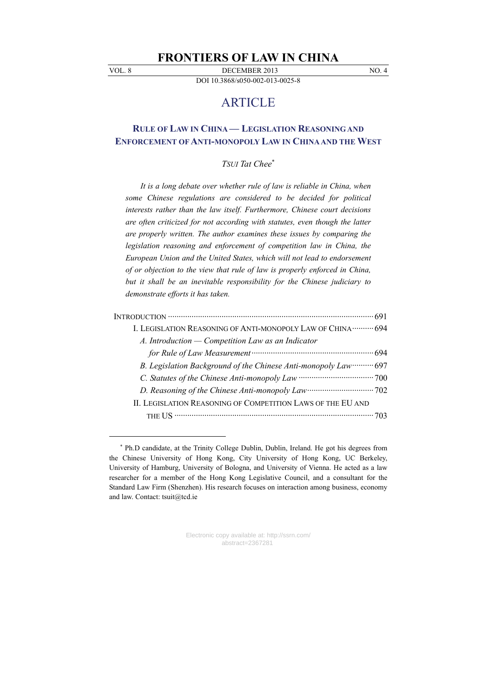# **FRONTIERS OF LAW IN CHINA**

-

VOL. 8 DECEMBER 2013 NO. 4 DOI 10.3868/s050-002-013-0025-8

# **ARTICLE**

# **RULE OF LAW IN CHINA — LEGISLATION REASONING AND ENFORCEMENT OF ANTI-MONOPOLY LAW IN CHINA AND THE WEST**

*TSUI Tat Chee*<sup>∗</sup>

*It is a long debate over whether rule of law is reliable in China, when some Chinese regulations are considered to be decided for political interests rather than the law itself. Furthermore, Chinese court decisions are often criticized for not according with statutes, even though the latter are properly written. The author examines these issues by comparing the legislation reasoning and enforcement of competition law in China, the European Union and the United States, which will not lead to endorsement of or objection to the view that rule of law is properly enforced in China, but it shall be an inevitable responsibility for the Chinese judiciary to demonstrate efforts it has taken.* 

| I. LEGISLATION REASONING OF ANTI-MONOPOLY LAW OF CHINA  694               |
|---------------------------------------------------------------------------|
| A. Introduction $\equiv$ Competition Law as an Indicator                  |
| for Rule of Law Measurement manufacturers (94                             |
| B. Legislation Background of the Chinese Anti-monopoly Law ·········· 697 |
|                                                                           |
| D. Reasoning of the Chinese Anti-monopoly Law manuscritics 702            |
| II. LEGISLATION REASONING OF COMPETITION LAWS OF THE EU AND               |
|                                                                           |

<sup>∗</sup> Ph.D candidate, at the Trinity College Dublin, Dublin, Ireland. He got his degrees from the Chinese University of Hong Kong, City University of Hong Kong, UC Berkeley, University of Hamburg, University of Bologna, and University of Vienna. He acted as a law researcher for a member of the Hong Kong Legislative Council, and a consultant for the Standard Law Firm (Shenzhen). His research focuses on interaction among business, economy and law. Contact: tsuit@tcd.ie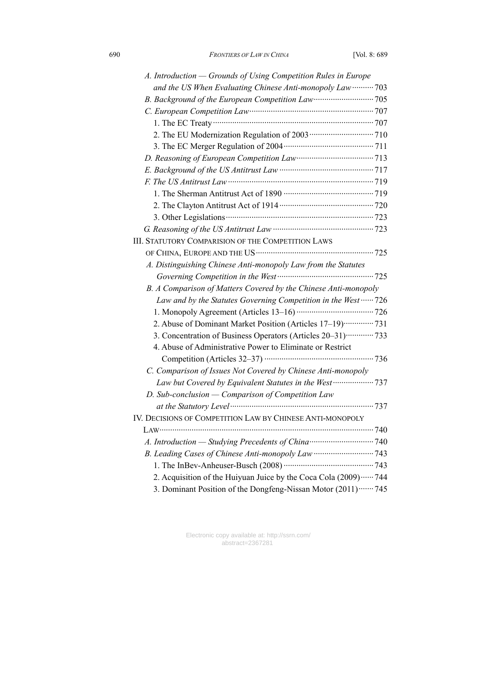| A. Introduction — Grounds of Using Competition Rules in Europe                                                                                                                                                                 |  |
|--------------------------------------------------------------------------------------------------------------------------------------------------------------------------------------------------------------------------------|--|
| and the US When Evaluating Chinese Anti-monopoly Law  703                                                                                                                                                                      |  |
| B. Background of the European Competition Law ·································· 705                                                                                                                                           |  |
| C. European Competition Law controller and the 707                                                                                                                                                                             |  |
|                                                                                                                                                                                                                                |  |
|                                                                                                                                                                                                                                |  |
|                                                                                                                                                                                                                                |  |
| D. Reasoning of European Competition Law manufacturers 713                                                                                                                                                                     |  |
|                                                                                                                                                                                                                                |  |
|                                                                                                                                                                                                                                |  |
|                                                                                                                                                                                                                                |  |
|                                                                                                                                                                                                                                |  |
|                                                                                                                                                                                                                                |  |
|                                                                                                                                                                                                                                |  |
| <b>III. STATUTORY COMPARISION OF THE COMPETITION LAWS</b>                                                                                                                                                                      |  |
|                                                                                                                                                                                                                                |  |
| A. Distinguishing Chinese Anti-monopoly Law from the Statutes                                                                                                                                                                  |  |
| Governing Competition in the West manufacture 725                                                                                                                                                                              |  |
| B. A Comparison of Matters Covered by the Chinese Anti-monopoly                                                                                                                                                                |  |
| Law and by the Statutes Governing Competition in the West ······ 726                                                                                                                                                           |  |
|                                                                                                                                                                                                                                |  |
| 2. Abuse of Dominant Market Position (Articles 17-19) ·············· 731                                                                                                                                                       |  |
| 3. Concentration of Business Operators (Articles 20-31) ············· 733                                                                                                                                                      |  |
| 4. Abuse of Administrative Power to Eliminate or Restrict                                                                                                                                                                      |  |
|                                                                                                                                                                                                                                |  |
| C. Comparison of Issues Not Covered by Chinese Anti-monopoly                                                                                                                                                                   |  |
| Law but Covered by Equivalent Statutes in the West ····················· 737                                                                                                                                                   |  |
| D. Sub-conclusion — Comparison of Competition Law                                                                                                                                                                              |  |
| at the Statutory Level contain and the Statutory Level contains and the Statutory Level contains and the Statutory Level contains and the Statutory Level contains and the Statutory Devel contains and the Statutory Devel co |  |
| IV. DECISIONS OF COMPETITION LAW BY CHINESE ANTI-MONOPOLY                                                                                                                                                                      |  |
|                                                                                                                                                                                                                                |  |
|                                                                                                                                                                                                                                |  |
|                                                                                                                                                                                                                                |  |
|                                                                                                                                                                                                                                |  |
| 2. Acquisition of the Huiyuan Juice by the Coca Cola (2009)  744                                                                                                                                                               |  |
| 3. Dominant Position of the Dongfeng-Nissan Motor (2011) ······· 745                                                                                                                                                           |  |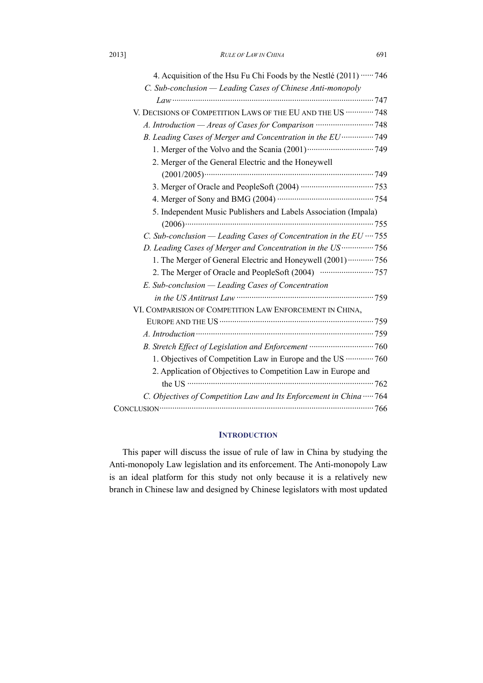| 4. Acquisition of the Hsu Fu Chi Foods by the Nestlé (2011)  746                     |  |
|--------------------------------------------------------------------------------------|--|
| C. Sub-conclusion - Leading Cases of Chinese Anti-monopoly                           |  |
|                                                                                      |  |
| V. DECISIONS OF COMPETITION LAWS OF THE EU AND THE US ············· 748              |  |
| A. Introduction - Areas of Cases for Comparison <b>William</b> 748                   |  |
| B. Leading Cases of Merger and Concentration in the EU ················ 749          |  |
|                                                                                      |  |
| 2. Merger of the General Electric and the Honeywell                                  |  |
|                                                                                      |  |
|                                                                                      |  |
|                                                                                      |  |
| 5. Independent Music Publishers and Labels Association (Impala)                      |  |
|                                                                                      |  |
| C. Sub-conclusion - Leading Cases of Concentration in the EU  755                    |  |
| D. Leading Cases of Merger and Concentration in the US  756                          |  |
| 1. The Merger of General Electric and Honeywell (2001) ············ 756              |  |
| 2. The Merger of Oracle and PeopleSoft (2004) ·································· 757 |  |
| E. Sub-conclusion — Leading Cases of Concentration                                   |  |
|                                                                                      |  |
| VI. COMPARISION OF COMPETITION LAW ENFORCEMENT IN CHINA,                             |  |
|                                                                                      |  |
|                                                                                      |  |
| B. Stretch Effect of Legislation and Enforcement manufacturers. 760                  |  |
| 1. Objectives of Competition Law in Europe and the US ············· 760              |  |
| 2. Application of Objectives to Competition Law in Europe and                        |  |
| the US $\cdots$ 762                                                                  |  |
| C. Objectives of Competition Law and Its Enforcement in China ····· 764              |  |
| CONCLUSION 766                                                                       |  |
|                                                                                      |  |

# **INTRODUCTION**

This paper will discuss the issue of rule of law in China by studying the Anti-monopoly Law legislation and its enforcement. The Anti-monopoly Law is an ideal platform for this study not only because it is a relatively new branch in Chinese law and designed by Chinese legislators with most updated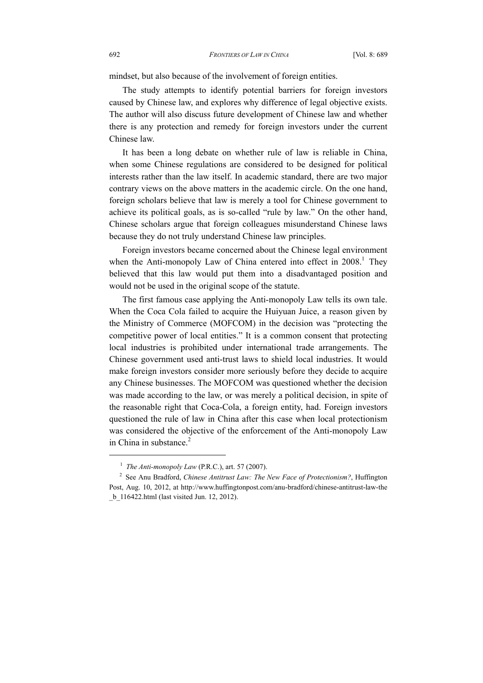mindset, but also because of the involvement of foreign entities.

The study attempts to identify potential barriers for foreign investors caused by Chinese law, and explores why difference of legal objective exists. The author will also discuss future development of Chinese law and whether there is any protection and remedy for foreign investors under the current Chinese law.

It has been a long debate on whether rule of law is reliable in China, when some Chinese regulations are considered to be designed for political interests rather than the law itself. In academic standard, there are two major contrary views on the above matters in the academic circle. On the one hand, foreign scholars believe that law is merely a tool for Chinese government to achieve its political goals, as is so-called "rule by law." On the other hand, Chinese scholars argue that foreign colleagues misunderstand Chinese laws because they do not truly understand Chinese law principles.

Foreign investors became concerned about the Chinese legal environment when the Anti-monopoly Law of China entered into effect in 2008.<sup>1</sup> They believed that this law would put them into a disadvantaged position and would not be used in the original scope of the statute.

The first famous case applying the Anti-monopoly Law tells its own tale. When the Coca Cola failed to acquire the Huiyuan Juice, a reason given by the Ministry of Commerce (MOFCOM) in the decision was "protecting the competitive power of local entities." It is a common consent that protecting local industries is prohibited under international trade arrangements. The Chinese government used anti-trust laws to shield local industries. It would make foreign investors consider more seriously before they decide to acquire any Chinese businesses. The MOFCOM was questioned whether the decision was made according to the law, or was merely a political decision, in spite of the reasonable right that Coca-Cola, a foreign entity, had. Foreign investors questioned the rule of law in China after this case when local protectionism was considered the objective of the enforcement of the Anti-monopoly Law in China in substance  $2$ 

<sup>&</sup>lt;sup>1</sup> *The Anti-monopoly Law* (P.R.C.), art. 57 (2007).

<sup>2</sup> See Anu Bradford, *Chinese Antitrust Law: The New Face of Protectionism?*, Huffington Post, Aug. 10, 2012, at http://www.huffingtonpost.com/anu-bradford/chinese-antitrust-law-the \_b\_116422.html (last visited Jun. 12, 2012).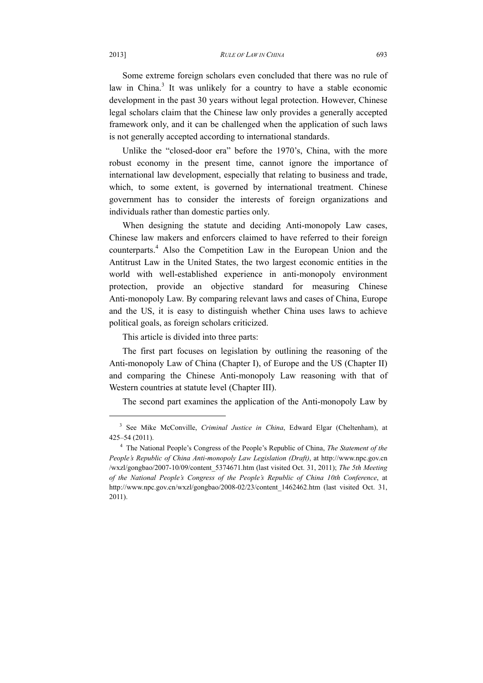Some extreme foreign scholars even concluded that there was no rule of law in China.<sup>3</sup> It was unlikely for a country to have a stable economic development in the past 30 years without legal protection. However, Chinese legal scholars claim that the Chinese law only provides a generally accepted framework only, and it can be challenged when the application of such laws is not generally accepted according to international standards.

Unlike the "closed-door era" before the 1970's, China, with the more robust economy in the present time, cannot ignore the importance of international law development, especially that relating to business and trade, which, to some extent, is governed by international treatment. Chinese government has to consider the interests of foreign organizations and individuals rather than domestic parties only.

When designing the statute and deciding Anti-monopoly Law cases, Chinese law makers and enforcers claimed to have referred to their foreign counterparts.<sup>4</sup> Also the Competition Law in the European Union and the Antitrust Law in the United States, the two largest economic entities in the world with well-established experience in anti-monopoly environment protection, provide an objective standard for measuring Chinese Anti-monopoly Law. By comparing relevant laws and cases of China, Europe and the US, it is easy to distinguish whether China uses laws to achieve political goals, as foreign scholars criticized.

This article is divided into three parts:

The first part focuses on legislation by outlining the reasoning of the Anti-monopoly Law of China (Chapter I), of Europe and the US (Chapter II) and comparing the Chinese Anti-monopoly Law reasoning with that of Western countries at statute level (Chapter III).

The second part examines the application of the Anti-monopoly Law by

<sup>3</sup> See Mike McConville, *Criminal Justice in China*, Edward Elgar (Cheltenham), at 425–54 (2011).

<sup>4</sup> The National People's Congress of the People's Republic of China, *The Statement of the People's Republic of China Anti-monopoly Law Legislation (Draft)*, at http://www.npc.gov.cn /wxzl/gongbao/2007-10/09/content\_5374671.htm (last visited Oct. 31, 2011); *The 5th Meeting of the National People's Congress of the People's Republic of China 10th Conference*, at http://www.npc.gov.cn/wxzl/gongbao/2008-02/23/content 1462462.htm (last visited Oct. 31, 2011).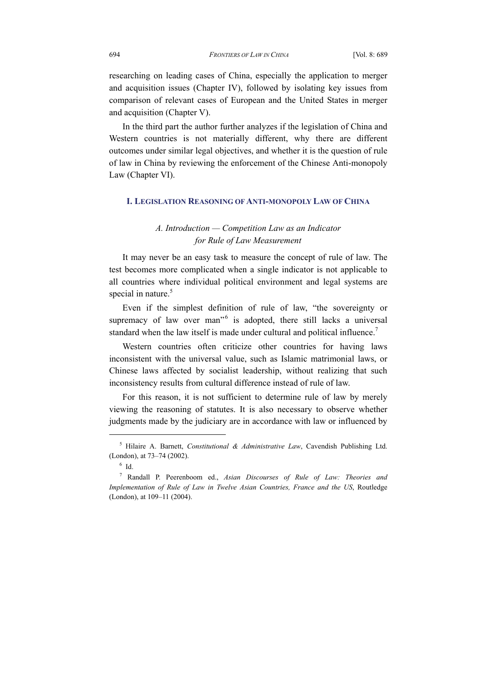researching on leading cases of China, especially the application to merger and acquisition issues (Chapter IV), followed by isolating key issues from comparison of relevant cases of European and the United States in merger and acquisition (Chapter V).

In the third part the author further analyzes if the legislation of China and Western countries is not materially different, why there are different outcomes under similar legal objectives, and whether it is the question of rule of law in China by reviewing the enforcement of the Chinese Anti-monopoly Law (Chapter VI).

#### **I. LEGISLATION REASONING OF ANTI-MONOPOLY LAW OF CHINA**

# *A. Introduction — Competition Law as an Indicator for Rule of Law Measurement*

It may never be an easy task to measure the concept of rule of law. The test becomes more complicated when a single indicator is not applicable to all countries where individual political environment and legal systems are special in nature.<sup>5</sup>

Even if the simplest definition of rule of law, "the sovereignty or supremacy of law over man<sup> $6$ </sup> is adopted, there still lacks a universal standard when the law itself is made under cultural and political influence.<sup>7</sup>

Western countries often criticize other countries for having laws inconsistent with the universal value, such as Islamic matrimonial laws, or Chinese laws affected by socialist leadership, without realizing that such inconsistency results from cultural difference instead of rule of law.

For this reason, it is not sufficient to determine rule of law by merely viewing the reasoning of statutes. It is also necessary to observe whether judgments made by the judiciary are in accordance with law or influenced by

<sup>5</sup> Hilaire A. Barnett, *Constitutional & Administrative Law*, Cavendish Publishing Ltd. (London), at 73–74 (2002).

 $6$  Id.

<sup>7</sup> Randall P. Peerenboom ed., *Asian Discourses of Rule of Law: Theories and Implementation of Rule of Law in Twelve Asian Countries, France and the US*, Routledge (London), at 109–11 (2004).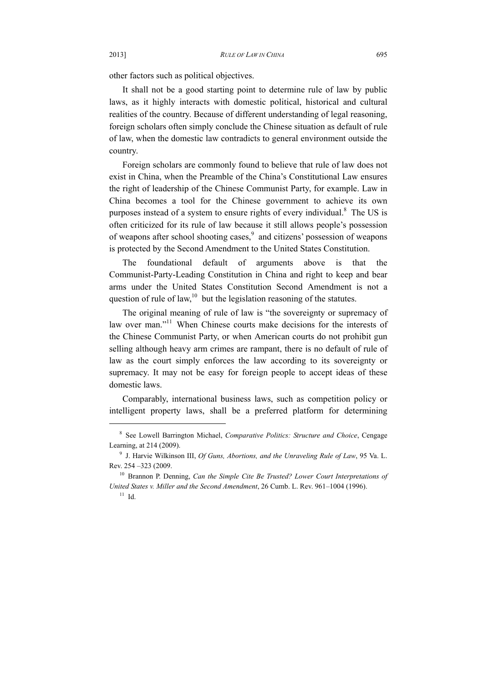other factors such as political objectives.

It shall not be a good starting point to determine rule of law by public laws, as it highly interacts with domestic political, historical and cultural realities of the country. Because of different understanding of legal reasoning, foreign scholars often simply conclude the Chinese situation as default of rule of law, when the domestic law contradicts to general environment outside the country.

Foreign scholars are commonly found to believe that rule of law does not exist in China, when the Preamble of the China's Constitutional Law ensures the right of leadership of the Chinese Communist Party, for example. Law in China becomes a tool for the Chinese government to achieve its own purposes instead of a system to ensure rights of every individual.<sup>8</sup> The US is often criticized for its rule of law because it still allows people's possession of weapons after school shooting cases,<sup>9</sup> and citizens' possession of weapons is protected by the Second Amendment to the United States Constitution.

The foundational default of arguments above is that the Communist-Party-Leading Constitution in China and right to keep and bear arms under the United States Constitution Second Amendment is not a question of rule of law,<sup>10</sup> but the legislation reasoning of the statutes.

The original meaning of rule of law is "the sovereignty or supremacy of law over man."<sup>11</sup> When Chinese courts make decisions for the interests of the Chinese Communist Party, or when American courts do not prohibit gun selling although heavy arm crimes are rampant, there is no default of rule of law as the court simply enforces the law according to its sovereignty or supremacy. It may not be easy for foreign people to accept ideas of these domestic laws.

Comparably, international business laws, such as competition policy or intelligent property laws, shall be a preferred platform for determining

<sup>8</sup> See Lowell Barrington Michael, *Comparative Politics: Structure and Choice*, Cengage Learning, at 214 (2009).

<sup>9</sup> J. Harvie Wilkinson III, *Of Guns, Abortions, and the Unraveling Rule of Law*, 95 Va. L. Rev. 254 –323 (2009.

<sup>10</sup> Brannon P. Denning, *Can the Simple Cite Be Trusted? Lower Court Interpretations of United States v. Miller and the Second Amendment*, 26 Cumb. L. Rev. 961–1004 (1996).

 $11$  Id.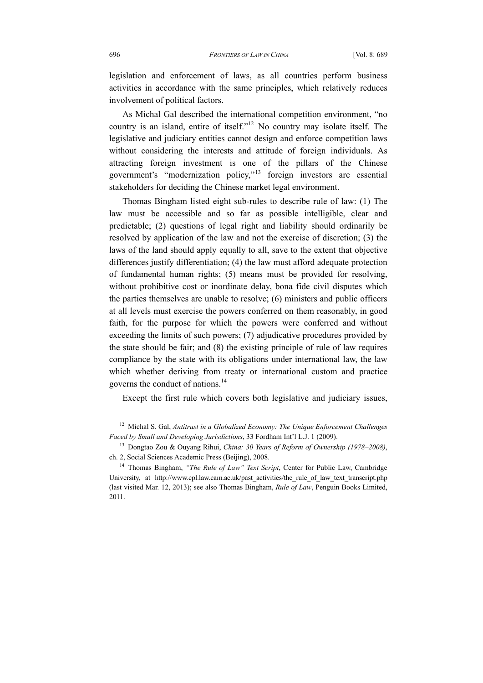legislation and enforcement of laws, as all countries perform business activities in accordance with the same principles, which relatively reduces involvement of political factors.

As Michal Gal described the international competition environment, "no country is an island, entire of itself."<sup>12</sup> No country may isolate itself. The legislative and judiciary entities cannot design and enforce competition laws without considering the interests and attitude of foreign individuals. As attracting foreign investment is one of the pillars of the Chinese government's "modernization policy,"13 foreign investors are essential stakeholders for deciding the Chinese market legal environment.

Thomas Bingham listed eight sub-rules to describe rule of law: (1) The law must be accessible and so far as possible intelligible, clear and predictable; (2) questions of legal right and liability should ordinarily be resolved by application of the law and not the exercise of discretion; (3) the laws of the land should apply equally to all, save to the extent that objective differences justify differentiation; (4) the law must afford adequate protection of fundamental human rights; (5) means must be provided for resolving, without prohibitive cost or inordinate delay, bona fide civil disputes which the parties themselves are unable to resolve; (6) ministers and public officers at all levels must exercise the powers conferred on them reasonably, in good faith, for the purpose for which the powers were conferred and without exceeding the limits of such powers; (7) adjudicative procedures provided by the state should be fair; and (8) the existing principle of rule of law requires compliance by the state with its obligations under international law, the law which whether deriving from treaty or international custom and practice governs the conduct of nations.<sup>14</sup>

Except the first rule which covers both legislative and judiciary issues,

<sup>12</sup> Michal S. Gal, *Antitrust in a Globalized Economy: The Unique Enforcement Challenges Faced by Small and Developing Jurisdictions*, 33 Fordham Int'l L.J. 1 (2009).

<sup>13</sup> Dongtao Zou & Ouyang Rihui, *China: 30 Years of Reform of Ownership (1978–2008)*, ch. 2, Social Sciences Academic Press (Beijing), 2008.

<sup>14</sup> Thomas Bingham, *"The Rule of Law" Text Script*, Center for Public Law, Cambridge University, at http://www.cpl.law.cam.ac.uk/past\_activities/the\_rule\_of\_law\_text\_transcript.php (last visited Mar. 12, 2013); see also Thomas Bingham, *Rule of Law*, Penguin Books Limited, 2011.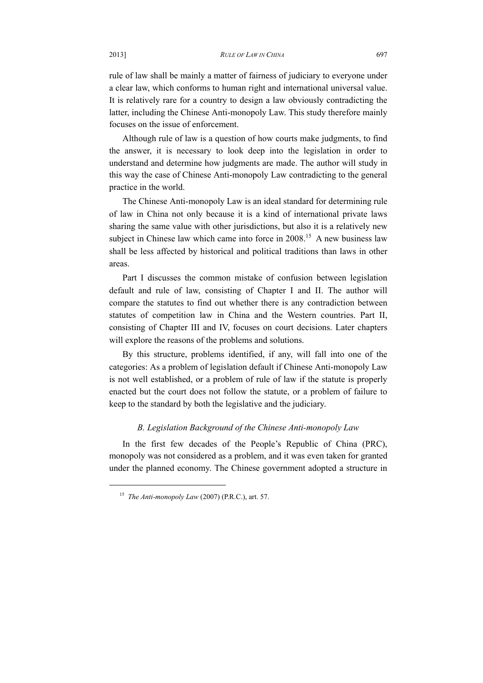rule of law shall be mainly a matter of fairness of judiciary to everyone under a clear law, which conforms to human right and international universal value. It is relatively rare for a country to design a law obviously contradicting the latter, including the Chinese Anti-monopoly Law. This study therefore mainly focuses on the issue of enforcement.

Although rule of law is a question of how courts make judgments, to find the answer, it is necessary to look deep into the legislation in order to understand and determine how judgments are made. The author will study in this way the case of Chinese Anti-monopoly Law contradicting to the general practice in the world.

The Chinese Anti-monopoly Law is an ideal standard for determining rule of law in China not only because it is a kind of international private laws sharing the same value with other jurisdictions, but also it is a relatively new subject in Chinese law which came into force in 2008.<sup>15</sup> A new business law shall be less affected by historical and political traditions than laws in other areas.

Part I discusses the common mistake of confusion between legislation default and rule of law, consisting of Chapter I and II. The author will compare the statutes to find out whether there is any contradiction between statutes of competition law in China and the Western countries. Part II, consisting of Chapter III and IV, focuses on court decisions. Later chapters will explore the reasons of the problems and solutions.

By this structure, problems identified, if any, will fall into one of the categories: As a problem of legislation default if Chinese Anti-monopoly Law is not well established, or a problem of rule of law if the statute is properly enacted but the court does not follow the statute, or a problem of failure to keep to the standard by both the legislative and the judiciary.

## *B. Legislation Background of the Chinese Anti-monopoly Law*

In the first few decades of the People's Republic of China (PRC), monopoly was not considered as a problem, and it was even taken for granted under the planned economy. The Chinese government adopted a structure in

<sup>15</sup> *The Anti-monopoly Law* (2007) (P.R.C.), art. 57.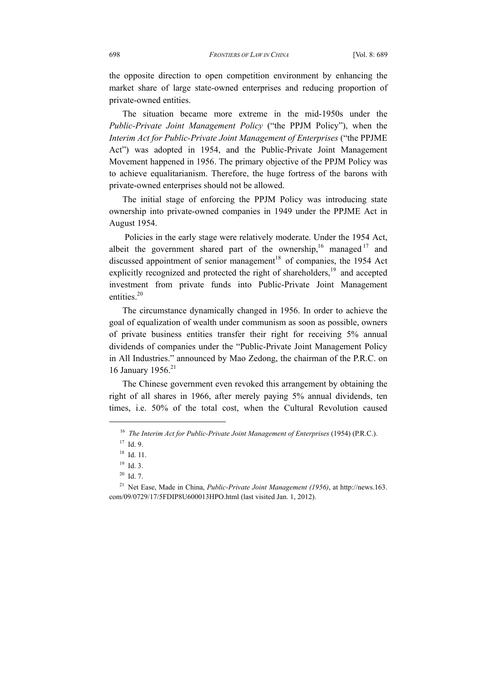the opposite direction to open competition environment by enhancing the market share of large state-owned enterprises and reducing proportion of private-owned entities.

The situation became more extreme in the mid-1950s under the *Public-Private Joint Management Policy* ("the PPJM Policy"), when the *Interim Act for Public-Private Joint Management of Enterprises* ("the PPJME Act") was adopted in 1954, and the Public-Private Joint Management Movement happened in 1956. The primary objective of the PPJM Policy was to achieve equalitarianism. Therefore, the huge fortress of the barons with private-owned enterprises should not be allowed.

The initial stage of enforcing the PPJM Policy was introducing state ownership into private-owned companies in 1949 under the PPJME Act in August 1954.

 Policies in the early stage were relatively moderate. Under the 1954 Act, albeit the government shared part of the ownership,  $16$  managed  $17$  and discussed appointment of senior management<sup>18</sup> of companies, the 1954 Act explicitly recognized and protected the right of shareholders.<sup>19</sup> and accepted investment from private funds into Public-Private Joint Management entities $^{20}$ 

The circumstance dynamically changed in 1956. In order to achieve the goal of equalization of wealth under communism as soon as possible, owners of private business entities transfer their right for receiving 5% annual dividends of companies under the "Public-Private Joint Management Policy in All Industries." announced by Mao Zedong, the chairman of the P.R.C. on 16 January 1956.<sup>21</sup>

The Chinese government even revoked this arrangement by obtaining the right of all shares in 1966, after merely paying 5% annual dividends, ten times, i.e. 50% of the total cost, when the Cultural Revolution caused

- $19$  Id. 3.
- $20$  Id. 7.

<sup>16</sup> *The Interim Act for Public-Private Joint Management of Enterprises* (1954) (P.R.C.).

 $17$  Id. 9.

 $18$  Id. 11.

<sup>21</sup> Net Ease, Made in China, *Public-Private Joint Management (1956)*, at http://news.163. com/09/0729/17/5FDIP8U600013HPO.html (last visited Jan. 1, 2012).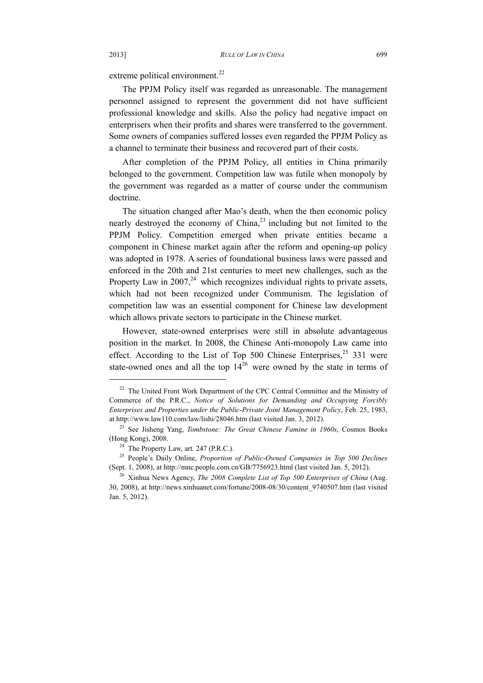extreme political environment.<sup>22</sup>

The PPJM Policy itself was regarded as unreasonable. The management personnel assigned to represent the government did not have sufficient professional knowledge and skills. Also the policy had negative impact on enterprisers when their profits and shares were transferred to the government. Some owners of companies suffered losses even regarded the PPJM Policy as a channel to terminate their business and recovered part of their costs.

After completion of the PPJM Policy, all entities in China primarily belonged to the government. Competition law was futile when monopoly by the government was regarded as a matter of course under the communism doctrine.

The situation changed after Mao's death, when the then economic policy nearly destroyed the economy of China, $2<sup>3</sup>$  including but not limited to the PPJM Policy. Competition emerged when private entities became a component in Chinese market again after the reform and opening-up policy was adopted in 1978. A series of foundational business laws were passed and enforced in the 20th and 21st centuries to meet new challenges, such as the Property Law in  $2007<sub>1</sub><sup>24</sup>$  which recognizes individual rights to private assets, which had not been recognized under Communism. The legislation of competition law was an essential component for Chinese law development which allows private sectors to participate in the Chinese market.

However, state-owned enterprises were still in absolute advantageous position in the market. In 2008, the Chinese Anti-monopoly Law came into effect. According to the List of Top 500 Chinese Enterprises,  $25$  331 were state-owned ones and all the top  $14^{26}$  were owned by the state in terms of

<sup>&</sup>lt;sup>22</sup> The United Front Work Department of the CPC Central Committee and the Ministry of Commerce of the P.R.C., *Notice of Solutions for Demanding and Occupying Forcibly Enterprises and Properties under the Public-Private Joint Management Policy*, Feb. 25, 1983, at http://www.law110.com/law/lishi/28046.htm (last visited Jan. 3, 2012). 23 See Jisheng Yang, *Tombstone: The Great Chinese Famine in 1960s*, Cosmos Books

<sup>(</sup>Hong Kong), 2008. 24 The Property Law, art. 247 (P.R.C.).

<sup>25</sup> People's Daily Online, *Proportion of Public-Owned Companies in Top 500 Declines* (Sept. 1, 2008), at http://mnc.people.com.cn/GB/7756923.html (last visited Jan. 5, 2012). 26 Xinhua News Agency, *The 2008 Complete List of Top 500 Enterprises of China* (Aug.

<sup>30, 2008),</sup> at http://news.xinhuanet.com/fortune/2008-08/30/content\_9740507.htm (last visited Jan. 5, 2012).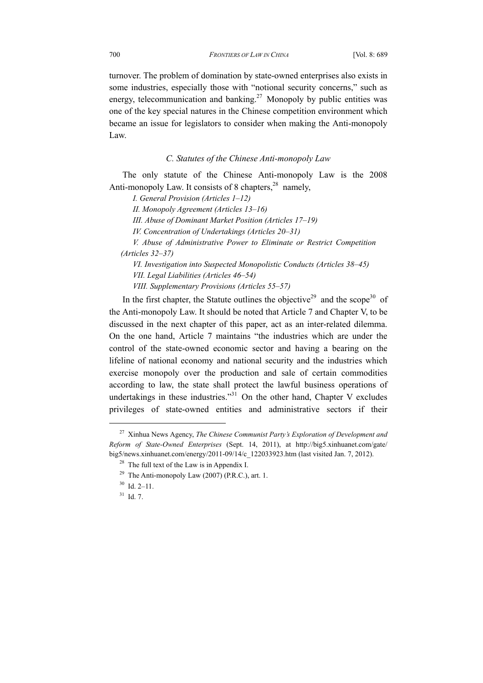turnover. The problem of domination by state-owned enterprises also exists in some industries, especially those with "notional security concerns," such as energy, telecommunication and banking.<sup>27</sup> Monopoly by public entities was one of the key special natures in the Chinese competition environment which became an issue for legislators to consider when making the Anti-monopoly Law.

#### *C. Statutes of the Chinese Anti-monopoly Law*

The only statute of the Chinese Anti-monopoly Law is the 2008 Anti-monopoly Law. It consists of 8 chapters,  $28$  namely,

*I. General Provision (Articles 1–12)* 

*II. Monopoly Agreement (Articles 13–16)* 

*III. Abuse of Dominant Market Position (Articles 17–19)* 

*IV. Concentration of Undertakings (Articles 20–31)* 

*V. Abuse of Administrative Power to Eliminate or Restrict Competition (Articles 32–37)* 

*VI. Investigation into Suspected Monopolistic Conducts (Articles 38–45) VII. Legal Liabilities (Articles 46–54) VIII. Supplementary Provisions (Articles 55–57)* 

In the first chapter, the Statute outlines the objective<sup>29</sup> and the scope<sup>30</sup> of the Anti-monopoly Law. It should be noted that Article 7 and Chapter V, to be discussed in the next chapter of this paper, act as an inter-related dilemma. On the one hand, Article 7 maintains "the industries which are under the control of the state-owned economic sector and having a bearing on the lifeline of national economy and national security and the industries which exercise monopoly over the production and sale of certain commodities according to law, the state shall protect the lawful business operations of undertakings in these industries. $131$  On the other hand, Chapter V excludes privileges of state-owned entities and administrative sectors if their

 <sup>27</sup> Xinhua News Agency, *The Chinese Communist Party's Exploration of Development and Reform of State-Owned Enterprises* (Sept. 14, 2011), at http://big5.xinhuanet.com/gate/ big5/news.xinhuanet.com/energy/2011-09/14/c\_122033923.htm (last visited Jan. 7, 2012).

 $28$  The full text of the Law is in Appendix I.

<sup>&</sup>lt;sup>29</sup> The Anti-monopoly Law (2007) (P.R.C.), art. 1.

 $30$  Id. 2–11.

 $31$  Id. 7.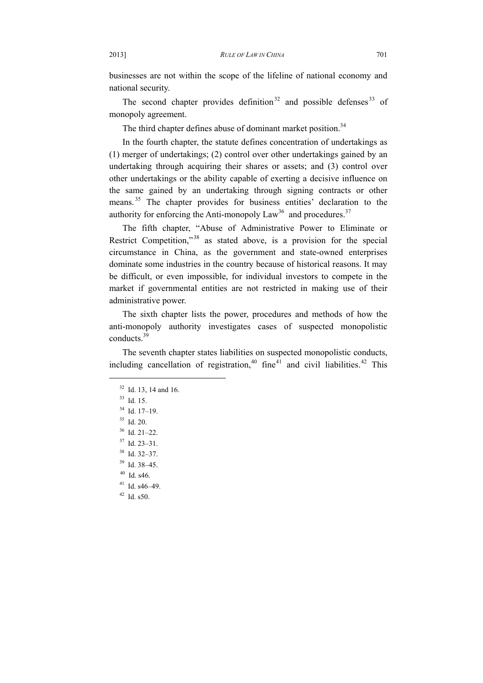businesses are not within the scope of the lifeline of national economy and national security.

The second chapter provides definition<sup>32</sup> and possible defenses<sup>33</sup> of monopoly agreement.

The third chapter defines abuse of dominant market position.<sup>34</sup>

In the fourth chapter, the statute defines concentration of undertakings as (1) merger of undertakings; (2) control over other undertakings gained by an undertaking through acquiring their shares or assets; and (3) control over other undertakings or the ability capable of exerting a decisive influence on the same gained by an undertaking through signing contracts or other means. 35 The chapter provides for business entities' declaration to the authority for enforcing the Anti-monopoly Law<sup>36</sup> and procedures.<sup>37</sup>

The fifth chapter, "Abuse of Administrative Power to Eliminate or Restrict Competition,"38 as stated above, is a provision for the special circumstance in China, as the government and state-owned enterprises dominate some industries in the country because of historical reasons. It may be difficult, or even impossible, for individual investors to compete in the market if governmental entities are not restricted in making use of their administrative power.

The sixth chapter lists the power, procedures and methods of how the anti-monopoly authority investigates cases of suspected monopolistic conducts.<sup>39</sup>

The seventh chapter states liabilities on suspected monopolistic conducts, including cancellation of registration,  $40 \text{ fine}^{41}$  and civil liabilities.  $42 \text{ This}$ 

 $33$  Id. 15.

- 34 Id. 17–19.
- $35$  Id. 20.
- $36$  Id. 21–22.
- $37$  Id. 23–31.
- 38 Id. 32–37.
- 39 Id. 38–45.
- $40$  Id. s46.
- $41$  Id. s46–49.
- $42$  Id. s50.

 $32$  Id. 13, 14 and 16.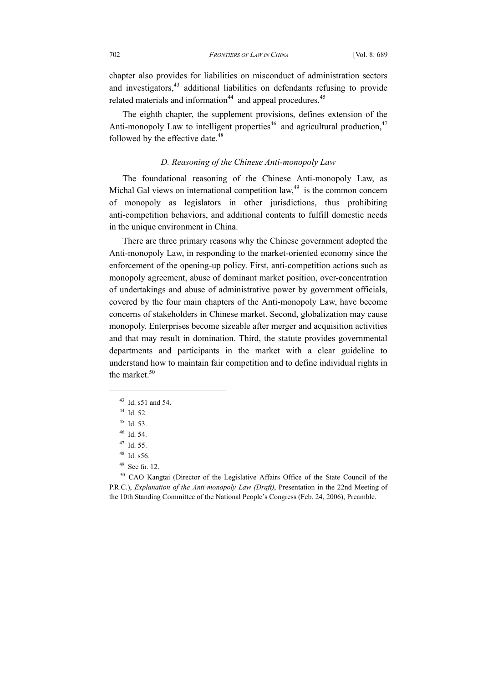chapter also provides for liabilities on misconduct of administration sectors and investigators,<sup>43</sup> additional liabilities on defendants refusing to provide related materials and information<sup>44</sup> and appeal procedures.<sup>45</sup>

The eighth chapter, the supplement provisions, defines extension of the Anti-monopoly Law to intelligent properties<sup>46</sup> and agricultural production.<sup>47</sup> followed by the effective date.<sup>48</sup>

# *D. Reasoning of the Chinese Anti-monopoly Law*

The foundational reasoning of the Chinese Anti-monopoly Law, as Michal Gal views on international competition  $law<sub>1</sub><sup>49</sup>$  is the common concern of monopoly as legislators in other jurisdictions, thus prohibiting anti-competition behaviors, and additional contents to fulfill domestic needs in the unique environment in China.

There are three primary reasons why the Chinese government adopted the Anti-monopoly Law, in responding to the market-oriented economy since the enforcement of the opening-up policy. First, anti-competition actions such as monopoly agreement, abuse of dominant market position, over-concentration of undertakings and abuse of administrative power by government officials, covered by the four main chapters of the Anti-monopoly Law, have become concerns of stakeholders in Chinese market. Second, globalization may cause monopoly. Enterprises become sizeable after merger and acquisition activities and that may result in domination. Third, the statute provides governmental departments and participants in the market with a clear guideline to understand how to maintain fair competition and to define individual rights in the market  $50$ 

-

 $49$  See fn. 12.

50 CAO Kangtai (Director of the Legislative Affairs Office of the State Council of the P.R.C.), *Explanation of the Anti-monopoly Law (Draft)*, Presentation in the 22nd Meeting of the 10th Standing Committee of the National People's Congress (Feb. 24, 2006), Preamble.

<sup>43</sup> Id. s51 and 54.

 $44$  Id. 52.

 $45$  Id. 53.

<sup>46</sup> Id. 54.

 $47$  Id. 55.

<sup>48</sup> Id. s56.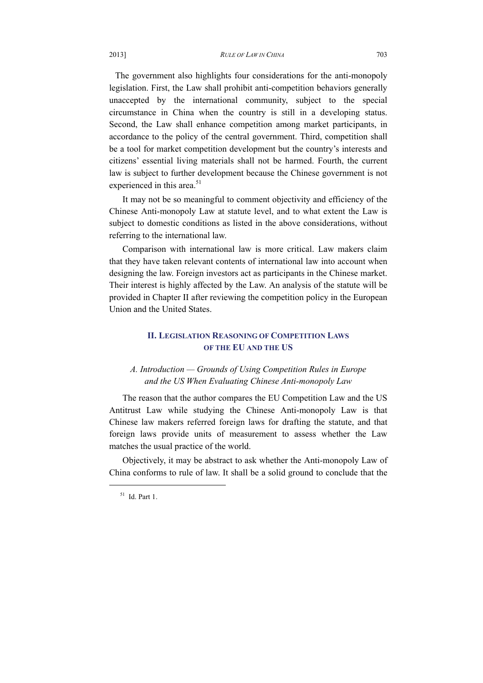The government also highlights four considerations for the anti-monopoly legislation. First, the Law shall prohibit anti-competition behaviors generally unaccepted by the international community, subject to the special circumstance in China when the country is still in a developing status. Second, the Law shall enhance competition among market participants, in accordance to the policy of the central government. Third, competition shall be a tool for market competition development but the country's interests and citizens' essential living materials shall not be harmed. Fourth, the current law is subject to further development because the Chinese government is not experienced in this area.<sup>51</sup>

It may not be so meaningful to comment objectivity and efficiency of the Chinese Anti-monopoly Law at statute level, and to what extent the Law is subject to domestic conditions as listed in the above considerations, without referring to the international law.

Comparison with international law is more critical. Law makers claim that they have taken relevant contents of international law into account when designing the law. Foreign investors act as participants in the Chinese market. Their interest is highly affected by the Law. An analysis of the statute will be provided in Chapter II after reviewing the competition policy in the European Union and the United States.

# **II. LEGISLATION REASONING OF COMPETITION LAWS OF THE EU AND THE US**

# *A. Introduction — Grounds of Using Competition Rules in Europe and the US When Evaluating Chinese Anti-monopoly Law*

The reason that the author compares the EU Competition Law and the US Antitrust Law while studying the Chinese Anti-monopoly Law is that Chinese law makers referred foreign laws for drafting the statute, and that foreign laws provide units of measurement to assess whether the Law matches the usual practice of the world.

Objectively, it may be abstract to ask whether the Anti-monopoly Law of China conforms to rule of law. It shall be a solid ground to conclude that the

 $51$  Id. Part 1.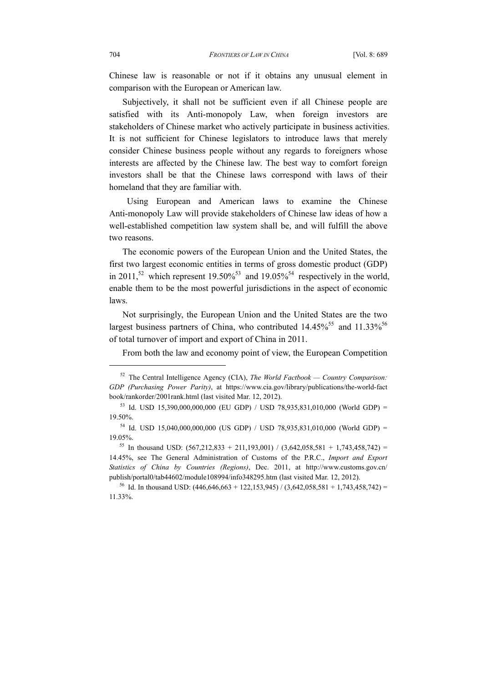Chinese law is reasonable or not if it obtains any unusual element in comparison with the European or American law.

Subjectively, it shall not be sufficient even if all Chinese people are satisfied with its Anti-monopoly Law, when foreign investors are stakeholders of Chinese market who actively participate in business activities. It is not sufficient for Chinese legislators to introduce laws that merely consider Chinese business people without any regards to foreigners whose interests are affected by the Chinese law. The best way to comfort foreign investors shall be that the Chinese laws correspond with laws of their homeland that they are familiar with.

 Using European and American laws to examine the Chinese Anti-monopoly Law will provide stakeholders of Chinese law ideas of how a well-established competition law system shall be, and will fulfill the above two reasons.

The economic powers of the European Union and the United States, the first two largest economic entities in terms of gross domestic product (GDP) in 2011,<sup>52</sup> which represent 19.50%<sup>53</sup> and 19.05%<sup>54</sup> respectively in the world, enable them to be the most powerful jurisdictions in the aspect of economic laws.

Not surprisingly, the European Union and the United States are the two largest business partners of China, who contributed  $14.45\%$ <sup>55</sup> and  $11.33\%$ <sup>56</sup> of total turnover of import and export of China in 2011.

From both the law and economy point of view, the European Competition

<sup>52</sup> The Central Intelligence Agency (CIA), *The World Factbook — Country Comparison: GDP (Purchasing Power Parity)*, at https://www.cia.gov/library/publications/the-world-fact book/rankorder/2001rank.html (last visited Mar. 12, 2012).

 $^{53}$  Id. USD 15,390,000,000,000 (EU GDP) / USD 78,935,831,010,000 (World GDP) = 19.50%.

<sup>&</sup>lt;sup>54</sup> Id. USD 15,040,000,000,000 (US GDP) / USD 78,935,831,010,000 (World GDP) = 19.05%.<br><sup>55</sup> In thousand USD: (567,212,833 + 211,193,001) / (3,642,058,581 + 1,743,458,742) =

<sup>14.45%,</sup> see The General Administration of Customs of the P.R.C., *Import and Export Statistics of China by Countries (Regions)*, Dec. 2011, at http://www.customs.gov.cn/ publish/portal0/tab44602/module108994/info348295.htm (last visited Mar. 12, 2012).<br><sup>56</sup> Id. In thousand USD: (446,646,663 + 122,153,945) / (3,642,058,581 + 1,743,458,742) =

<sup>11.33%.</sup>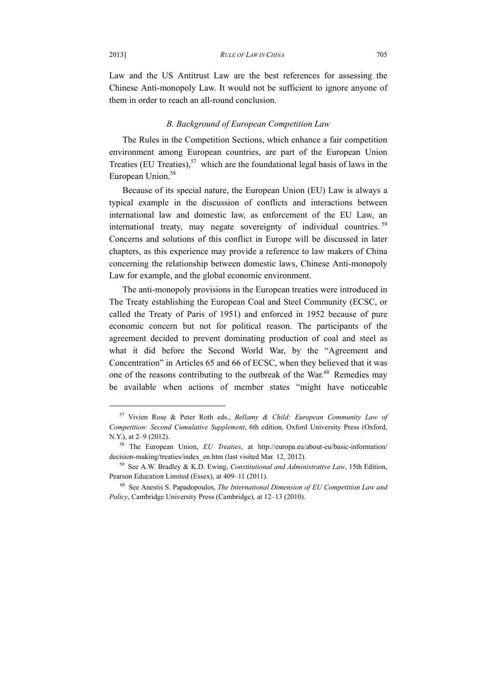Law and the US Antitrust Law are the best references for assessing the Chinese Anti-monopoly Law. It would not be sufficient to ignore anyone of them in order to reach an all-round conclusion.

#### *B. Background of European Competition Law*

The Rules in the Competition Sections, which enhance a fair competition environment among European countries, are part of the European Union Treaties (EU Treaties),  $57$  which are the foundational legal basis of laws in the European Union.<sup>58</sup>

Because of its special nature, the European Union (EU) Law is always a typical example in the discussion of conflicts and interactions between international law and domestic law, as enforcement of the EU Law, an international treaty, may negate sovereignty of individual countries.<sup>59</sup> Concerns and solutions of this conflict in Europe will be discussed in later chapters, as this experience may provide a reference to law makers of China concerning the relationship between domestic laws, Chinese Anti-monopoly Law for example, and the global economic environment.

The anti-monopoly provisions in the European treaties were introduced in The Treaty establishing the European Coal and Steel Community (ECSC, or called the Treaty of Paris of 1951) and enforced in 1952 because of pure economic concern but not for political reason. The participants of the agreement decided to prevent dominating production of coal and steel as what it did before the Second World War, by the "Agreement and Concentration" in Articles 65 and 66 of ECSC, when they believed that it was one of the reasons contributing to the outbreak of the War.<sup>60</sup> Remedies may be available when actions of member states "might have noticeable

 <sup>57</sup> Vivien Rose & Peter Roth eds., *Bellamy & Child: European Community Law of Competition: Second Cumulative Supplement*, 6th edition, Oxford University Press (Oxford, N.Y.), at 2–9 (2012).<br><sup>58</sup> The European Union, *EU Treaties*, at http://europa.eu/about-eu/basic-information/

decision-making/treaties/index\_en.htm (last visited Mar. 12, 2012).<br><sup>59</sup> See A.W. Bradley & K.D. Ewing, *Constitutional and Administrative Law*, 15th Edition,

Pearson Education Limited (Essex), at 409–11 (2011).

<sup>60</sup> See Anestis S. Papadopoulos, *The International Dimension of EU Competition Law and Policy*, Cambridge University Press (Cambridge), at 12–13 (2010).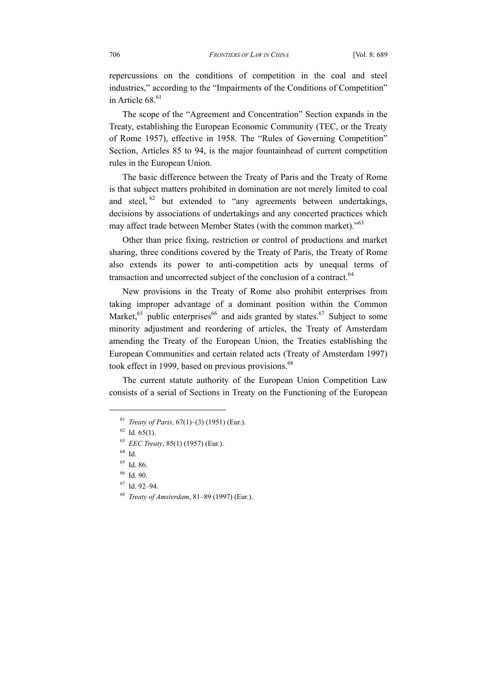repercussions on the conditions of competition in the coal and steel industries," according to the "Impairments of the Conditions of Competition" in Article  $68<sup>61</sup>$ 

The scope of the "Agreement and Concentration" Section expands in the Treaty, establishing the European Economic Community (TEC, or the Treaty of Rome 1957), effective in 1958. The "Rules of Governing Competition" Section, Articles 85 to 94, is the major fountainhead of current competition rules in the European Union.

The basic difference between the Treaty of Paris and the Treaty of Rome is that subject matters prohibited in domination are not merely limited to coal and steel,  $62$  but extended to "any agreements between undertakings, decisions by associations of undertakings and any concerted practices which may affect trade between Member States (with the common market)."63

Other than price fixing, restriction or control of productions and market sharing, three conditions covered by the Treaty of Paris, the Treaty of Rome also extends its power to anti-competition acts by unequal terms of transaction and uncorrected subject of the conclusion of a contract.<sup>64</sup>

New provisions in the Treaty of Rome also prohibit enterprises from taking improper advantage of a dominant position within the Common Market,<sup>65</sup> public enterprises<sup>66</sup> and aids granted by states.<sup>67</sup> Subject to some minority adjustment and reordering of articles, the Treaty of Amsterdam amending the Treaty of the European Union, the Treaties establishing the European Communities and certain related acts (Treaty of Amsterdam 1997) took effect in 1999, based on previous provisions.<sup>68</sup>

The current statute authority of the European Union Competition Law consists of a serial of Sections in Treaty on the Functioning of the European

- $65$  Id. 86.
- 66 Id. 90.
- $67$  Id. 92–94.

<sup>61</sup> *Treaty of Paris*, 67(1)–(3) (1951) (Eur.).

 $62$  Id.  $65(1)$ .

<sup>63</sup> *EEC Treaty*, 85(1) (1957) (Eur.).

 $64$  Id.

<sup>68</sup> *Treaty of Amsterdam*, 81–89 (1997) (Eur.).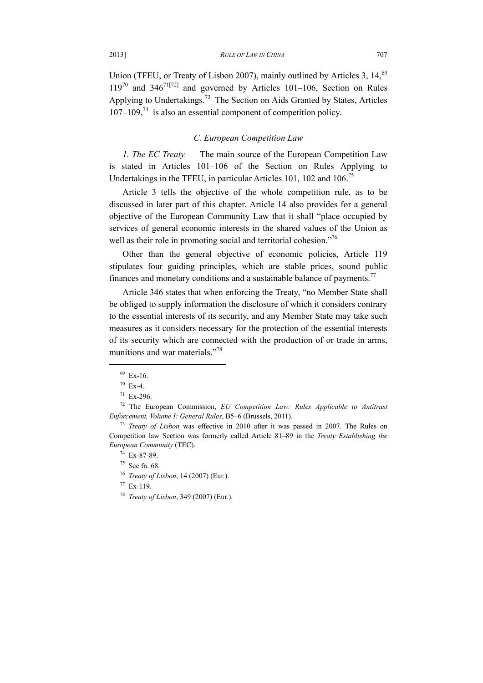#### 2013] *RULE OF LAW IN CHINA* 707

Union (TFEU, or Treaty of Lisbon 2007), mainly outlined by Articles 3,  $14<sup>69</sup>$  $119^{70}$  and  $346^{71[72]}$  and governed by Articles 101–106, Section on Rules Applying to Undertakings.<sup>73</sup> The Section on Aids Granted by States, Articles  $107-109$ ,<sup>74</sup> is also an essential component of competition policy.

## *C. European Competition Law*

*1. The EC Treaty. —* The main source of the European Competition Law is stated in Articles 101–106 of the Section on Rules Applying to Undertakings in the TFEU, in particular Articles 101, 102 and 106.<sup>75</sup>

Article 3 tells the objective of the whole competition rule, as to be discussed in later part of this chapter. Article 14 also provides for a general objective of the European Community Law that it shall "place occupied by services of general economic interests in the shared values of the Union as well as their role in promoting social and territorial cohesion."<sup>76</sup>

Other than the general objective of economic policies, Article 119 stipulates four guiding principles, which are stable prices, sound public finances and monetary conditions and a sustainable balance of payments.<sup>77</sup>

Article 346 states that when enforcing the Treaty, "no Member State shall be obliged to supply information the disclosure of which it considers contrary to the essential interests of its security, and any Member State may take such measures as it considers necessary for the protection of the essential interests of its security which are connected with the production of or trade in arms, munitions and war materials."78

-

<sup>76</sup> *Treaty of Lisbon*, 14 (2007) (Eur.). 77 Ex-119.

 $69$  Ex-16.

 $70$  Ex-4.

 $71$  Ex-296.

<sup>72</sup> The European Commission, *EU Competition Law: Rules Applicable to Antitrust Enforcement, Volume I: General Rules*, B5–6 (Brussels, 2011). 73 *Treaty of Lisbon* was effective in 2010 after it was passed in 2007. The Rules on

Competition law Section was formerly called Article 81–89 in the *Treaty Establishing the European Community* (TEC). 74 Ex-87-89.

 $75$  See fn. 68.

<sup>78</sup> *Treaty of Lisbon*, 349 (2007) (Eur.).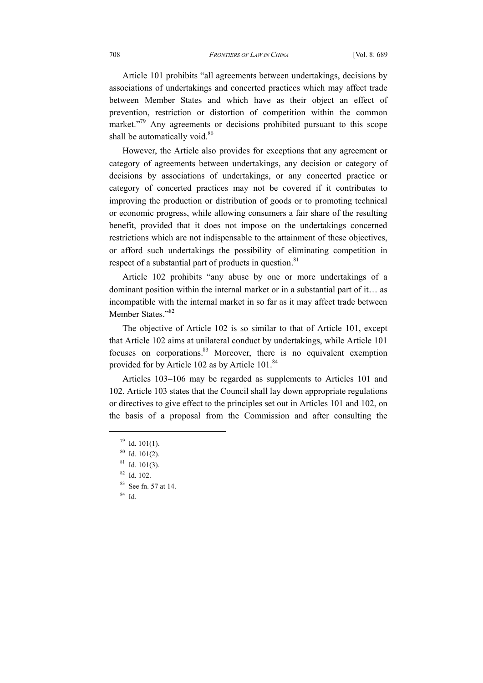Article 101 prohibits "all agreements between undertakings, decisions by associations of undertakings and concerted practices which may affect trade between Member States and which have as their object an effect of prevention, restriction or distortion of competition within the common market."<sup>79</sup> Any agreements or decisions prohibited pursuant to this scope shall be automatically void.<sup>80</sup>

However, the Article also provides for exceptions that any agreement or category of agreements between undertakings, any decision or category of decisions by associations of undertakings, or any concerted practice or category of concerted practices may not be covered if it contributes to improving the production or distribution of goods or to promoting technical or economic progress, while allowing consumers a fair share of the resulting benefit, provided that it does not impose on the undertakings concerned restrictions which are not indispensable to the attainment of these objectives, or afford such undertakings the possibility of eliminating competition in respect of a substantial part of products in question. $81$ 

Article 102 prohibits "any abuse by one or more undertakings of a dominant position within the internal market or in a substantial part of it… as incompatible with the internal market in so far as it may affect trade between Member States<sup>"82</sup>

The objective of Article 102 is so similar to that of Article 101, except that Article 102 aims at unilateral conduct by undertakings, while Article 101 focuses on corporations.<sup>83</sup> Moreover, there is no equivalent exemption provided for by Article 102 as by Article 101.<sup>84</sup>

Articles 103–106 may be regarded as supplements to Articles 101 and 102. Article 103 states that the Council shall lay down appropriate regulations or directives to give effect to the principles set out in Articles 101 and 102, on the basis of a proposal from the Commission and after consulting the

 $84$  Id.

 $79$  Id. 101(1).

 $80$  Id. 101(2).

 $81$  Id. 101(3).

 $82$  Id. 102.

<sup>83</sup> See fn. 57 at 14.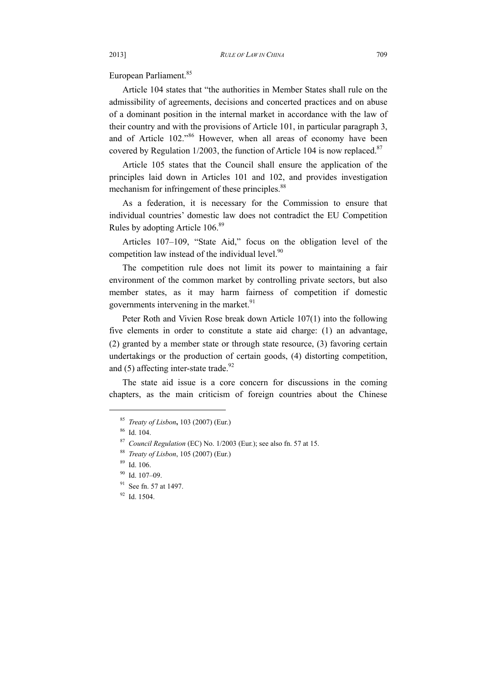European Parliament.85

Article 104 states that "the authorities in Member States shall rule on the admissibility of agreements, decisions and concerted practices and on abuse of a dominant position in the internal market in accordance with the law of their country and with the provisions of Article 101, in particular paragraph 3, and of Article 102."<sup>86</sup> However, when all areas of economy have been covered by Regulation 1/2003, the function of Article 104 is now replaced.<sup>87</sup>

Article 105 states that the Council shall ensure the application of the principles laid down in Articles 101 and 102, and provides investigation mechanism for infringement of these principles.<sup>88</sup>

As a federation, it is necessary for the Commission to ensure that individual countries' domestic law does not contradict the EU Competition Rules by adopting Article 106.89

Articles 107–109, "State Aid," focus on the obligation level of the competition law instead of the individual level.<sup>90</sup>

The competition rule does not limit its power to maintaining a fair environment of the common market by controlling private sectors, but also member states, as it may harm fairness of competition if domestic governments intervening in the market.<sup>91</sup>

Peter Roth and Vivien Rose break down Article 107(1) into the following five elements in order to constitute a state aid charge: (1) an advantage, (2) granted by a member state or through state resource, (3) favoring certain undertakings or the production of certain goods, (4) distorting competition, and  $(5)$  affecting inter-state trade.<sup>92</sup>

The state aid issue is a core concern for discussions in the coming chapters, as the main criticism of foreign countries about the Chinese

-

 $91$  See fn. 57 at 1497.

<sup>85</sup> *Treaty of Lisbon***,** 103 (2007) (Eur.)

<sup>86</sup> Id. 104.

<sup>87</sup> *Council Regulation* (EC) No. 1/2003 (Eur.); see also fn. 57 at 15.

<sup>88</sup> *Treaty of Lisbon*, 105 (2007) (Eur.)

 $89$  Id. 106.

<sup>90</sup> Id. 107–09.

 $92$  Id. 1504.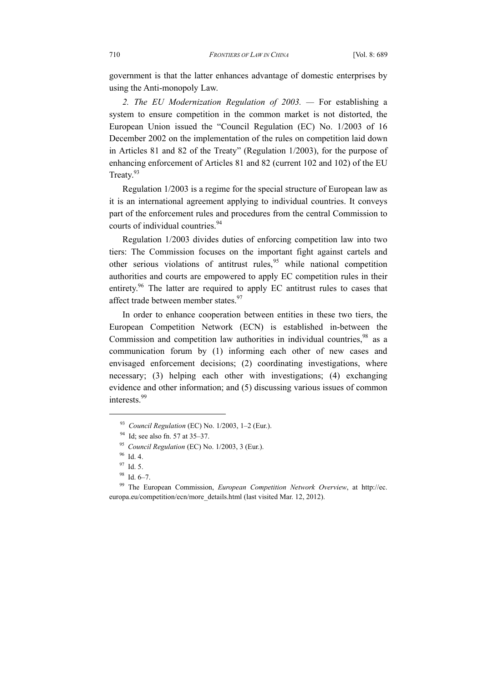government is that the latter enhances advantage of domestic enterprises by using the Anti-monopoly Law.

*2. The EU Modernization Regulation of 2003. —* For establishing a system to ensure competition in the common market is not distorted, the European Union issued the "Council Regulation (EC) No. 1/2003 of 16 December 2002 on the implementation of the rules on competition laid down in Articles 81 and 82 of the Treaty" (Regulation 1/2003), for the purpose of enhancing enforcement of Articles 81 and 82 (current 102 and 102) of the EU Treaty<sup>93</sup>

Regulation 1/2003 is a regime for the special structure of European law as it is an international agreement applying to individual countries. It conveys part of the enforcement rules and procedures from the central Commission to courts of individual countries.<sup>94</sup>

Regulation 1/2003 divides duties of enforcing competition law into two tiers: The Commission focuses on the important fight against cartels and other serious violations of antitrust rules,  $95$  while national competition authorities and courts are empowered to apply EC competition rules in their entirety.96 The latter are required to apply EC antitrust rules to cases that affect trade between member states.<sup>97</sup>

In order to enhance cooperation between entities in these two tiers, the European Competition Network (ECN) is established in-between the Commission and competition law authorities in individual countries,  $98$  as a communication forum by (1) informing each other of new cases and envisaged enforcement decisions; (2) coordinating investigations, where necessary; (3) helping each other with investigations; (4) exchanging evidence and other information; and (5) discussing various issues of common interests<sup>99</sup>

<sup>93</sup> *Council Regulation* (EC) No. 1/2003, 1–2 (Eur.).

<sup>94</sup> Id; see also fn. 57 at 35–37.

<sup>95</sup> *Council Regulation* (EC) No. 1/2003, 3 (Eur.). 96 Id. 4.

<sup>97</sup> Id. 5.

 $98$  Id.  $6-7$ .

<sup>99</sup> The European Commission, *European Competition Network Overview*, at http://ec. europa.eu/competition/ecn/more\_details.html (last visited Mar. 12, 2012).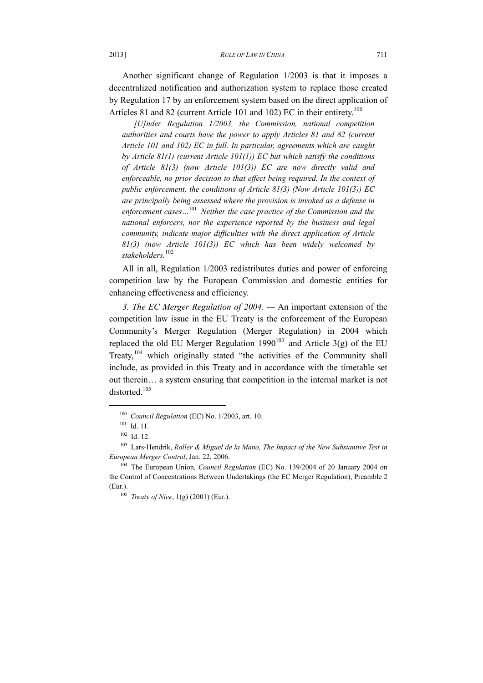Another significant change of Regulation 1/2003 is that it imposes a decentralized notification and authorization system to replace those created by Regulation 17 by an enforcement system based on the direct application of Articles 81 and 82 (current Article 101 and 102) EC in their entirety.<sup>100</sup>

*[U]nder Regulation 1/2003, the Commission, national competition authorities and courts have the power to apply Articles 81 and 82 (current Article 101 and 102) EC in full. In particular, agreements which are caught by Article 81(1) (current Article 101(1)) EC but which satisfy the conditions of Article 81(3) (now Article 101(3)) EC are now directly valid and enforceable, no prior decision to that effect being required. In the context of public enforcement, the conditions of Article 81(3) (Now Article 101(3)) EC are principally being assessed where the provision is invoked as a defense in enforcement cases…*<sup>101</sup> *Neither the case practice of the Commission and the national enforcers, nor the experience reported by the business and legal community, indicate major difficulties with the direct application of Article 81(3) (now Article 101(3)) EC which has been widely welcomed by stakeholders.*<sup>102</sup>

All in all, Regulation 1/2003 redistributes duties and power of enforcing competition law by the European Commission and domestic entities for enhancing effectiveness and efficiency.

*3. The EC Merger Regulation of 2004. —* An important extension of the competition law issue in the EU Treaty is the enforcement of the European Community's Merger Regulation (Merger Regulation) in 2004 which replaced the old EU Merger Regulation  $1990^{103}$  and Article 3(g) of the EU Treaty,<sup>104</sup> which originally stated "the activities of the Community shall include, as provided in this Treaty and in accordance with the timetable set out therein… a system ensuring that competition in the internal market is not distorted<sup>105</sup>

<sup>&</sup>lt;sup>100</sup> *Council Regulation* (EC) No. 1/2003, art. 10.<br><sup>101</sup> Id. 11.

<sup>&</sup>lt;sup>102</sup> Id. 12.<br><sup>103</sup> Lars-Hendrik, *Roller & Miguel de la Mano, The Impact of the New Substantive Test in European Merger Control*, Jan. 22, 2006.<br><sup>104</sup> The European Union, *Council Regulation* (EC) No. 139/2004 of 20 January 2004 on

the Control of Concentrations Between Undertakings (the EC Merger Regulation), Preamble 2 (Eur.).

<sup>105</sup> *Treaty of Nice*, 1(g) (2001) (Eur.).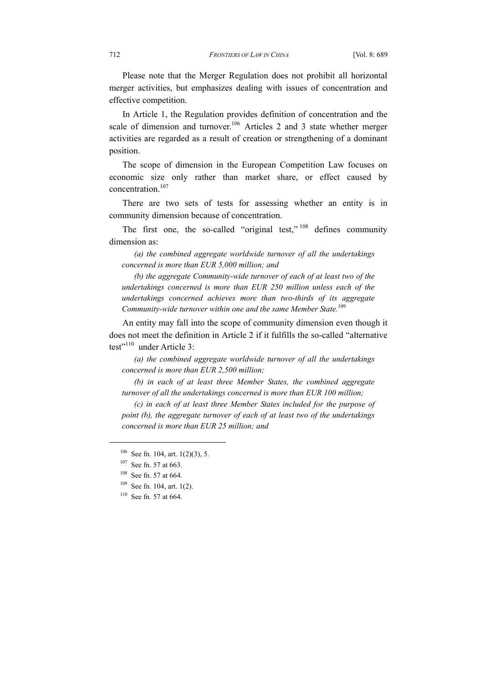Please note that the Merger Regulation does not prohibit all horizontal merger activities, but emphasizes dealing with issues of concentration and effective competition.

In Article 1, the Regulation provides definition of concentration and the scale of dimension and turnover.<sup>106</sup> Articles 2 and 3 state whether merger activities are regarded as a result of creation or strengthening of a dominant position.

The scope of dimension in the European Competition Law focuses on economic size only rather than market share, or effect caused by concentration.<sup>107</sup>

There are two sets of tests for assessing whether an entity is in community dimension because of concentration.

The first one, the so-called "original test," <sup>108</sup> defines community dimension as:

*(a) the combined aggregate worldwide turnover of all the undertakings concerned is more than EUR 5,000 million; and* 

*(b) the aggregate Community-wide turnover of each of at least two of the undertakings concerned is more than EUR 250 million unless each of the undertakings concerned achieves more than two-thirds of its aggregate Community-wide turnover within one and the same Member State.*<sup>109</sup>

An entity may fall into the scope of community dimension even though it does not meet the definition in Article 2 if it fulfills the so-called "alternative test"<sup>110</sup> under Article 3:

*(a) the combined aggregate worldwide turnover of all the undertakings concerned is more than EUR 2,500 million;* 

*(b) in each of at least three Member States, the combined aggregate turnover of all the undertakings concerned is more than EUR 100 million;* 

*(c) in each of at least three Member States included for the purpose of point (b), the aggregate turnover of each of at least two of the undertakings concerned is more than EUR 25 million; and* 

<u>.</u>

<sup>106</sup> See fn. 104, art. 1(2)(3), 5.

 $107$  See fn. 57 at 663.

 $108$  See fn. 57 at 664.

 $109$  See fn. 104, art. 1(2).

 $110$  See fn. 57 at 664.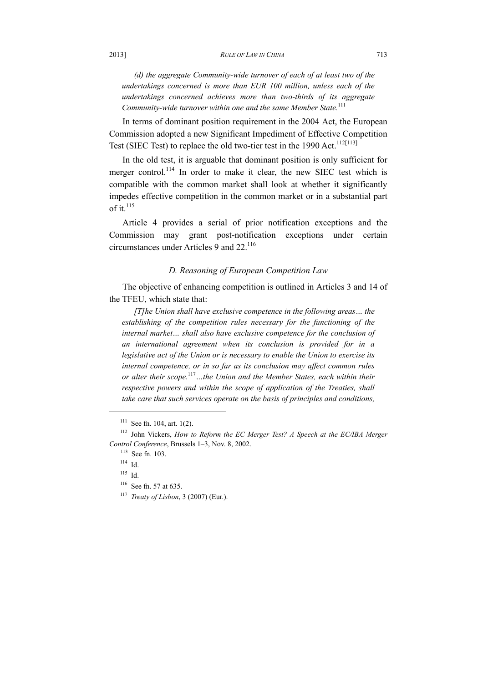*(d) the aggregate Community-wide turnover of each of at least two of the undertakings concerned is more than EUR 100 million, unless each of the undertakings concerned achieves more than two-thirds of its aggregate Community-wide turnover within one and the same Member State.*<sup>111</sup>

In terms of dominant position requirement in the 2004 Act, the European Commission adopted a new Significant Impediment of Effective Competition Test (SIEC Test) to replace the old two-tier test in the 1990 Act.<sup>112[113]</sup>

In the old test, it is arguable that dominant position is only sufficient for merger control.<sup>114</sup> In order to make it clear, the new SIEC test which is compatible with the common market shall look at whether it significantly impedes effective competition in the common market or in a substantial part of it. $115$ 

Article 4 provides a serial of prior notification exceptions and the Commission may grant post-notification exceptions under certain circumstances under Articles 9 and 22.116

#### *D. Reasoning of European Competition Law*

The objective of enhancing competition is outlined in Articles 3 and 14 of the TFEU, which state that:

*[T]he Union shall have exclusive competence in the following areas… the establishing of the competition rules necessary for the functioning of the internal market… shall also have exclusive competence for the conclusion of an international agreement when its conclusion is provided for in a legislative act of the Union or is necessary to enable the Union to exercise its internal competence, or in so far as its conclusion may affect common rules or alter their scope.*<sup>117</sup>*…the Union and the Member States, each within their respective powers and within the scope of application of the Treaties, shall take care that such services operate on the basis of principles and conditions,* 

 $111$  See fn. 104, art. 1(2).

<sup>&</sup>lt;sup>112</sup> John Vickers, *How to Reform the EC Merger Test? A Speech at the EC/IBA Merger Control Conference*, Brussels 1–3, Nov. 8, 2002.<br><sup>113</sup> See fn. 103.

 $114$  Id.

<sup>115</sup> Id.

 $116$  See fn. 57 at 635.

<sup>117</sup> *Treaty of Lisbon*, 3 (2007) (Eur.).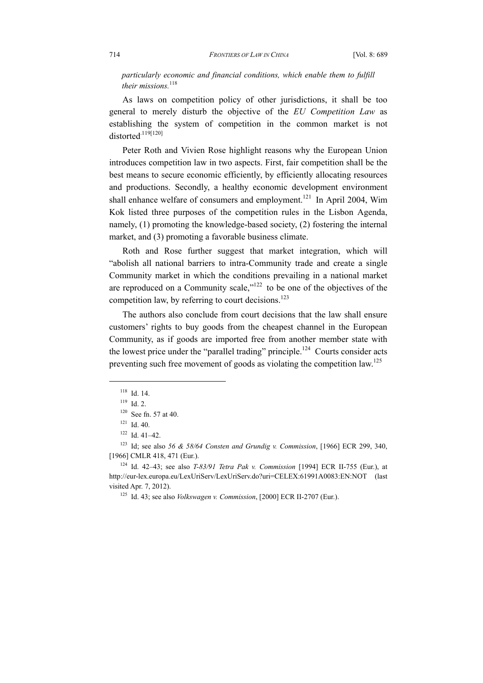*particularly economic and financial conditions, which enable them to fulfill their missions*<sup>118</sup>

As laws on competition policy of other jurisdictions, it shall be too general to merely disturb the objective of the *EU Competition Law* as establishing the system of competition in the common market is not distorted.119[120]

Peter Roth and Vivien Rose highlight reasons why the European Union introduces competition law in two aspects. First, fair competition shall be the best means to secure economic efficiently, by efficiently allocating resources and productions. Secondly, a healthy economic development environment shall enhance welfare of consumers and employment.<sup>121</sup> In April 2004, Wim Kok listed three purposes of the competition rules in the Lisbon Agenda, namely, (1) promoting the knowledge-based society, (2) fostering the internal market, and (3) promoting a favorable business climate.

Roth and Rose further suggest that market integration, which will "abolish all national barriers to intra-Community trade and create a single Community market in which the conditions prevailing in a national market are reproduced on a Community scale, $v^{122}$  to be one of the objectives of the competition law, by referring to court decisions.<sup>123</sup>

The authors also conclude from court decisions that the law shall ensure customers' rights to buy goods from the cheapest channel in the European Community, as if goods are imported free from another member state with the lowest price under the "parallel trading" principle.<sup>124</sup> Courts consider acts preventing such free movement of goods as violating the competition law.<sup>125</sup>

-

125 Id. 43; see also *Volkswagen v. Commission*, [2000] ECR II-2707 (Eur.).

<sup>118</sup> Id. 14.

 $^{119}$  Id. 2.<br><sup>120</sup> See fn. 57 at 40.

 $121$  Id. 40.

 $122$  Id. 41–42.

<sup>123</sup> Id; see also *56 & 58/64 Consten and Grundig v. Commission*, [1966] ECR 299, 340, [1966] CMLR 418, 471 (Eur.).

<sup>124</sup> Id. 42–43; see also *T-83/91 Tetra Pak v. Commission* [1994] ECR II-755 (Eur.), at http://eur-lex.europa.eu/LexUriServ/LexUriServ.do?uri=CELEX:61991A0083:EN:NOT (last visited Apr. 7, 2012).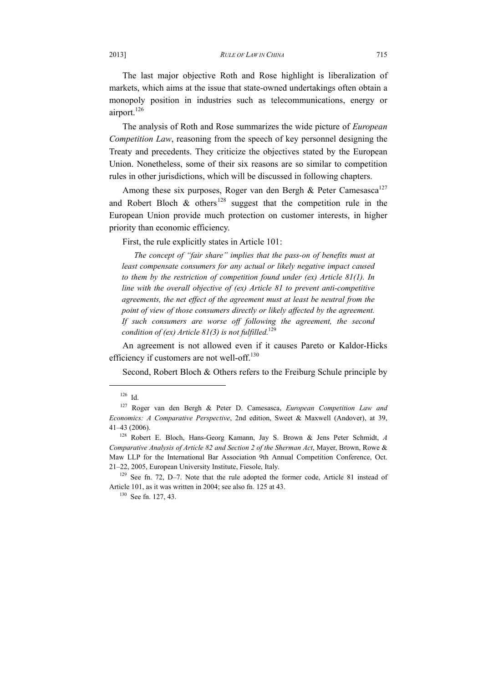The last major objective Roth and Rose highlight is liberalization of markets, which aims at the issue that state-owned undertakings often obtain a monopoly position in industries such as telecommunications, energy or airport.<sup>126</sup>

The analysis of Roth and Rose summarizes the wide picture of *European Competition Law*, reasoning from the speech of key personnel designing the Treaty and precedents. They criticize the objectives stated by the European Union. Nonetheless, some of their six reasons are so similar to competition rules in other jurisdictions, which will be discussed in following chapters.

Among these six purposes, Roger van den Bergh & Peter Camesasca<sup>127</sup> and Robert Bloch  $\&$  others<sup>128</sup> suggest that the competition rule in the European Union provide much protection on customer interests, in higher priority than economic efficiency.

First, the rule explicitly states in Article 101:

*The concept of "fair share" implies that the pass-on of benefits must at least compensate consumers for any actual or likely negative impact caused to them by the restriction of competition found under (ex) Article 81(1). In line with the overall objective of (ex) Article 81 to prevent anti-competitive agreements, the net effect of the agreement must at least be neutral from the point of view of those consumers directly or likely affected by the agreement. If such consumers are worse off following the agreement, the second condition of (ex) Article 81(3) is not fulfilled.*<sup>129</sup>

An agreement is not allowed even if it causes Pareto or Kaldor-Hicks efficiency if customers are not well-off. $130$ 

Second, Robert Bloch & Others refers to the Freiburg Schule principle by

 $126$  Id.

<sup>127</sup> Roger van den Bergh & Peter D. Camesasca, *European Competition Law and Economics: A Comparative Perspective*, 2nd edition, Sweet & Maxwell (Andover), at 39, 41–43 (2006). 128 Robert E. Bloch, Hans-Georg Kamann, Jay S. Brown & Jens Peter Schmidt, *<sup>A</sup>*

*Comparative Analysis of Article 82 and Section 2 of the Sherman Act*, Mayer, Brown, Rowe & Maw LLP for the International Bar Association 9th Annual Competition Conference, Oct. 21–22, 2005, European University Institute, Fiesole, Italy.<br><sup>129</sup> See fn. 72, D–7. Note that the rule adopted the former code, Article 81 instead of

Article 101, as it was written in 2004; see also fn. 125 at 43.<br><sup>130</sup> See fn. 127, 43.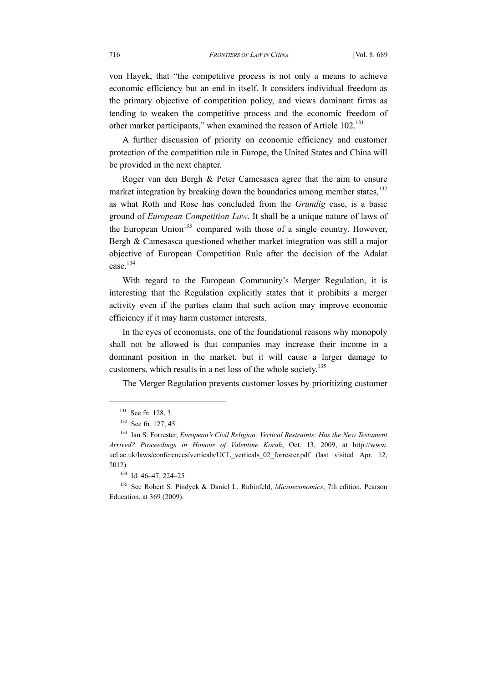von Hayek, that "the competitive process is not only a means to achieve economic efficiency but an end in itself. It considers individual freedom as the primary objective of competition policy, and views dominant firms as tending to weaken the competitive process and the economic freedom of other market participants," when examined the reason of Article 102.<sup>131</sup>

A further discussion of priority on economic efficiency and customer protection of the competition rule in Europe, the United States and China will be provided in the next chapter.

Roger van den Bergh & Peter Camesasca agree that the aim to ensure market integration by breaking down the boundaries among member states, $^{132}$ as what Roth and Rose has concluded from the *Grundig* case, is a basic ground of *European Competition Law*. It shall be a unique nature of laws of the European Union<sup>133</sup> compared with those of a single country. However, Bergh & Camesasca questioned whether market integration was still a major objective of European Competition Rule after the decision of the Adalat case.<sup>134</sup>

With regard to the European Community's Merger Regulation, it is interesting that the Regulation explicitly states that it prohibits a merger activity even if the parties claim that such action may improve economic efficiency if it may harm customer interests.

In the eyes of economists, one of the foundational reasons why monopoly shall not be allowed is that companies may increase their income in a dominant position in the market, but it will cause a larger damage to customers, which results in a net loss of the whole society.<sup>135</sup>

The Merger Regulation prevents customer losses by prioritizing customer

<sup>131</sup> See fn. 128, 3.

<sup>132</sup> See fn. 127, 45.

<sup>133</sup> Ian S. Forrester, *European's Civil Religion: Vertical Restraints: Has the New Testament Arrived? Proceedings in Honour of Valentine Korah*, Oct. 13, 2009, at http://www. ucl.ac.uk/laws/conferences/verticals/UCL verticals 02 forrester.pdf (last visited Apr. 12, 2012).

<sup>134</sup> Id*.* 46–47, 224–25

<sup>135</sup> See Robert S. Pindyck & Daniel L. Rubinfeld, *Microeconomics*, 7th edition, Pearson Education, at 369 (2009).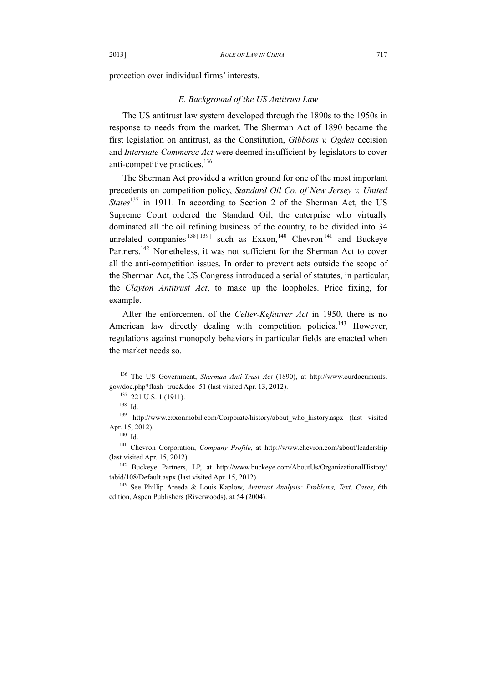protection over individual firms' interests.

#### *E. Background of the US Antitrust Law*

The US antitrust law system developed through the 1890s to the 1950s in response to needs from the market. The Sherman Act of 1890 became the first legislation on antitrust, as the Constitution, *Gibbons v. Ogden* decision and *Interstate Commerce Act* were deemed insufficient by legislators to cover anti-competitive practices.<sup>136</sup>

The Sherman Act provided a written ground for one of the most important precedents on competition policy, *Standard Oil Co. of New Jersey v. United States*<sup>137</sup> in 1911. In according to Section 2 of the Sherman Act, the US Supreme Court ordered the Standard Oil, the enterprise who virtually dominated all the oil refining business of the country, to be divided into 34 unrelated companies  $138[139]$  such as Exxon,  $140$  Chevron<sup>141</sup> and Buckeye Partners.<sup>142</sup> Nonetheless, it was not sufficient for the Sherman Act to cover all the anti-competition issues. In order to prevent acts outside the scope of the Sherman Act, the US Congress introduced a serial of statutes, in particular, the *Clayton Antitrust Act*, to make up the loopholes. Price fixing, for example.

After the enforcement of the *Celler-Kefauver Act* in 1950, there is no American law directly dealing with competition policies.<sup>143</sup> However, regulations against monopoly behaviors in particular fields are enacted when the market needs so.

<sup>136</sup> The US Government, *Sherman Anti-Trust Act* (1890), at http://www.ourdocuments. gov/doc.php?flash=true&doc=51 (last visited Apr. 13, 2012).

<sup>&</sup>lt;sup>137</sup> 221 U.S. 1 (1911).<br><sup>138</sup> Id. **139** http://www.exxonmobil.com/Corporate/history/about\_who\_history.aspx (last visited Apr. 15, 2012).<br><sup>140</sup> Id. <sup>141</sup> Chevron Corporation, *Company Profile*, at http://www.chevron.com/about/leadership

<sup>(</sup>last visited Apr. 15, 2012).<br><sup>142</sup> Buckeye Partners, LP, at http://www.buckeye.com/AboutUs/OrganizationalHistory/

tabid/108/Default.aspx (last visited Apr. 15, 2012). 143 See Phillip Areeda & Louis Kaplow, *Antitrust Analysis: Problems, Text, Cases*, 6th

edition, Aspen Publishers (Riverwoods), at 54 (2004).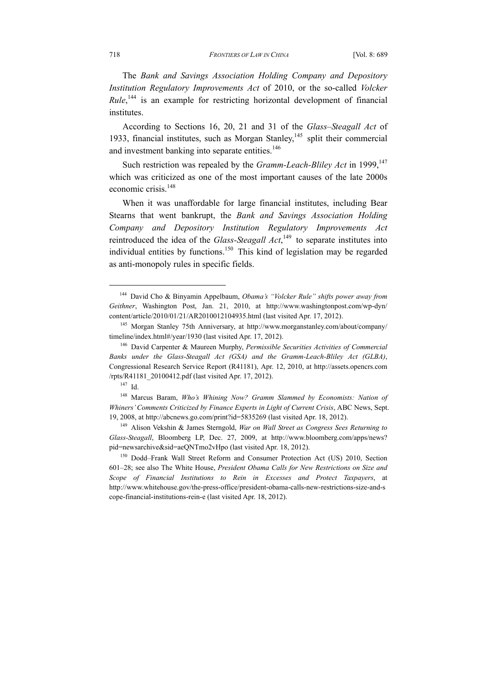The *Bank and Savings Association Holding Company and Depository Institution Regulatory Improvements Act* of 2010, or the so-called *Volcker Rule*,<sup>144</sup> is an example for restricting horizontal development of financial *institutes* 

According to Sections 16, 20, 21 and 31 of the *Glass–Steagall Act* of 1933, financial institutes, such as Morgan Stanley,<sup>145</sup> split their commercial and investment banking into separate entities.<sup>146</sup>

Such restriction was repealed by the *Gramm-Leach-Bliley Act* in 1999,<sup>147</sup> which was criticized as one of the most important causes of the late 2000s economic crisis.<sup>148</sup>

When it was unaffordable for large financial institutes, including Bear Stearns that went bankrupt, the *Bank and Savings Association Holding Company and Depository Institution Regulatory Improvements Act* reintroduced the idea of the *Glass-Steagall Act*,<sup>149</sup> to separate institutes into individual entities by functions.<sup>150</sup> This kind of legislation may be regarded as anti-monopoly rules in specific fields.

146 David Carpenter & Maureen Murphy, *Permissible Securities Activities of Commercial Banks under the Glass-Steagall Act (GSA) and the Gramm-Leach-Bliley Act (GLBA)*, Congressional Research Service Report (R41181), Apr. 12, 2010, at http://assets.opencrs.com /rpts/R41181\_20100412.pdf (last visited Apr. 17, 2012).

147 Id.

148 Marcus Baram, *Who's Whining Now? Gramm Slammed by Economists: Nation of Whiners' Comments Criticized by Finance Experts in Light of Current Crisis*, ABC News, Sept. 19, 2008, at http://abcnews.go.com/print?id=5835269 (last visited Apr. 18, 2012).

149 Alison Vekshin & James Sterngold, *War on Wall Street as Congress Sees Returning to Glass-Steagall*, Bloomberg LP, Dec. 27, 2009, at http://www.bloomberg.com/apps/news? pid=newsarchive&sid=aeQNTmo2vHpo (last visited Apr. 18, 2012).

150 Dodd–Frank Wall Street Reform and Consumer Protection Act (US) 2010, Section 601–28; see also The White House, *President Obama Calls for New Restrictions on Size and Scope of Financial Institutions to Rein in Excesses and Protect Taxpayers*, at http://www.whitehouse.gov/the-press-office/president-obama-calls-new-restrictions-size-and-s cope-financial-institutions-rein-e (last visited Apr. 18, 2012).

 <sup>144</sup> David Cho & Binyamin Appelbaum, *Obama's "Volcker Rule" shifts power away from Geithner*, Washington Post, Jan. 21, 2010, at http://www.washingtonpost.com/wp-dyn/ content/article/2010/01/21/AR2010012104935.html (last visited Apr. 17, 2012).

<sup>145</sup> Morgan Stanley 75th Anniversary, at http://www.morganstanley.com/about/company/ timeline/index.html#/year/1930 (last visited Apr. 17, 2012).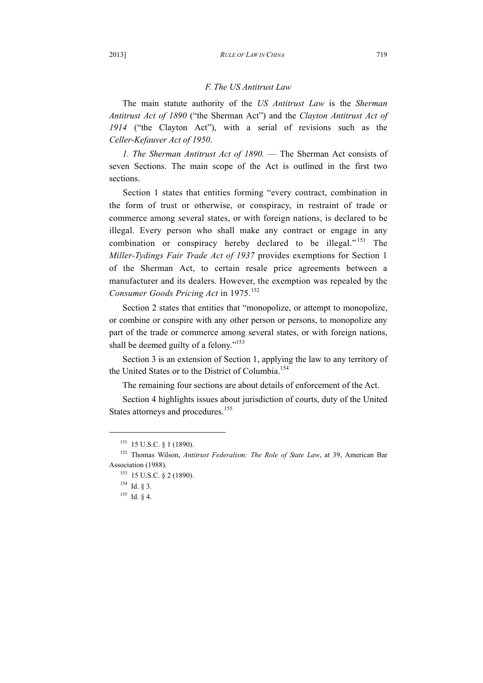#### *F. The US Antitrust Law*

The main statute authority of the *US Antitrust Law* is the *Sherman Antitrust Act of 1890* ("the Sherman Act") and the *Clayton Antitrust Act of 1914* ("the Clayton Act"), with a serial of revisions such as the *Celler-Kefauver Act of 1950*.

*1. The Sherman Antitrust Act of 1890.* — The Sherman Act consists of seven Sections. The main scope of the Act is outlined in the first two sections.

Section 1 states that entities forming "every contract, combination in the form of trust or otherwise, or conspiracy, in restraint of trade or commerce among several states, or with foreign nations, is declared to be illegal. Every person who shall make any contract or engage in any combination or conspiracy hereby declared to be illegal."<sup>151</sup> The *Miller-Tydings Fair Trade Act of 1937* provides exemptions for Section 1 of the Sherman Act, to certain resale price agreements between a manufacturer and its dealers. However, the exemption was repealed by the *Consumer Goods Pricing Act* in 1975.<sup>152</sup>

Section 2 states that entities that "monopolize, or attempt to monopolize, or combine or conspire with any other person or persons, to monopolize any part of the trade or commerce among several states, or with foreign nations, shall be deemed guilty of a felony."<sup>153</sup>

Section 3 is an extension of Section 1, applying the law to any territory of the United States or to the District of Columbia<sup>154</sup>

The remaining four sections are about details of enforcement of the Act.

Section 4 highlights issues about jurisdiction of courts, duty of the United States attorneys and procedures.<sup>155</sup>

<u>.</u>

<sup>151 15</sup> U.S.C. § 1 (1890).

<sup>152</sup> Thomas Wilson, *Antitrust Federalism: The Role of State Law*, at 39, American Bar Association (1988).

<sup>153 15</sup> U.S.C. § 2 (1890).

 $154$  Id. 8 3.

 $155$  Id.  $84$ .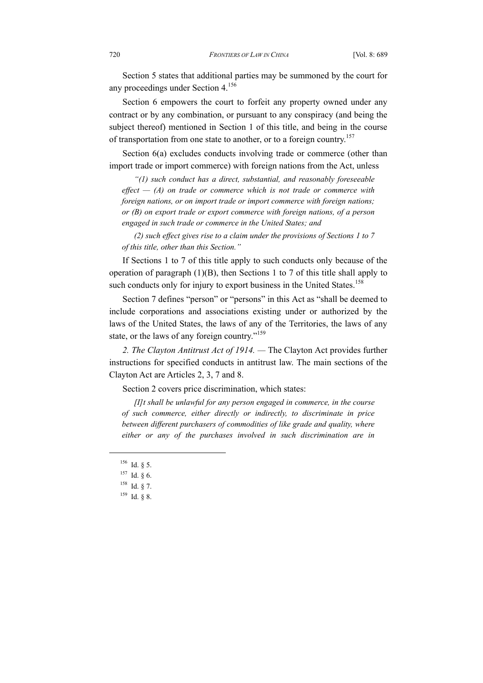Section 5 states that additional parties may be summoned by the court for any proceedings under Section 4.<sup>156</sup>

Section 6 empowers the court to forfeit any property owned under any contract or by any combination, or pursuant to any conspiracy (and being the subject thereof) mentioned in Section 1 of this title, and being in the course of transportation from one state to another, or to a foreign country.<sup>157</sup>

Section 6(a) excludes conducts involving trade or commerce (other than import trade or import commerce) with foreign nations from the Act, unless

*"(1) such conduct has a direct, substantial, and reasonably foreseeable effect — (A) on trade or commerce which is not trade or commerce with foreign nations, or on import trade or import commerce with foreign nations; or (B) on export trade or export commerce with foreign nations, of a person engaged in such trade or commerce in the United States; and* 

*(2) such effect gives rise to a claim under the provisions of Sections 1 to 7 of this title, other than this Section."* 

If Sections 1 to 7 of this title apply to such conducts only because of the operation of paragraph (1)(B), then Sections 1 to 7 of this title shall apply to such conducts only for injury to export business in the United States.<sup>158</sup>

Section 7 defines "person" or "persons" in this Act as "shall be deemed to include corporations and associations existing under or authorized by the laws of the United States, the laws of any of the Territories, the laws of any state, or the laws of any foreign country."<sup>159</sup>

*2. The Clayton Antitrust Act of 1914. —* The Clayton Act provides further instructions for specified conducts in antitrust law. The main sections of the Clayton Act are Articles 2, 3, 7 and 8.

Section 2 covers price discrimination, which states:

*[I]t shall be unlawful for any person engaged in commerce, in the course of such commerce, either directly or indirectly, to discriminate in price between different purchasers of commodities of like grade and quality, where either or any of the purchases involved in such discrimination are in* 

<sup>156</sup> Id. § 5.

 $157$  Id.  $86$ .

<sup>158</sup> Id. § 7.

<sup>159</sup> Id. § 8.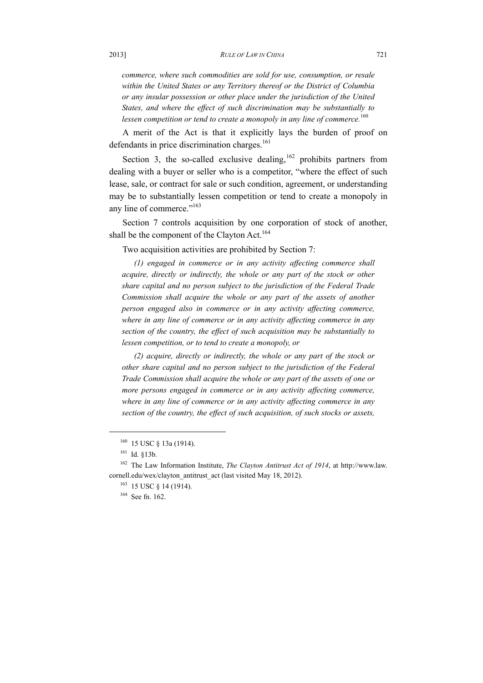*commerce, where such commodities are sold for use, consumption, or resale within the United States or any Territory thereof or the District of Columbia or any insular possession or other place under the jurisdiction of the United States, and where the effect of such discrimination may be substantially to lessen competition or tend to create a monopoly in any line of commerce.*<sup>160</sup>

A merit of the Act is that it explicitly lays the burden of proof on defendants in price discrimination charges. $161$ 

Section 3, the so-called exclusive dealing,  $162$  prohibits partners from dealing with a buyer or seller who is a competitor, "where the effect of such lease, sale, or contract for sale or such condition, agreement, or understanding may be to substantially lessen competition or tend to create a monopoly in any line of commerce."<sup>163</sup>

Section 7 controls acquisition by one corporation of stock of another, shall be the component of the Clayton Act.<sup>164</sup>

Two acquisition activities are prohibited by Section 7:

*(1) engaged in commerce or in any activity affecting commerce shall acquire, directly or indirectly, the whole or any part of the stock or other share capital and no person subject to the jurisdiction of the Federal Trade Commission shall acquire the whole or any part of the assets of another person engaged also in commerce or in any activity affecting commerce, where in any line of commerce or in any activity affecting commerce in any section of the country, the effect of such acquisition may be substantially to lessen competition, or to tend to create a monopoly, or* 

*(2) acquire, directly or indirectly, the whole or any part of the stock or other share capital and no person subject to the jurisdiction of the Federal Trade Commission shall acquire the whole or any part of the assets of one or more persons engaged in commerce or in any activity affecting commerce, where in any line of commerce or in any activity affecting commerce in any section of the country, the effect of such acquisition, of such stocks or assets,* 

<u>.</u>

<sup>160 15</sup> USC § 13a (1914).

<sup>161</sup> Id. §13b.

<sup>162</sup> The Law Information Institute, *The Clayton Antitrust Act of 1914*, at http://www.law. cornell.edu/wex/clayton\_antitrust\_act (last visited May 18, 2012).

<sup>163 15</sup> USC § 14 (1914).

<sup>164</sup> See fn. 162.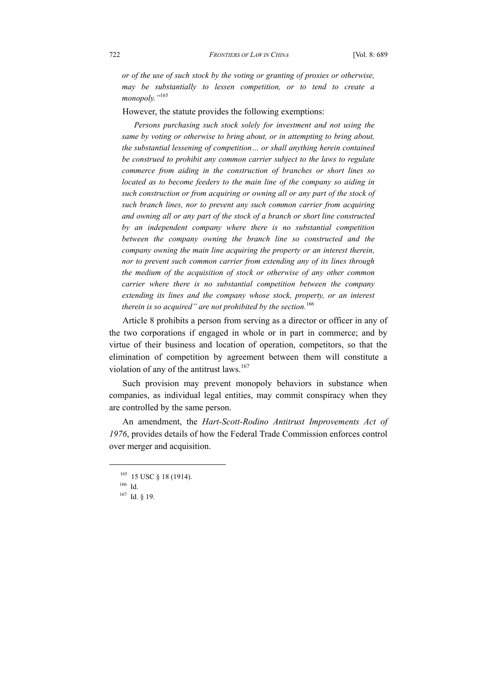*or of the use of such stock by the voting or granting of proxies or otherwise, may be substantially to lessen competition, or to tend to create a monopoly."*<sup>165</sup>

However, the statute provides the following exemptions:

*Persons purchasing such stock solely for investment and not using the same by voting or otherwise to bring about, or in attempting to bring about, the substantial lessening of competition… or shall anything herein contained be construed to prohibit any common carrier subject to the laws to regulate commerce from aiding in the construction of branches or short lines so located as to become feeders to the main line of the company so aiding in such construction or from acquiring or owning all or any part of the stock of such branch lines, nor to prevent any such common carrier from acquiring and owning all or any part of the stock of a branch or short line constructed by an independent company where there is no substantial competition between the company owning the branch line so constructed and the company owning the main line acquiring the property or an interest therein, nor to prevent such common carrier from extending any of its lines through the medium of the acquisition of stock or otherwise of any other common carrier where there is no substantial competition between the company extending its lines and the company whose stock, property, or an interest therein is so acquired" are not prohibited by the section.*<sup>166</sup>

Article 8 prohibits a person from serving as a director or officer in any of the two corporations if engaged in whole or in part in commerce; and by virtue of their business and location of operation, competitors, so that the elimination of competition by agreement between them will constitute a violation of any of the antitrust laws.<sup>167</sup>

Such provision may prevent monopoly behaviors in substance when companies, as individual legal entities, may commit conspiracy when they are controlled by the same person.

An amendment, the *Hart-Scott-Rodino Antitrust Improvements Act of 1976*, provides details of how the Federal Trade Commission enforces control over merger and acquisition.

<sup>165 15</sup> USC § 18 (1914).<br>
166 Id.<br>
167 Id. § 19.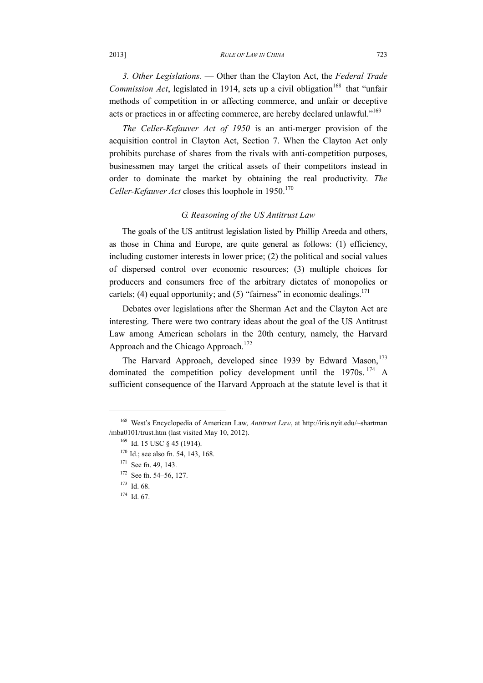*3. Other Legislations.* — Other than the Clayton Act, the *Federal Trade Commission Act*, legislated in 1914, sets up a civil obligation<sup>168</sup> that "unfair" methods of competition in or affecting commerce, and unfair or deceptive acts or practices in or affecting commerce, are hereby declared unlawful."169

*The Celler-Kefauver Act of 1950* is an anti-merger provision of the acquisition control in Clayton Act, Section 7. When the Clayton Act only prohibits purchase of shares from the rivals with anti-competition purposes, businessmen may target the critical assets of their competitors instead in order to dominate the market by obtaining the real productivity. *The Celler-Kefauver Act* closes this loophole in 1950.<sup>170</sup>

#### *G. Reasoning of the US Antitrust Law*

The goals of the US antitrust legislation listed by Phillip Areeda and others, as those in China and Europe, are quite general as follows: (1) efficiency, including customer interests in lower price; (2) the political and social values of dispersed control over economic resources; (3) multiple choices for producers and consumers free of the arbitrary dictates of monopolies or cartels; (4) equal opportunity; and (5) "fairness" in economic dealings.<sup>171</sup>

Debates over legislations after the Sherman Act and the Clayton Act are interesting. There were two contrary ideas about the goal of the US Antitrust Law among American scholars in the 20th century, namely, the Harvard Approach and the Chicago Approach.<sup>172</sup>

The Harvard Approach, developed since 1939 by Edward Mason,<sup>173</sup> dominated the competition policy development until the 1970s.<sup>174</sup> A sufficient consequence of the Harvard Approach at the statute level is that it

- 172 See fn. 54–56, 127.
- $173$  Id. 68.

-

 $174$  Id. 67.

<sup>168</sup> West's Encyclopedia of American Law, *Antitrust Law*, at http://iris.nyit.edu/~shartman /mba0101/trust.htm (last visited May 10, 2012).

<sup>169</sup> Id. 15 USC § 45 (1914).

<sup>170</sup> Id.; see also fn. 54, 143, 168.

 $171$  See fn. 49, 143.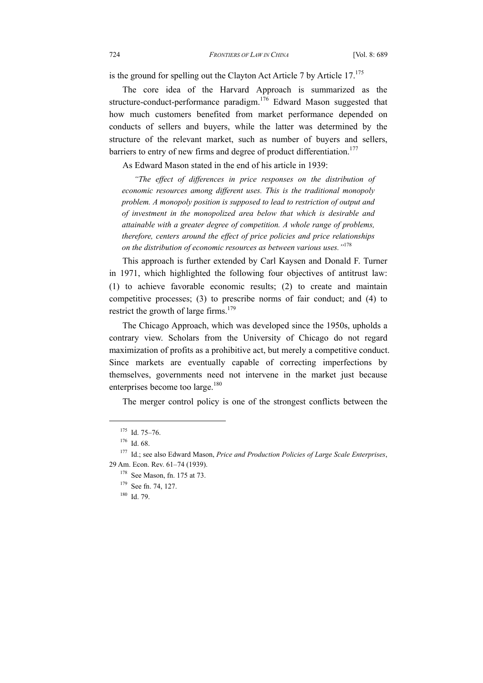is the ground for spelling out the Clayton Act Article 7 by Article 17.<sup>175</sup>

The core idea of the Harvard Approach is summarized as the structure-conduct-performance paradigm.<sup>176</sup> Edward Mason suggested that how much customers benefited from market performance depended on conducts of sellers and buyers, while the latter was determined by the structure of the relevant market, such as number of buyers and sellers, barriers to entry of new firms and degree of product differentiation.<sup>177</sup>

As Edward Mason stated in the end of his article in 1939:

*"The effect of differences in price responses on the distribution of economic resources among different uses. This is the traditional monopoly problem. A monopoly position is supposed to lead to restriction of output and of investment in the monopolized area below that which is desirable and attainable with a greater degree of competition. A whole range of problems, therefore, centers around the effect of price policies and price relationships on the distribution of economic resources as between various uses."*<sup>178</sup>

This approach is further extended by Carl Kaysen and Donald F. Turner in 1971, which highlighted the following four objectives of antitrust law: (1) to achieve favorable economic results; (2) to create and maintain competitive processes; (3) to prescribe norms of fair conduct; and (4) to restrict the growth of large firms.<sup>179</sup>

The Chicago Approach, which was developed since the 1950s, upholds a contrary view. Scholars from the University of Chicago do not regard maximization of profits as a prohibitive act, but merely a competitive conduct. Since markets are eventually capable of correcting imperfections by themselves, governments need not intervene in the market just because enterprises become too large.<sup>180</sup>

The merger control policy is one of the strongest conflicts between the

 $175$  Id. 75–76.

 $176$  Id. 68.

<sup>177</sup> Id.; see also Edward Mason, *Price and Production Policies of Large Scale Enterprises*, 29 Am. Econ. Rev. 61–74 (1939).

<sup>178</sup> See Mason, fn. 175 at 73.

<sup>179</sup> See fn. 74, 127.

<sup>180</sup> Id. 79.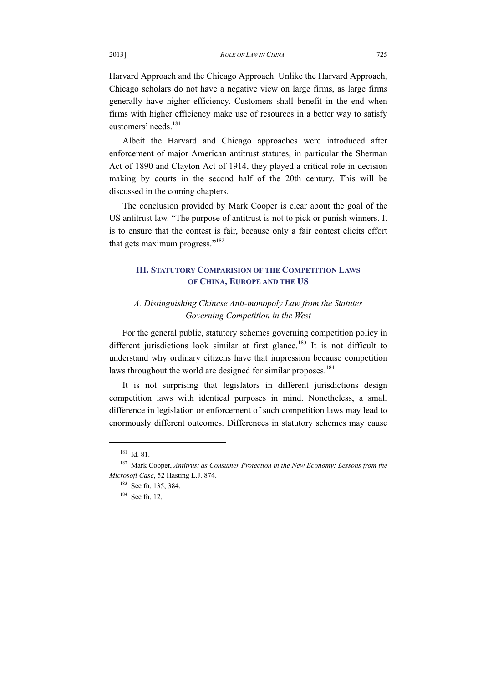Harvard Approach and the Chicago Approach. Unlike the Harvard Approach, Chicago scholars do not have a negative view on large firms, as large firms generally have higher efficiency. Customers shall benefit in the end when firms with higher efficiency make use of resources in a better way to satisfy customers' needs.<sup>181</sup>

Albeit the Harvard and Chicago approaches were introduced after enforcement of major American antitrust statutes, in particular the Sherman Act of 1890 and Clayton Act of 1914, they played a critical role in decision making by courts in the second half of the 20th century. This will be discussed in the coming chapters.

The conclusion provided by Mark Cooper is clear about the goal of the US antitrust law. "The purpose of antitrust is not to pick or punish winners. It is to ensure that the contest is fair, because only a fair contest elicits effort that gets maximum progress."182

# **III. STATUTORY COMPARISION OF THE COMPETITION LAWS OF CHINA, EUROPE AND THE US**

# *A. Distinguishing Chinese Anti-monopoly Law from the Statutes Governing Competition in the West*

For the general public, statutory schemes governing competition policy in different jurisdictions look similar at first glance.<sup>183</sup> It is not difficult to understand why ordinary citizens have that impression because competition laws throughout the world are designed for similar proposes.<sup>184</sup>

It is not surprising that legislators in different jurisdictions design competition laws with identical purposes in mind. Nonetheless, a small difference in legislation or enforcement of such competition laws may lead to enormously different outcomes. Differences in statutory schemes may cause

<sup>181</sup> Id. 81.

<sup>182</sup> Mark Cooper, *Antitrust as Consumer Protection in the New Economy: Lessons from the Microsoft Case*, 52 Hasting L.J. 874.

<sup>183</sup> See fn. 135, 384.

 $184$  See fn. 12.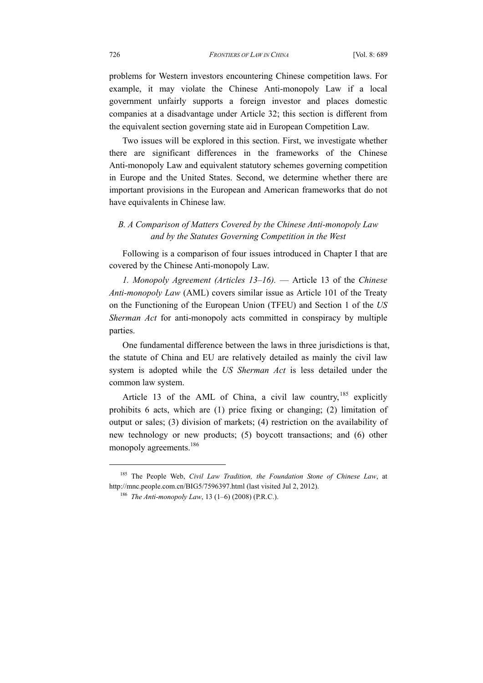problems for Western investors encountering Chinese competition laws. For example, it may violate the Chinese Anti-monopoly Law if a local government unfairly supports a foreign investor and places domestic companies at a disadvantage under Article 32; this section is different from the equivalent section governing state aid in European Competition Law.

Two issues will be explored in this section. First, we investigate whether there are significant differences in the frameworks of the Chinese Anti-monopoly Law and equivalent statutory schemes governing competition in Europe and the United States. Second, we determine whether there are important provisions in the European and American frameworks that do not have equivalents in Chinese law.

# *B. A Comparison of Matters Covered by the Chinese Anti-monopoly Law and by the Statutes Governing Competition in the West*

Following is a comparison of four issues introduced in Chapter I that are covered by the Chinese Anti-monopoly Law.

*1. Monopoly Agreement (Articles 13–16).* — Article 13 of the *Chinese Anti-monopoly Law* (AML) covers similar issue as Article 101 of the Treaty on the Functioning of the European Union (TFEU) and Section 1 of the *US Sherman Act* for anti-monopoly acts committed in conspiracy by multiple parties.

One fundamental difference between the laws in three jurisdictions is that, the statute of China and EU are relatively detailed as mainly the civil law system is adopted while the *US Sherman Act* is less detailed under the common law system.

Article 13 of the AML of China, a civil law country,  $185$  explicitly prohibits 6 acts, which are (1) price fixing or changing; (2) limitation of output or sales; (3) division of markets; (4) restriction on the availability of new technology or new products; (5) boycott transactions; and (6) other monopoly agreements.<sup>186</sup>

<sup>185</sup> The People Web, *Civil Law Tradition, the Foundation Stone of Chinese Law*, at http://mnc.people.com.cn/BIG5/7596397.html (last visited Jul 2, 2012).

<sup>186</sup> *The Anti-monopoly Law*, 13 (1–6) (2008) (P.R.C.).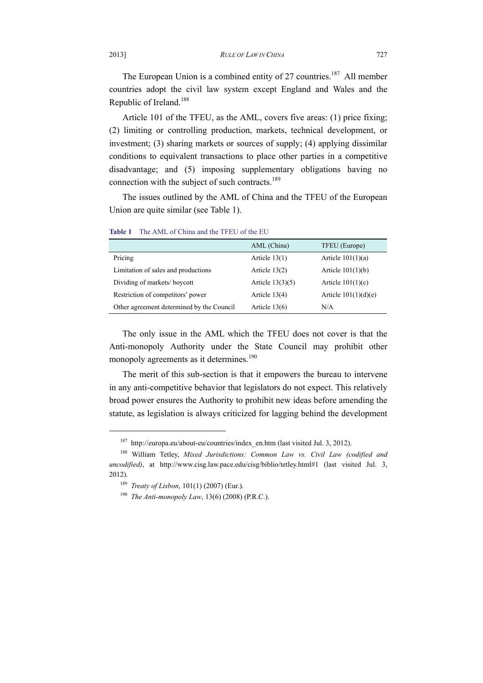The European Union is a combined entity of 27 countries.<sup>187</sup> All member countries adopt the civil law system except England and Wales and the Republic of Ireland.<sup>188</sup>

Article 101 of the TFEU, as the AML, covers five areas: (1) price fixing; (2) limiting or controlling production, markets, technical development, or investment; (3) sharing markets or sources of supply; (4) applying dissimilar conditions to equivalent transactions to place other parties in a competitive disadvantage; and (5) imposing supplementary obligations having no connection with the subject of such contracts.<sup>189</sup>

The issues outlined by the AML of China and the TFEU of the European Union are quite similar (see Table 1).

|                                           | AML (China)        | TFEU (Europe)          |
|-------------------------------------------|--------------------|------------------------|
| Pricing                                   | Article $13(1)$    | Article $101(1)(a)$    |
| Limitation of sales and productions       | Article $13(2)$    | Article $101(1)(b)$    |
| Dividing of markets/boycott               | Article $13(3)(5)$ | Article $101(1)(c)$    |
| Restriction of competitors' power         | Article $13(4)$    | Article $101(1)(d)(e)$ |
| Other agreement determined by the Council | Article $13(6)$    | N/A                    |

**Table 1** The AML of China and the TFEU of the EU

The only issue in the AML which the TFEU does not cover is that the Anti-monopoly Authority under the State Council may prohibit other monopoly agreements as it determines.<sup>190</sup>

The merit of this sub-section is that it empowers the bureau to intervene in any anti-competitive behavior that legislators do not expect. This relatively broad power ensures the Authority to prohibit new ideas before amending the statute, as legislation is always criticized for lagging behind the development

<sup>&</sup>lt;sup>187</sup> http://europa.eu/about-eu/countries/index\_en.htm (last visited Jul. 3, 2012).

<sup>188</sup> William Tetley, *Mixed Jurisdictions: Common Law vs. Civil Law (codified and uncodified)*, at http://www.cisg.law.pace.edu/cisg/biblio/tetley.html#1 (last visited Jul. 3, 2012).

<sup>189</sup> *Treaty of Lisbon*, 101(1) (2007) (Eur.).

<sup>190</sup> *The Anti-monopoly Law*, 13(6) (2008) (P.R.C.).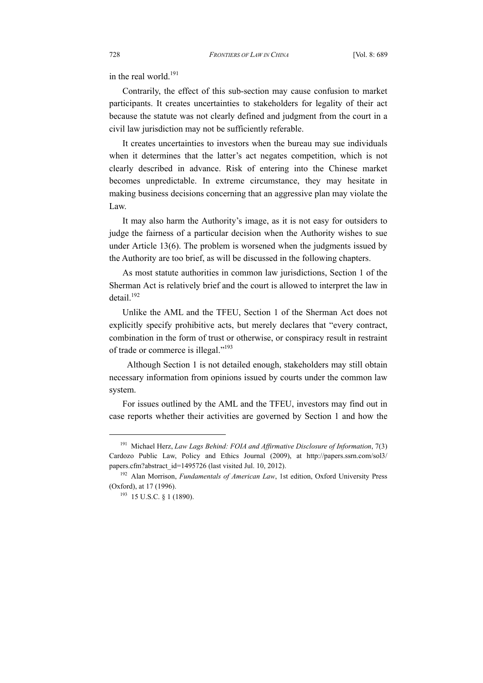in the real world  $191$ 

Contrarily, the effect of this sub-section may cause confusion to market participants. It creates uncertainties to stakeholders for legality of their act because the statute was not clearly defined and judgment from the court in a civil law jurisdiction may not be sufficiently referable.

It creates uncertainties to investors when the bureau may sue individuals when it determines that the latter's act negates competition, which is not clearly described in advance. Risk of entering into the Chinese market becomes unpredictable. In extreme circumstance, they may hesitate in making business decisions concerning that an aggressive plan may violate the Law.

It may also harm the Authority's image, as it is not easy for outsiders to judge the fairness of a particular decision when the Authority wishes to sue under Article 13(6). The problem is worsened when the judgments issued by the Authority are too brief, as will be discussed in the following chapters.

As most statute authorities in common law jurisdictions, Section 1 of the Sherman Act is relatively brief and the court is allowed to interpret the law in  $deta$ <sup>192</sup>

Unlike the AML and the TFEU, Section 1 of the Sherman Act does not explicitly specify prohibitive acts, but merely declares that "every contract, combination in the form of trust or otherwise, or conspiracy result in restraint of trade or commerce is illegal."193

 Although Section 1 is not detailed enough, stakeholders may still obtain necessary information from opinions issued by courts under the common law system.

For issues outlined by the AML and the TFEU, investors may find out in case reports whether their activities are governed by Section 1 and how the

<sup>191</sup> Michael Herz, *Law Lags Behind: FOIA and Affirmative Disclosure of Information*, 7(3) Cardozo Public Law, Policy and Ethics Journal (2009), at http://papers.ssrn.com/sol3/ papers.cfm?abstract\_id=1495726 (last visited Jul. 10, 2012).

<sup>192</sup> Alan Morrison, *Fundamentals of American Law*, 1st edition, Oxford University Press (Oxford), at 17 (1996).

 $193$  15 U.S.C. § 1 (1890).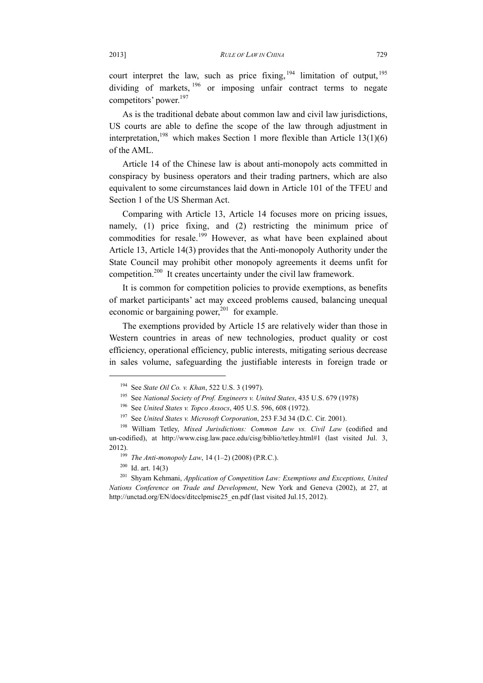court interpret the law, such as price fixing,  $194$  limitation of output,  $195$ dividing of markets, <sup>196</sup> or imposing unfair contract terms to negate competitors' power.<sup>197</sup>

As is the traditional debate about common law and civil law jurisdictions, US courts are able to define the scope of the law through adjustment in interpretation,<sup>198</sup> which makes Section 1 more flexible than Article 13(1)(6) of the AML.

Article 14 of the Chinese law is about anti-monopoly acts committed in conspiracy by business operators and their trading partners, which are also equivalent to some circumstances laid down in Article 101 of the TFEU and Section 1 of the US Sherman Act.

Comparing with Article 13, Article 14 focuses more on pricing issues, namely, (1) price fixing, and (2) restricting the minimum price of commodities for resale.<sup>199</sup> However, as what have been explained about Article 13, Article 14(3) provides that the Anti-monopoly Authority under the State Council may prohibit other monopoly agreements it deems unfit for competition.200 It creates uncertainty under the civil law framework.

It is common for competition policies to provide exemptions, as benefits of market participants' act may exceed problems caused, balancing unequal economic or bargaining power, $^{201}$  for example.

The exemptions provided by Article 15 are relatively wider than those in Western countries in areas of new technologies, product quality or cost efficiency, operational efficiency, public interests, mitigating serious decrease in sales volume, safeguarding the justifiable interests in foreign trade or

<sup>&</sup>lt;sup>194</sup> See *State Oil Co. v. Khan*, 522 U.S. 3 (1997).<br><sup>195</sup> See *National Society of Prof. Engineers v. United States*, 435 U.S. 679 (1978)<br><sup>196</sup> See *United States v. Topco Assocs*, 405 U.S. 596, 608 (1972).<br><sup>197</sup> See *U* 

un-codified), at http://www.cisg.law.pace.edu/cisg/biblio/tetley.html#1 (last visited Jul. 3, 2012).<br><sup>199</sup> *The Anti-monopoly Law*, 14 (1–2) (2008) (P.R.C.).<br><sup>200</sup> Id. art. 14(3)<br><sup>201</sup> Shyam Kehmani, *Application of Competition Law: Exemptions and Exceptions, United* 

*Nations Conference on Trade and Development*, New York and Geneva (2002), at 27, at http://unctad.org/EN/docs/ditcclpmisc25\_en.pdf (last visited Jul.15, 2012).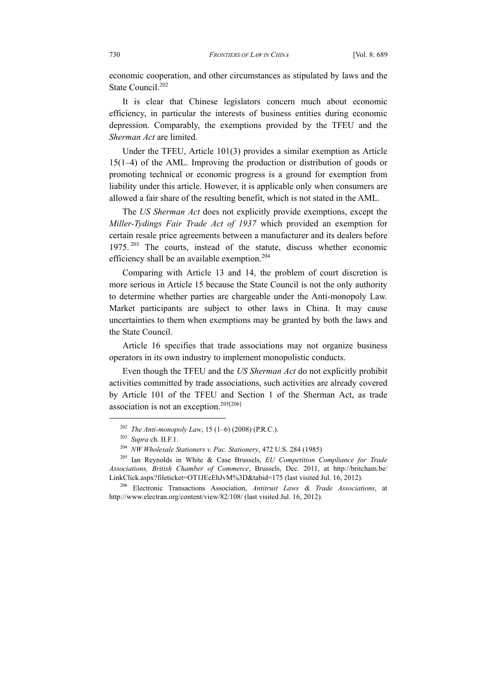economic cooperation, and other circumstances as stipulated by laws and the State Council.<sup>202</sup>

It is clear that Chinese legislators concern much about economic efficiency, in particular the interests of business entities during economic depression. Comparably, the exemptions provided by the TFEU and the *Sherman Act* are limited.

Under the TFEU, Article 101(3) provides a similar exemption as Article 15(1–4) of the AML. Improving the production or distribution of goods or promoting technical or economic progress is a ground for exemption from liability under this article. However, it is applicable only when consumers are allowed a fair share of the resulting benefit, which is not stated in the AML.

The *US Sherman Act* does not explicitly provide exemptions, except the *Miller-Tydings Fair Trade Act of 1937* which provided an exemption for certain resale price agreements between a manufacturer and its dealers before 1975.<sup>203</sup> The courts, instead of the statute, discuss whether economic efficiency shall be an available exemption.<sup>204</sup>

Comparing with Article 13 and 14, the problem of court discretion is more serious in Article 15 because the State Council is not the only authority to determine whether parties are chargeable under the Anti-monopoly Law. Market participants are subject to other laws in China. It may cause uncertainties to them when exemptions may be granted by both the laws and the State Council.

Article 16 specifies that trade associations may not organize business operators in its own industry to implement monopolistic conducts.

Even though the TFEU and the *US Sherman Act* do not explicitly prohibit activities committed by trade associations, such activities are already covered by Article 101 of the TFEU and Section 1 of the Sherman Act, as trade association is not an exception.<sup>205[206]</sup>

<sup>&</sup>lt;sup>202</sup> The Anti-monopoly Law, 15 (1–6) (2008) (P.R.C.).<br><sup>203</sup> Supra ch. II.F.1.<br><sup>204</sup> NW Wholesale Stationers v. Pac. Stationery, 472 U.S. 284 (1985)<br><sup>205</sup> Ian Reynolds in White & Case Brussels, *EU Competition Compliance Associations, British Chamber of Commerce*, Brussels, Dec. 2011, at http://britcham.be/ LinkClick.aspx?fileticket=OT1JEcEhJvM%3D&tabid=175 (last visited Jul. 16, 2012). 206 Electronic Transactions Association, *Antitrust Laws & Trade Associations*, at

http://www.electran.org/content/view/82/108/ (last visited Jul. 16, 2012).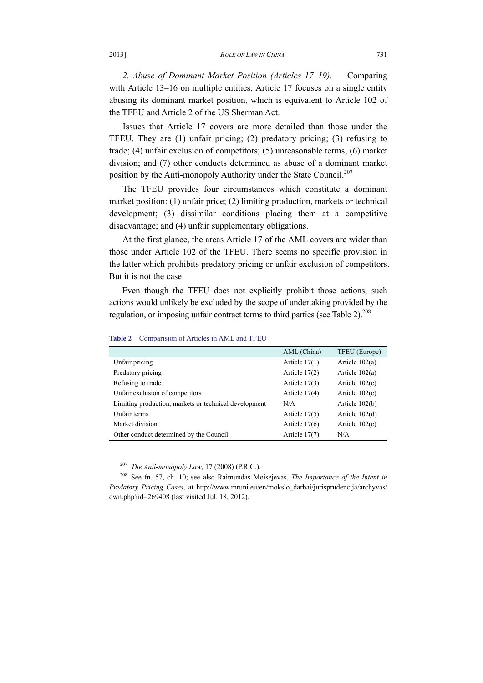*2. Abuse of Dominant Market Position (Articles 17–19). —* Comparing with Article 13–16 on multiple entities, Article 17 focuses on a single entity abusing its dominant market position, which is equivalent to Article 102 of the TFEU and Article 2 of the US Sherman Act.

Issues that Article 17 covers are more detailed than those under the TFEU. They are (1) unfair pricing; (2) predatory pricing; (3) refusing to trade; (4) unfair exclusion of competitors; (5) unreasonable terms; (6) market division; and (7) other conducts determined as abuse of a dominant market position by the Anti-monopoly Authority under the State Council.<sup>207</sup>

The TFEU provides four circumstances which constitute a dominant market position: (1) unfair price; (2) limiting production, markets or technical development; (3) dissimilar conditions placing them at a competitive disadvantage; and (4) unfair supplementary obligations.

At the first glance, the areas Article 17 of the AML covers are wider than those under Article 102 of the TFEU. There seems no specific provision in the latter which prohibits predatory pricing or unfair exclusion of competitors. But it is not the case.

Even though the TFEU does not explicitly prohibit those actions, such actions would unlikely be excluded by the scope of undertaking provided by the regulation, or imposing unfair contract terms to third parties (see Table  $2$ ).<sup>208</sup>

|                                                       | AML (China)     | TFEU (Europe)    |
|-------------------------------------------------------|-----------------|------------------|
| Unfair pricing                                        | Article $17(1)$ | Article $102(a)$ |
| Predatory pricing                                     | Article $17(2)$ | Article $102(a)$ |
| Refusing to trade                                     | Article $17(3)$ | Article $102(c)$ |
| Unfair exclusion of competitors                       | Article $17(4)$ | Article $102(c)$ |
| Limiting production, markets or technical development | N/A             | Article $102(b)$ |
| Unfair terms                                          | Article $17(5)$ | Article $102(d)$ |
| Market division                                       | Article $17(6)$ | Article $102(c)$ |
| Other conduct determined by the Council               | Article $17(7)$ | N/A              |

| Comparision of Articles in AML and TFEU | <b>Table 2</b> |  |  |  |  |
|-----------------------------------------|----------------|--|--|--|--|
|-----------------------------------------|----------------|--|--|--|--|

<sup>207</sup> *The Anti-monopoly Law*, 17 (2008) (P.R.C.).

<sup>208</sup> See fn. 57, ch. 10; see also Raimundas Moisejevas, *The Importance of the Intent in Predatory Pricing Cases*, at http://www.mruni.eu/en/mokslo\_darbai/jurisprudencija/archyvas/ dwn.php?id=269408 (last visited Jul. 18, 2012).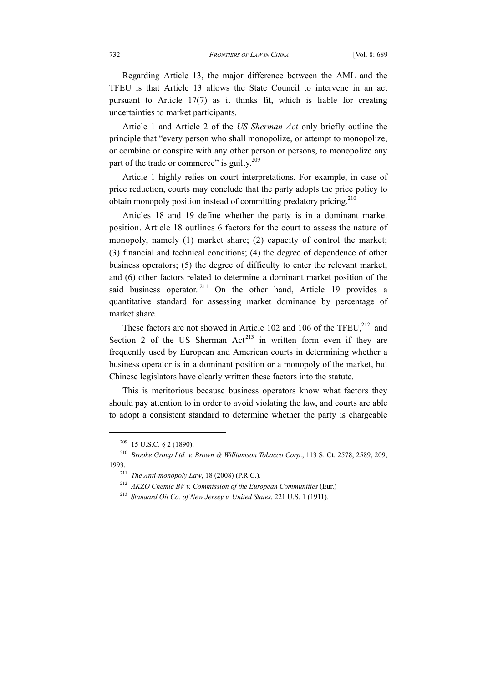Regarding Article 13, the major difference between the AML and the TFEU is that Article 13 allows the State Council to intervene in an act pursuant to Article 17(7) as it thinks fit, which is liable for creating uncertainties to market participants.

Article 1 and Article 2 of the *US Sherman Act* only briefly outline the principle that "every person who shall monopolize, or attempt to monopolize, or combine or conspire with any other person or persons, to monopolize any part of the trade or commerce" is guilty.<sup>209</sup>

Article 1 highly relies on court interpretations. For example, in case of price reduction, courts may conclude that the party adopts the price policy to obtain monopoly position instead of committing predatory pricing.<sup>210</sup>

Articles 18 and 19 define whether the party is in a dominant market position. Article 18 outlines 6 factors for the court to assess the nature of monopoly, namely (1) market share; (2) capacity of control the market; (3) financial and technical conditions; (4) the degree of dependence of other business operators; (5) the degree of difficulty to enter the relevant market; and (6) other factors related to determine a dominant market position of the said business operator.  $2^{11}$  On the other hand, Article 19 provides a quantitative standard for assessing market dominance by percentage of market share.

These factors are not showed in Article 102 and 106 of the TFEU,<sup>212</sup> and Section 2 of the US Sherman  $Act^{213}$  in written form even if they are frequently used by European and American courts in determining whether a business operator is in a dominant position or a monopoly of the market, but Chinese legislators have clearly written these factors into the statute.

This is meritorious because business operators know what factors they should pay attention to in order to avoid violating the law, and courts are able to adopt a consistent standard to determine whether the party is chargeable

<u>.</u>

<sup>209 15</sup> U.S.C. § 2 (1890).

<sup>210</sup> *Brooke Group Ltd. v. Brown & Williamson Tobacco Corp*., 113 S. Ct. 2578, 2589, 209, 1993.

<sup>211</sup> *The Anti-monopoly Law*, 18 (2008) (P.R.C.).

<sup>212</sup> *AKZO Chemie BV v. Commission of the European Communities* (Eur.)

<sup>213</sup> *Standard Oil Co. of New Jersey v. United States*, 221 U.S. 1 (1911).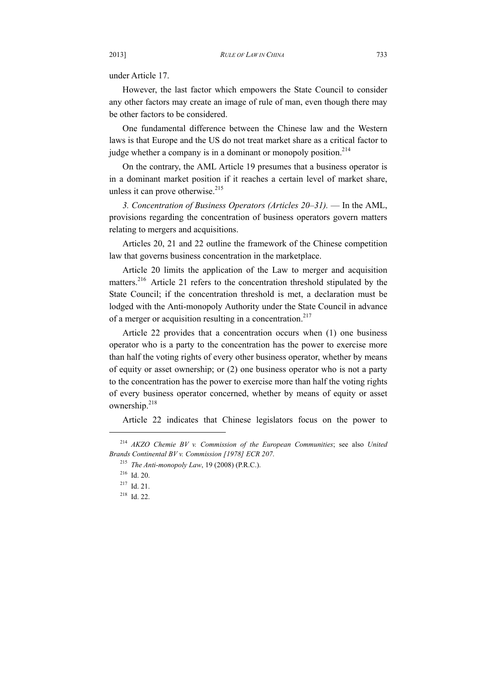under Article 17.

However, the last factor which empowers the State Council to consider any other factors may create an image of rule of man, even though there may be other factors to be considered.

One fundamental difference between the Chinese law and the Western laws is that Europe and the US do not treat market share as a critical factor to judge whether a company is in a dominant or monopoly position.<sup>214</sup>

On the contrary, the AML Article 19 presumes that a business operator is in a dominant market position if it reaches a certain level of market share, unless it can prove otherwise.<sup>215</sup>

*3. Concentration of Business Operators (Articles 20–31).* — In the AML, provisions regarding the concentration of business operators govern matters relating to mergers and acquisitions.

Articles 20, 21 and 22 outline the framework of the Chinese competition law that governs business concentration in the marketplace.

Article 20 limits the application of the Law to merger and acquisition matters.<sup>216</sup> Article 21 refers to the concentration threshold stipulated by the State Council; if the concentration threshold is met, a declaration must be lodged with the Anti-monopoly Authority under the State Council in advance of a merger or acquisition resulting in a concentration.<sup>217</sup>

Article 22 provides that a concentration occurs when (1) one business operator who is a party to the concentration has the power to exercise more than half the voting rights of every other business operator, whether by means of equity or asset ownership; or (2) one business operator who is not a party to the concentration has the power to exercise more than half the voting rights of every business operator concerned, whether by means of equity or asset ownership.<sup>218</sup>

Article 22 indicates that Chinese legislators focus on the power to

<u>.</u>

<sup>214</sup> *AKZO Chemie BV v. Commission of the European Communities*; see also *United Brands Continental BV v. Commission [1978] ECR 207*.

<sup>&</sup>lt;sup>215</sup> *The Anti-monopoly Law*, 19 (2008) (P.R.C.).

 $216$  Id. 20.

 $217$  Id. 21.

 $218$  Id. 22.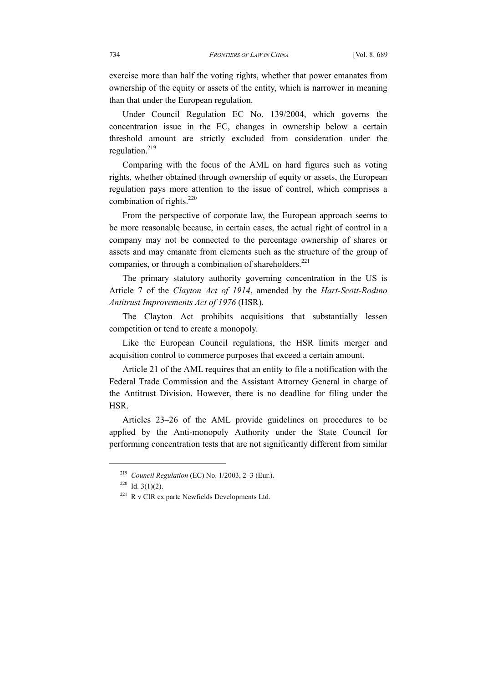exercise more than half the voting rights, whether that power emanates from ownership of the equity or assets of the entity, which is narrower in meaning than that under the European regulation.

Under Council Regulation EC No. 139/2004, which governs the concentration issue in the EC, changes in ownership below a certain threshold amount are strictly excluded from consideration under the regulation. $219$ 

Comparing with the focus of the AML on hard figures such as voting rights, whether obtained through ownership of equity or assets, the European regulation pays more attention to the issue of control, which comprises a combination of rights. $220$ 

From the perspective of corporate law, the European approach seems to be more reasonable because, in certain cases, the actual right of control in a company may not be connected to the percentage ownership of shares or assets and may emanate from elements such as the structure of the group of companies, or through a combination of shareholders.<sup>221</sup>

The primary statutory authority governing concentration in the US is Article 7 of the *Clayton Act of 1914*, amended by the *Hart-Scott-Rodino Antitrust Improvements Act of 1976* (HSR).

The Clayton Act prohibits acquisitions that substantially lessen competition or tend to create a monopoly.

Like the European Council regulations, the HSR limits merger and acquisition control to commerce purposes that exceed a certain amount.

Article 21 of the AML requires that an entity to file a notification with the Federal Trade Commission and the Assistant Attorney General in charge of the Antitrust Division. However, there is no deadline for filing under the HSR.

Articles 23–26 of the AML provide guidelines on procedures to be applied by the Anti-monopoly Authority under the State Council for performing concentration tests that are not significantly different from similar

<sup>219</sup> *Council Regulation* (EC) No. 1/2003, 2–3 (Eur.).

 $220$  Id. 3(1)(2).

 $221$  R v CIR ex parte Newfields Developments Ltd.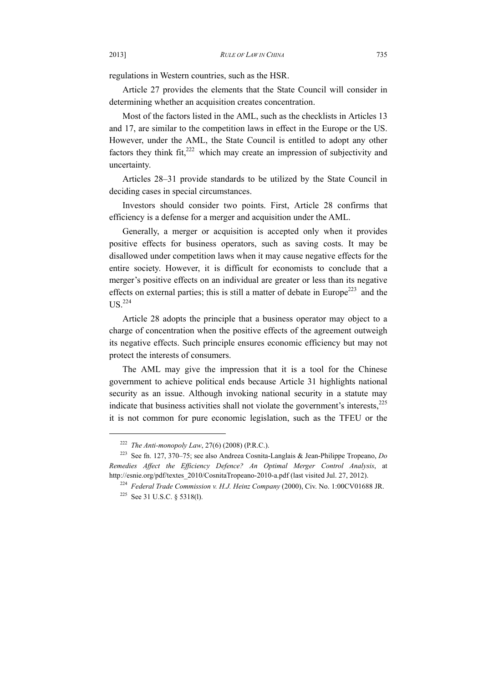regulations in Western countries, such as the HSR.

Article 27 provides the elements that the State Council will consider in determining whether an acquisition creates concentration.

Most of the factors listed in the AML, such as the checklists in Articles 13 and 17, are similar to the competition laws in effect in the Europe or the US. However, under the AML, the State Council is entitled to adopt any other factors they think fit, $222$  which may create an impression of subjectivity and uncertainty.

Articles 28–31 provide standards to be utilized by the State Council in deciding cases in special circumstances.

Investors should consider two points. First, Article 28 confirms that efficiency is a defense for a merger and acquisition under the AML.

Generally, a merger or acquisition is accepted only when it provides positive effects for business operators, such as saving costs. It may be disallowed under competition laws when it may cause negative effects for the entire society. However, it is difficult for economists to conclude that a merger's positive effects on an individual are greater or less than its negative effects on external parties; this is still a matter of debate in Europe<sup>223</sup> and the  $US<sup>224</sup>$ 

Article 28 adopts the principle that a business operator may object to a charge of concentration when the positive effects of the agreement outweigh its negative effects. Such principle ensures economic efficiency but may not protect the interests of consumers.

The AML may give the impression that it is a tool for the Chinese government to achieve political ends because Article 31 highlights national security as an issue. Although invoking national security in a statute may indicate that business activities shall not violate the government's interests, $^{225}$ it is not common for pure economic legislation, such as the TFEU or the

<sup>&</sup>lt;sup>222</sup> *The Anti-monopoly Law*, 27(6) (2008) (P.R.C.).

<sup>223</sup> See fn. 127, 370–75; see also Andreea Cosnita-Langlais & Jean-Philippe Tropeano, *Do Remedies Affect the Efficiency Defence? An Optimal Merger Control Analysis*, at http://esnie.org/pdf/textes\_2010/CosnitaTropeano-2010-a.pdf (last visited Jul. 27, 2012).

<sup>224</sup> *Federal Trade Commission v. H.J. Heinz Company* (2000), Civ. No. 1:00CV01688 JR.

<sup>225</sup> See 31 U.S.C. § 5318(l).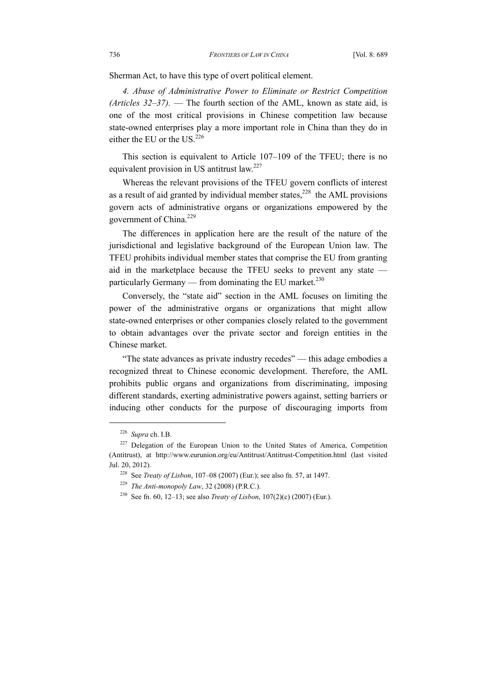Sherman Act, to have this type of overt political element.

*4. Abuse of Administrative Power to Eliminate or Restrict Competition (Articles 32–37).* — The fourth section of the AML, known as state aid, is one of the most critical provisions in Chinese competition law because state-owned enterprises play a more important role in China than they do in either the EU or the US  $^{226}$ 

This section is equivalent to Article 107–109 of the TFEU; there is no equivalent provision in US antitrust  $\int_0^{227}$ 

Whereas the relevant provisions of the TFEU govern conflicts of interest as a result of aid granted by individual member states, $^{228}$  the AML provisions govern acts of administrative organs or organizations empowered by the government of China.<sup>229</sup>

The differences in application here are the result of the nature of the jurisdictional and legislative background of the European Union law. The TFEU prohibits individual member states that comprise the EU from granting aid in the marketplace because the TFEU seeks to prevent any state particularly Germany — from dominating the EU market. $230$ 

Conversely, the "state aid" section in the AML focuses on limiting the power of the administrative organs or organizations that might allow state-owned enterprises or other companies closely related to the government to obtain advantages over the private sector and foreign entities in the Chinese market.

"The state advances as private industry recedes" — this adage embodies a recognized threat to Chinese economic development. Therefore, the AML prohibits public organs and organizations from discriminating, imposing different standards, exerting administrative powers against, setting barriers or inducing other conducts for the purpose of discouraging imports from

<u>.</u>

<sup>226</sup> *Supra* ch. I.B.

<sup>&</sup>lt;sup>227</sup> Delegation of the European Union to the United States of America, Competition (Antitrust), at http://www.eurunion.org/eu/Antitrust/Antitrust-Competition.html (last visited Jul. 20, 2012).

<sup>228</sup> See *Treaty of Lisbon*, 107–08 (2007) (Eur.); see also fn. 57, at 1497.

<sup>&</sup>lt;sup>229</sup> *The Anti-monopoly Law*, 32 (2008) (P.R.C.).

<sup>230</sup> See fn. 60, 12–13; see also *Treaty of Lisbon*, 107(2)(c) (2007) (Eur.).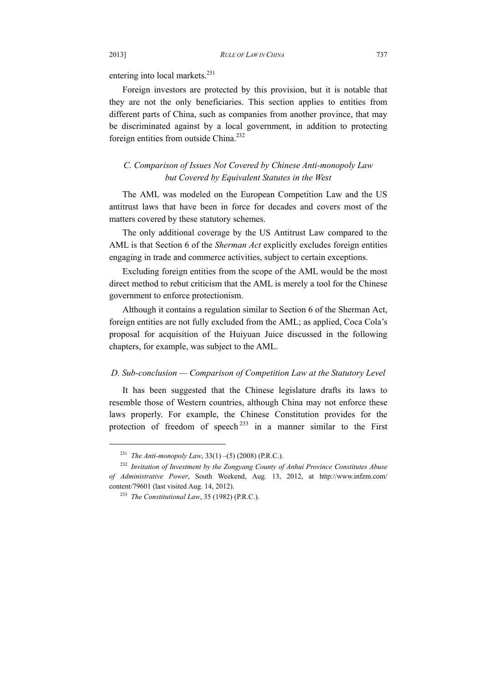entering into local markets.<sup>231</sup>

Foreign investors are protected by this provision, but it is notable that they are not the only beneficiaries. This section applies to entities from different parts of China, such as companies from another province, that may be discriminated against by a local government, in addition to protecting foreign entities from outside China.<sup>232</sup>

# *C. Comparison of Issues Not Covered by Chinese Anti-monopoly Law but Covered by Equivalent Statutes in the West*

The AML was modeled on the European Competition Law and the US antitrust laws that have been in force for decades and covers most of the matters covered by these statutory schemes.

The only additional coverage by the US Antitrust Law compared to the AML is that Section 6 of the *Sherman Act* explicitly excludes foreign entities engaging in trade and commerce activities, subject to certain exceptions.

Excluding foreign entities from the scope of the AML would be the most direct method to rebut criticism that the AML is merely a tool for the Chinese government to enforce protectionism.

Although it contains a regulation similar to Section 6 of the Sherman Act, foreign entities are not fully excluded from the AML; as applied, Coca Cola's proposal for acquisition of the Huiyuan Juice discussed in the following chapters, for example, was subject to the AML.

## *D. Sub-conclusion — Comparison of Competition Law at the Statutory Level*

It has been suggested that the Chinese legislature drafts its laws to resemble those of Western countries, although China may not enforce these laws properly. For example, the Chinese Constitution provides for the protection of freedom of speech<sup>233</sup> in a manner similar to the First

<sup>&</sup>lt;sup>231</sup> *The Anti-monopoly Law*,  $33(1)$  –(5) (2008) (P.R.C.).

<sup>232</sup> *Invitation of Investment by the Zongyang County of Anhui Province Constitutes Abuse of Administrative Power*, South Weekend, Aug. 13, 2012, at http://www.infzm.com/ content/79601 (last visited Aug. 14, 2012).

<sup>233</sup> *The Constitutional Law*, 35 (1982) (P.R.C.).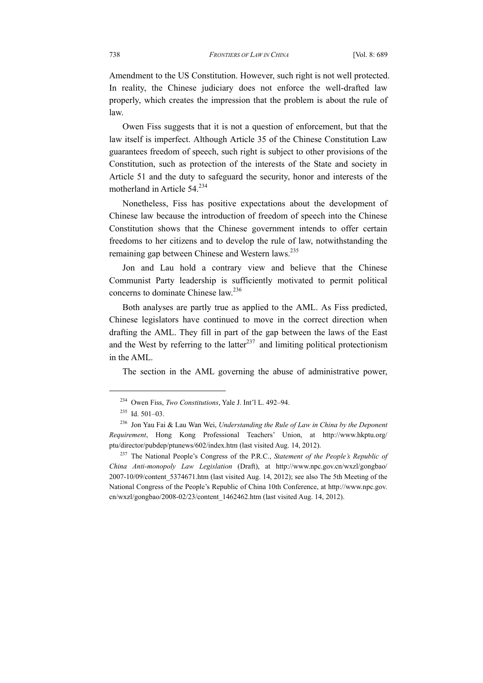Amendment to the US Constitution. However, such right is not well protected. In reality, the Chinese judiciary does not enforce the well-drafted law properly, which creates the impression that the problem is about the rule of law.

Owen Fiss suggests that it is not a question of enforcement, but that the law itself is imperfect. Although Article 35 of the Chinese Constitution Law guarantees freedom of speech, such right is subject to other provisions of the Constitution, such as protection of the interests of the State and society in Article 51 and the duty to safeguard the security, honor and interests of the motherland in Article 54.234

Nonetheless, Fiss has positive expectations about the development of Chinese law because the introduction of freedom of speech into the Chinese Constitution shows that the Chinese government intends to offer certain freedoms to her citizens and to develop the rule of law, notwithstanding the remaining gap between Chinese and Western laws.<sup>235</sup>

Jon and Lau hold a contrary view and believe that the Chinese Communist Party leadership is sufficiently motivated to permit political concerns to dominate Chinese law.<sup>236</sup>

Both analyses are partly true as applied to the AML. As Fiss predicted, Chinese legislators have continued to move in the correct direction when drafting the AML. They fill in part of the gap between the laws of the East and the West by referring to the latter<sup>237</sup> and limiting political protectionism in the AML.

The section in the AML governing the abuse of administrative power,

<sup>234</sup> Owen Fiss, *Two Constitutions*, Yale J. Int'l L. 492–94.

 $235$  Id. 501–03.

<sup>236</sup> Jon Yau Fai & Lau Wan Wei, *Understanding the Rule of Law in China by the Deponent Requirement*, Hong Kong Professional Teachers' Union, at http://www.hkptu.org/ ptu/director/pubdep/ptunews/602/index.htm (last visited Aug. 14, 2012).

<sup>237</sup> The National People's Congress of the P.R.C., *Statement of the People's Republic of China Anti-monopoly Law Legislation* (Draft), at http://www.npc.gov.cn/wxzl/gongbao/ 2007-10/09/content\_5374671.htm (last visited Aug. 14, 2012); see also The 5th Meeting of the National Congress of the People's Republic of China 10th Conference, at http://www.npc.gov. cn/wxzl/gongbao/2008-02/23/content\_1462462.htm (last visited Aug. 14, 2012).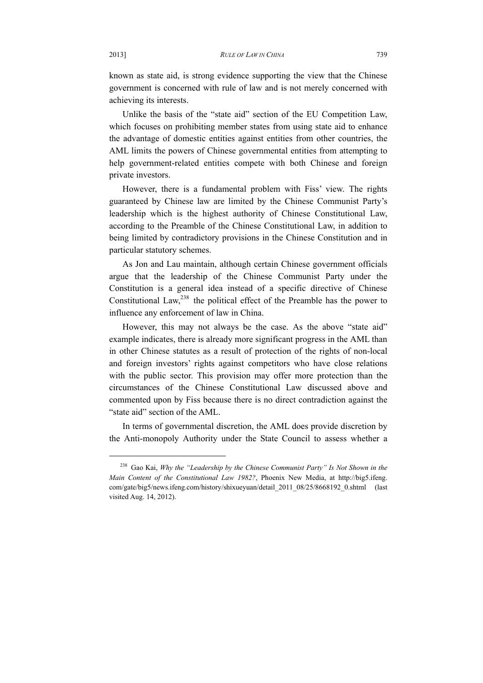known as state aid, is strong evidence supporting the view that the Chinese government is concerned with rule of law and is not merely concerned with achieving its interests.

Unlike the basis of the "state aid" section of the EU Competition Law, which focuses on prohibiting member states from using state aid to enhance the advantage of domestic entities against entities from other countries, the AML limits the powers of Chinese governmental entities from attempting to help government-related entities compete with both Chinese and foreign private investors.

However, there is a fundamental problem with Fiss' view. The rights guaranteed by Chinese law are limited by the Chinese Communist Party's leadership which is the highest authority of Chinese Constitutional Law, according to the Preamble of the Chinese Constitutional Law, in addition to being limited by contradictory provisions in the Chinese Constitution and in particular statutory schemes.

As Jon and Lau maintain, although certain Chinese government officials argue that the leadership of the Chinese Communist Party under the Constitution is a general idea instead of a specific directive of Chinese Constitutional Law,238 the political effect of the Preamble has the power to influence any enforcement of law in China.

However, this may not always be the case. As the above "state aid" example indicates, there is already more significant progress in the AML than in other Chinese statutes as a result of protection of the rights of non-local and foreign investors' rights against competitors who have close relations with the public sector. This provision may offer more protection than the circumstances of the Chinese Constitutional Law discussed above and commented upon by Fiss because there is no direct contradiction against the "state aid" section of the AML.

In terms of governmental discretion, the AML does provide discretion by the Anti-monopoly Authority under the State Council to assess whether a

<sup>238</sup> Gao Kai, *Why the "Leadership by the Chinese Communist Party" Is Not Shown in the Main Content of the Constitutional Law 1982?*, Phoenix New Media, at http://big5.ifeng. com/gate/big5/news.ifeng.com/history/shixueyuan/detail\_2011\_08/25/8668192\_0.shtml (last visited Aug. 14, 2012).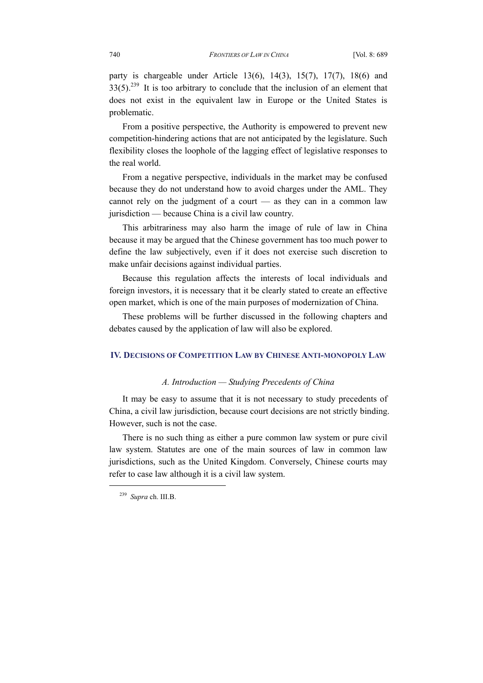party is chargeable under Article  $13(6)$ ,  $14(3)$ ,  $15(7)$ ,  $17(7)$ ,  $18(6)$  and  $33(5)$ <sup>239</sup> It is too arbitrary to conclude that the inclusion of an element that does not exist in the equivalent law in Europe or the United States is problematic.

From a positive perspective, the Authority is empowered to prevent new competition-hindering actions that are not anticipated by the legislature. Such flexibility closes the loophole of the lagging effect of legislative responses to the real world.

From a negative perspective, individuals in the market may be confused because they do not understand how to avoid charges under the AML. They cannot rely on the judgment of a court  $-$  as they can in a common law jurisdiction — because China is a civil law country.

This arbitrariness may also harm the image of rule of law in China because it may be argued that the Chinese government has too much power to define the law subjectively, even if it does not exercise such discretion to make unfair decisions against individual parties.

Because this regulation affects the interests of local individuals and foreign investors, it is necessary that it be clearly stated to create an effective open market, which is one of the main purposes of modernization of China.

These problems will be further discussed in the following chapters and debates caused by the application of law will also be explored.

## **IV. DECISIONS OF COMPETITION LAW BY CHINESE ANTI-MONOPOLY LAW**

#### *A. Introduction — Studying Precedents of China*

It may be easy to assume that it is not necessary to study precedents of China, a civil law jurisdiction, because court decisions are not strictly binding. However, such is not the case.

There is no such thing as either a pure common law system or pure civil law system. Statutes are one of the main sources of law in common law jurisdictions, such as the United Kingdom. Conversely, Chinese courts may refer to case law although it is a civil law system.

 <sup>239</sup> *Supra* ch. III.B.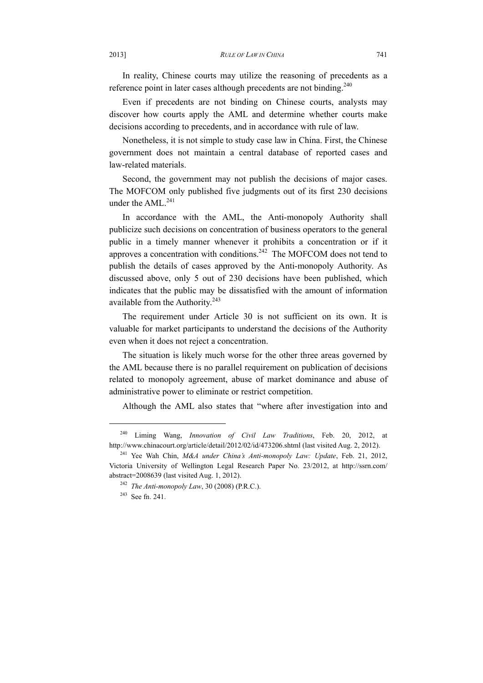In reality, Chinese courts may utilize the reasoning of precedents as a reference point in later cases although precedents are not binding.<sup>240</sup>

Even if precedents are not binding on Chinese courts, analysts may discover how courts apply the AML and determine whether courts make decisions according to precedents, and in accordance with rule of law.

Nonetheless, it is not simple to study case law in China. First, the Chinese government does not maintain a central database of reported cases and law-related materials.

Second, the government may not publish the decisions of major cases. The MOFCOM only published five judgments out of its first 230 decisions under the AML. $^{241}$ 

In accordance with the AML, the Anti-monopoly Authority shall publicize such decisions on concentration of business operators to the general public in a timely manner whenever it prohibits a concentration or if it approves a concentration with conditions.<sup>242</sup> The MOFCOM does not tend to publish the details of cases approved by the Anti-monopoly Authority. As discussed above, only 5 out of 230 decisions have been published, which indicates that the public may be dissatisfied with the amount of information available from the Authority. $243$ 

The requirement under Article 30 is not sufficient on its own. It is valuable for market participants to understand the decisions of the Authority even when it does not reject a concentration.

The situation is likely much worse for the other three areas governed by the AML because there is no parallel requirement on publication of decisions related to monopoly agreement, abuse of market dominance and abuse of administrative power to eliminate or restrict competition.

Although the AML also states that "where after investigation into and

<sup>240</sup> Liming Wang, *Innovation of Civil Law Traditions*, Feb. 20, 2012, at http://www.chinacourt.org/article/detail/2012/02/id/473206.shtml (last visited Aug. 2, 2012).

<sup>241</sup> Yee Wah Chin, *M&A under China's Anti-monopoly Law: Update*, Feb. 21, 2012, Victoria University of Wellington Legal Research Paper No. 23/2012, at http://ssrn.com/ abstract=2008639 (last visited Aug. 1, 2012).

<sup>242</sup> *The Anti-monopoly Law*, 30 (2008) (P.R.C.).

<sup>243</sup> See fn. 241.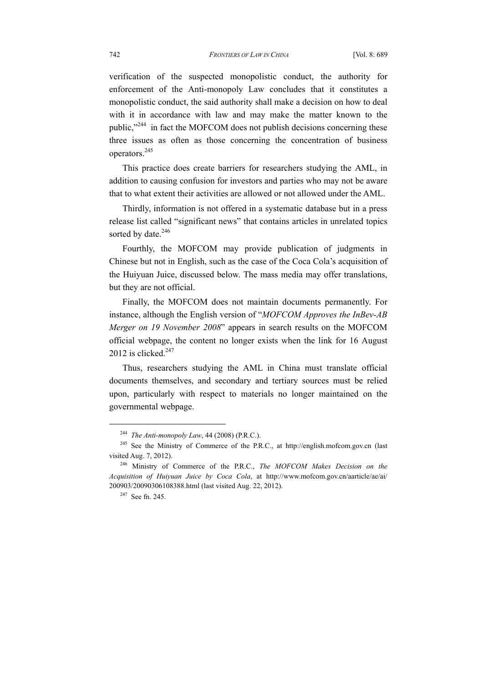verification of the suspected monopolistic conduct, the authority for enforcement of the Anti-monopoly Law concludes that it constitutes a monopolistic conduct, the said authority shall make a decision on how to deal with it in accordance with law and may make the matter known to the public,"244 in fact the MOFCOM does not publish decisions concerning these three issues as often as those concerning the concentration of business operators.<sup>245</sup>

This practice does create barriers for researchers studying the AML, in addition to causing confusion for investors and parties who may not be aware that to what extent their activities are allowed or not allowed under the AML.

Thirdly, information is not offered in a systematic database but in a press release list called "significant news" that contains articles in unrelated topics sorted by date.<sup>246</sup>

Fourthly, the MOFCOM may provide publication of judgments in Chinese but not in English, such as the case of the Coca Cola's acquisition of the Huiyuan Juice, discussed below. The mass media may offer translations, but they are not official.

Finally, the MOFCOM does not maintain documents permanently. For instance, although the English version of "*MOFCOM Approves the InBev-AB Merger on 19 November 2008*" appears in search results on the MOFCOM official webpage, the content no longer exists when the link for 16 August 2012 is clicked  $247$ 

Thus, researchers studying the AML in China must translate official documents themselves, and secondary and tertiary sources must be relied upon, particularly with respect to materials no longer maintained on the governmental webpage.

 <sup>244</sup> *The Anti-monopoly Law*, 44 (2008) (P.R.C.).

<sup>&</sup>lt;sup>245</sup> See the Ministry of Commerce of the P.R.C., at http://english.mofcom.gov.cn (last visited Aug. 7, 2012).

<sup>246</sup> Ministry of Commerce of the P.R.C., *The MOFCOM Makes Decision on the Acquisition of Huiyuan Juice by Coca Cola*, at http://www.mofcom.gov.cn/aarticle/ae/ai/ 200903/20090306108388.html (last visited Aug. 22, 2012).

<sup>247</sup> See fn. 245.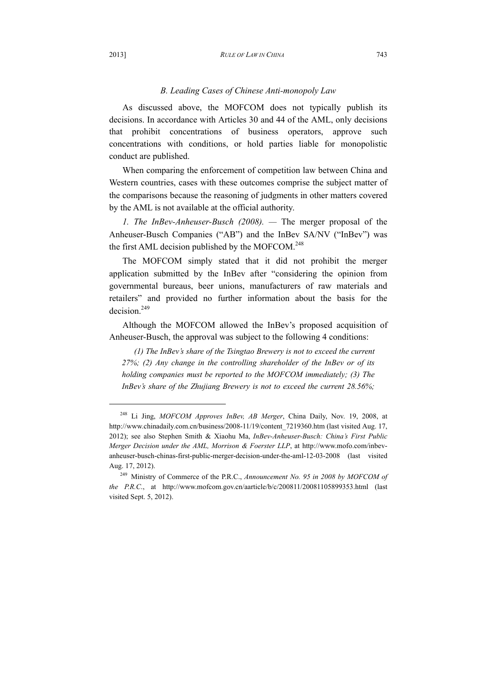-

## *B. Leading Cases of Chinese Anti-monopoly Law*

As discussed above, the MOFCOM does not typically publish its decisions. In accordance with Articles 30 and 44 of the AML, only decisions that prohibit concentrations of business operators, approve such concentrations with conditions, or hold parties liable for monopolistic conduct are published.

When comparing the enforcement of competition law between China and Western countries, cases with these outcomes comprise the subject matter of the comparisons because the reasoning of judgments in other matters covered by the AML is not available at the official authority.

*1. The InBev-Anheuser-Busch (2008). —* The merger proposal of the Anheuser-Busch Companies ("AB") and the InBev SA/NV ("InBev") was the first AML decision published by the MOFCOM.<sup>248</sup>

The MOFCOM simply stated that it did not prohibit the merger application submitted by the InBev after "considering the opinion from governmental bureaus, beer unions, manufacturers of raw materials and retailers" and provided no further information about the basis for the decision $249$ 

Although the MOFCOM allowed the InBev's proposed acquisition of Anheuser-Busch, the approval was subject to the following 4 conditions:

*(1) The InBev's share of the Tsingtao Brewery is not to exceed the current 27%; (2) Any change in the controlling shareholder of the InBev or of its holding companies must be reported to the MOFCOM immediately; (3) The InBev's share of the Zhujiang Brewery is not to exceed the current 28.56%;* 

<sup>248</sup> Li Jing, *MOFCOM Approves InBev, AB Merger*, China Daily, Nov. 19, 2008, at http://www.chinadaily.com.cn/business/2008-11/19/content 7219360.htm (last visited Aug. 17, 2012); see also Stephen Smith & Xiaohu Ma, *InBev-Anheuser-Busch: China's First Public Merger Decision under the AML, Morrison & Foerster LLP*, at http://www.mofo.com/inbevanheuser-busch-chinas-first-public-merger-decision-under-the-aml-12-03-2008 (last visited Aug. 17, 2012).

<sup>249</sup> Ministry of Commerce of the P.R.C., *Announcement No. 95 in 2008 by MOFCOM of the P.R.C*., at http://www.mofcom.gov.cn/aarticle/b/c/200811/20081105899353.html (last visited Sept. 5, 2012).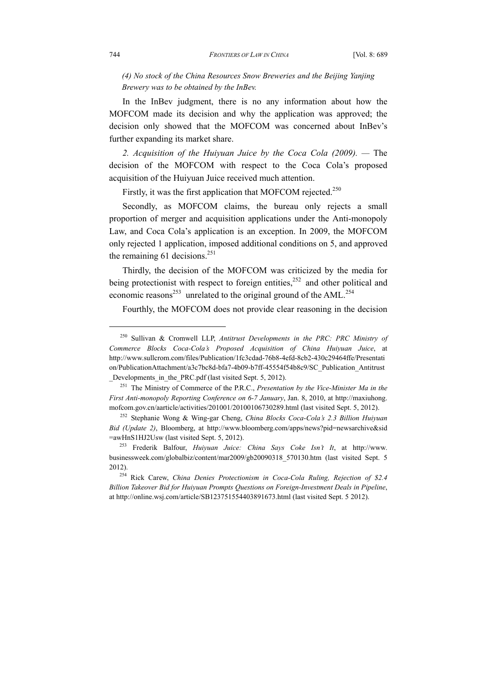*(4) No stock of the China Resources Snow Breweries and the Beijing Yanjing Brewery was to be obtained by the InBev.* 

In the InBev judgment, there is no any information about how the MOFCOM made its decision and why the application was approved; the decision only showed that the MOFCOM was concerned about InBev's further expanding its market share.

*2. Acquisition of the Huiyuan Juice by the Coca Cola (2009). —* The decision of the MOFCOM with respect to the Coca Cola's proposed acquisition of the Huiyuan Juice received much attention.

Firstly, it was the first application that MOFCOM rejected.<sup>250</sup>

Secondly, as MOFCOM claims, the bureau only rejects a small proportion of merger and acquisition applications under the Anti-monopoly Law, and Coca Cola's application is an exception. In 2009, the MOFCOM only rejected 1 application, imposed additional conditions on 5, and approved the remaining  $61$  decisions.<sup>251</sup>

Thirdly, the decision of the MOFCOM was criticized by the media for being protectionist with respect to foreign entities, $252$  and other political and economic reasons<sup>253</sup> unrelated to the original ground of the  $AML$ .<sup>254</sup>

Fourthly, the MOFCOM does not provide clear reasoning in the decision

<sup>250</sup> Sullivan & Cromwell LLP, *Antitrust Developments in the PRC: PRC Ministry of Commerce Blocks Coca-Cola's Proposed Acquisition of China Huiyuan Juice*, at http://www.sullcrom.com/files/Publication/1fc3cdad-76b8-4efd-8cb2-430c29464ffe/Presentati on/PublicationAttachment/a3c7bc8d-bfa7-4b09-b7ff-45554f54b8c9/SC\_Publication\_Antitrust Developments in the PRC.pdf (last visited Sept. 5, 2012).

<sup>251</sup> The Ministry of Commerce of the P.R.C., *Presentation by the Vice-Minister Ma in the First Anti-monopoly Reporting Conference on 6-7 January*, Jan. 8, 2010, at http://maxiuhong. mofcom.gov.cn/aarticle/activities/201001/20100106730289.html (last visited Sept. 5, 2012).

<sup>252</sup> Stephanie Wong & Wing-gar Cheng, *China Blocks Coca-Cola's 2.3 Billion Huiyuan Bid (Update 2)*, Bloomberg, at http://www.bloomberg.com/apps/news?pid=newsarchive&sid =awHnS1HJ2Usw (last visited Sept. 5, 2012). 253 Frederik Balfour, *Huiyuan Juice: China Says Coke Isn't It*, at http://www.

businessweek.com/globalbiz/content/mar2009/gb20090318\_570130.htm (last visited Sept. 5 2012). 254 Rick Carew, *China Denies Protectionism in Coca-Cola Ruling, Rejection of \$2.4* 

*Billion Takeover Bid for Huiyuan Prompts Questions on Foreign-Investment Deals in Pipeline*, at http://online.wsj.com/article/SB123751554403891673.html (last visited Sept. 5 2012).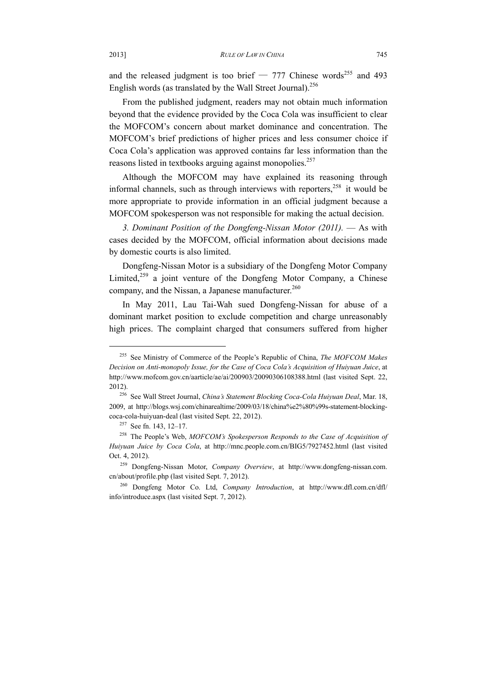and the released judgment is too brief  $-777$  Chinese words<sup>255</sup> and 493 English words (as translated by the Wall Street Journal).<sup>256</sup>

From the published judgment, readers may not obtain much information beyond that the evidence provided by the Coca Cola was insufficient to clear the MOFCOM's concern about market dominance and concentration. The MOFCOM's brief predictions of higher prices and less consumer choice if Coca Cola's application was approved contains far less information than the reasons listed in textbooks arguing against monopolies.<sup>257</sup>

Although the MOFCOM may have explained its reasoning through informal channels, such as through interviews with reporters, $258$  it would be more appropriate to provide information in an official judgment because a MOFCOM spokesperson was not responsible for making the actual decision.

3. Dominant Position of the Dongfeng-Nissan Motor (2011). — As with cases decided by the MOFCOM, official information about decisions made by domestic courts is also limited.

Dongfeng-Nissan Motor is a subsidiary of the Dongfeng Motor Company Limited.<sup>259</sup> a joint venture of the Dongfeng Motor Company, a Chinese company, and the Nissan, a Japanese manufacturer.<sup>260</sup>

In May 2011, Lau Tai-Wah sued Dongfeng-Nissan for abuse of a dominant market position to exclude competition and charge unreasonably high prices. The complaint charged that consumers suffered from higher

 <sup>255</sup> See Ministry of Commerce of the People's Republic of China, *The MOFCOM Makes Decision on Anti-monopoly Issue, for the Case of Coca Cola's Acquisition of Huiyuan Juice*, at http://www.mofcom.gov.cn/aarticle/ae/ai/200903/20090306108388.html (last visited Sept. 22, 2012). 256 See Wall Street Journal, *China's Statement Blocking Coca-Cola Huiyuan Deal*, Mar. 18,

<sup>2009,</sup> at http://blogs.wsj.com/chinarealtime/2009/03/18/china%e2%80%99s-statement-blockingcoca-cola-huiyuan-deal (last visited Sept. 22, 2012). 257 See fn. 143, 12–17. 258 The People's Web, *MOFCOM's Spokesperson Responds to the Case of Acquisition of* 

*Huiyuan Juice by Coca Cola*, at http://mnc.people.com.cn/BIG5/7927452.html (last visited Oct. 4, 2012).

<sup>259</sup> Dongfeng-Nissan Motor, *Company Overview*, at http://www.dongfeng-nissan.com. cn/about/profile.php (last visited Sept. 7, 2012).

<sup>260</sup> Dongfeng Motor Co. Ltd, *Company Introduction*, at http://www.dfl.com.cn/dfl/ info/introduce.aspx (last visited Sept. 7, 2012).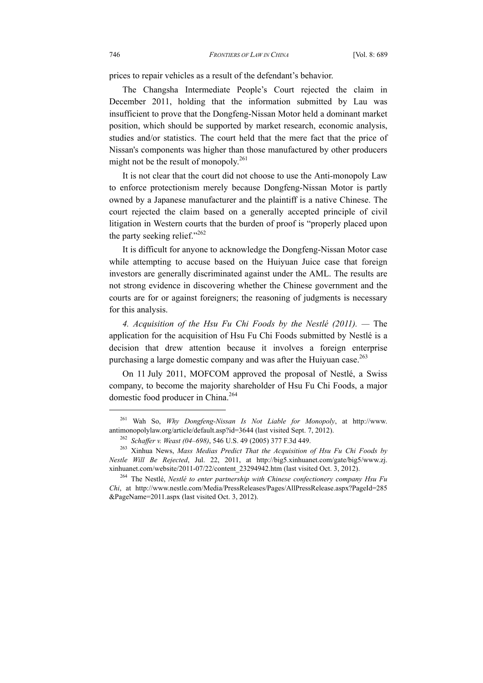prices to repair vehicles as a result of the defendant's behavior.

The Changsha Intermediate People's Court rejected the claim in December 2011, holding that the information submitted by Lau was insufficient to prove that the Dongfeng-Nissan Motor held a dominant market position, which should be supported by market research, economic analysis, studies and/or statistics. The court held that the mere fact that the price of Nissan's components was higher than those manufactured by other producers might not be the result of monopoly.<sup>261</sup>

It is not clear that the court did not choose to use the Anti-monopoly Law to enforce protectionism merely because Dongfeng-Nissan Motor is partly owned by a Japanese manufacturer and the plaintiff is a native Chinese. The court rejected the claim based on a generally accepted principle of civil litigation in Western courts that the burden of proof is "properly placed upon the party seeking relief."<sup>262</sup>

It is difficult for anyone to acknowledge the Dongfeng-Nissan Motor case while attempting to accuse based on the Huiyuan Juice case that foreign investors are generally discriminated against under the AML. The results are not strong evidence in discovering whether the Chinese government and the courts are for or against foreigners; the reasoning of judgments is necessary for this analysis.

*4. Acquisition of the Hsu Fu Chi Foods by the Nestlé (2011). —* The application for the acquisition of Hsu Fu Chi Foods submitted by Nestlé is a decision that drew attention because it involves a foreign enterprise purchasing a large domestic company and was after the Huiyuan case.<sup>263</sup>

On 11 July 2011, MOFCOM approved the proposal of Nestlé, a Swiss company, to become the majority shareholder of Hsu Fu Chi Foods, a major domestic food producer in China.<sup>264</sup>

<sup>261</sup> Wah So, *Why Dongfeng-Nissan Is Not Liable for Monopoly*, at http://www. antimonopolylaw.org/article/default.asp?id=3644 (last visited Sept. 7, 2012).<br><sup>262</sup> Schaffer v. Weast (04–698), 546 U.S. 49 (2005) 377 F.3d 449.<br><sup>263</sup> Xinhua News, *Mass Medias Predict That the Acquisition of Hsu Fu Chi F* 

*Nestle Will Be Rejected*, Jul. 22, 2011, at http://big5.xinhuanet.com/gate/big5/www.zj. xinhuanet.com/website/2011-07/22/content\_23294942.htm (last visited Oct. 3, 2012). 264 The Nestlé, *Nestlé to enter partnership with Chinese confectionery company Hsu Fu* 

*Chi*, at http://www.nestle.com/Media/PressReleases/Pages/AllPressRelease.aspx?PageId=285 &PageName=2011.aspx (last visited Oct. 3, 2012).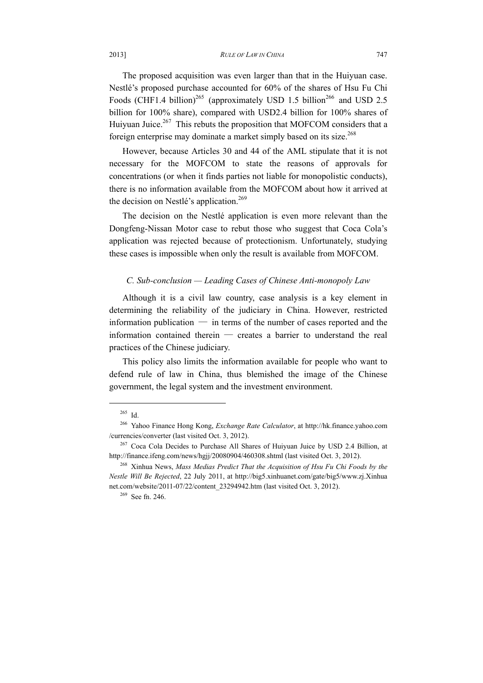The proposed acquisition was even larger than that in the Huiyuan case. Nestlé's proposed purchase accounted for 60% of the shares of Hsu Fu Chi Foods (CHF1.4 billion)<sup>265</sup> (approximately USD 1.5 billion<sup>266</sup> and USD 2.5 billion for 100% share), compared with USD2.4 billion for 100% shares of Huiyuan Juice.<sup>267</sup> This rebuts the proposition that MOFCOM considers that a foreign enterprise may dominate a market simply based on its size.<sup>268</sup>

However, because Articles 30 and 44 of the AML stipulate that it is not necessary for the MOFCOM to state the reasons of approvals for concentrations (or when it finds parties not liable for monopolistic conducts), there is no information available from the MOFCOM about how it arrived at the decision on Nestlé's application.<sup>269</sup>

The decision on the Nestlé application is even more relevant than the Dongfeng-Nissan Motor case to rebut those who suggest that Coca Cola's application was rejected because of protectionism. Unfortunately, studying these cases is impossible when only the result is available from MOFCOM.

# *C. Sub-conclusion — Leading Cases of Chinese Anti-monopoly Law*

Although it is a civil law country, case analysis is a key element in determining the reliability of the judiciary in China. However, restricted information publication — in terms of the number of cases reported and the information contained therein — creates a barrier to understand the real practices of the Chinese judiciary.

This policy also limits the information available for people who want to defend rule of law in China, thus blemished the image of the Chinese government, the legal system and the investment environment.

-

269 See fn. 246.

<sup>265</sup> Id.

<sup>266</sup> Yahoo Finance Hong Kong, *Exchange Rate Calculator*, at http://hk.finance.yahoo.com /currencies/converter (last visited Oct. 3, 2012).

<sup>267</sup> Coca Cola Decides to Purchase All Shares of Huiyuan Juice by USD 2.4 Billion, at http://finance.ifeng.com/news/hgjj/20080904/460308.shtml (last visited Oct. 3, 2012).

<sup>268</sup> Xinhua News, *Mass Medias Predict That the Acquisition of Hsu Fu Chi Foods by the Nestle Will Be Rejected*, 22 July 2011, at http://big5.xinhuanet.com/gate/big5/www.zj.Xinhua net.com/website/2011-07/22/content\_23294942.htm (last visited Oct. 3, 2012).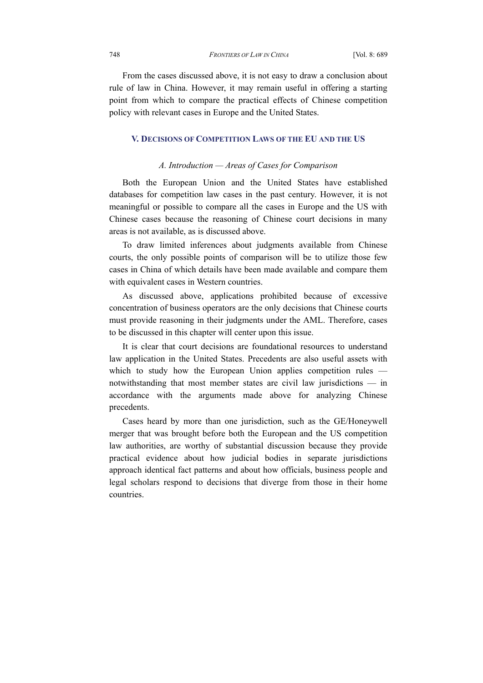From the cases discussed above, it is not easy to draw a conclusion about rule of law in China. However, it may remain useful in offering a starting point from which to compare the practical effects of Chinese competition policy with relevant cases in Europe and the United States.

### **V. DECISIONS OF COMPETITION LAWS OF THE EU AND THE US**

#### *A. Introduction — Areas of Cases for Comparison*

Both the European Union and the United States have established databases for competition law cases in the past century. However, it is not meaningful or possible to compare all the cases in Europe and the US with Chinese cases because the reasoning of Chinese court decisions in many areas is not available, as is discussed above.

To draw limited inferences about judgments available from Chinese courts, the only possible points of comparison will be to utilize those few cases in China of which details have been made available and compare them with equivalent cases in Western countries.

As discussed above, applications prohibited because of excessive concentration of business operators are the only decisions that Chinese courts must provide reasoning in their judgments under the AML. Therefore, cases to be discussed in this chapter will center upon this issue.

It is clear that court decisions are foundational resources to understand law application in the United States. Precedents are also useful assets with which to study how the European Union applies competition rules notwithstanding that most member states are civil law jurisdictions — in accordance with the arguments made above for analyzing Chinese precedents.

Cases heard by more than one jurisdiction, such as the GE/Honeywell merger that was brought before both the European and the US competition law authorities, are worthy of substantial discussion because they provide practical evidence about how judicial bodies in separate jurisdictions approach identical fact patterns and about how officials, business people and legal scholars respond to decisions that diverge from those in their home countries.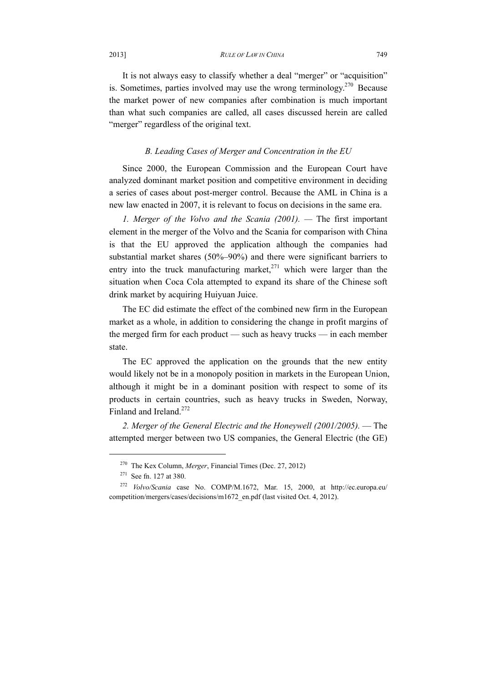It is not always easy to classify whether a deal "merger" or "acquisition" is. Sometimes, parties involved may use the wrong terminology.<sup>270</sup> Because the market power of new companies after combination is much important than what such companies are called, all cases discussed herein are called "merger" regardless of the original text.

## *B. Leading Cases of Merger and Concentration in the EU*

Since 2000, the European Commission and the European Court have analyzed dominant market position and competitive environment in deciding a series of cases about post-merger control. Because the AML in China is a new law enacted in 2007, it is relevant to focus on decisions in the same era.

*1. Merger of the Volvo and the Scania (2001). —* The first important element in the merger of the Volvo and the Scania for comparison with China is that the EU approved the application although the companies had substantial market shares (50%–90%) and there were significant barriers to entry into the truck manufacturing market, $271$  which were larger than the situation when Coca Cola attempted to expand its share of the Chinese soft drink market by acquiring Huiyuan Juice.

The EC did estimate the effect of the combined new firm in the European market as a whole, in addition to considering the change in profit margins of the merged firm for each product — such as heavy trucks — in each member state.

The EC approved the application on the grounds that the new entity would likely not be in a monopoly position in markets in the European Union, although it might be in a dominant position with respect to some of its products in certain countries, such as heavy trucks in Sweden, Norway, Finland and Ireland  $^{272}$ 

*2. Merger of the General Electric and the Honeywell (2001/2005).* — The attempted merger between two US companies, the General Electric (the GE)

<sup>270</sup> The Kex Column, *Merger*, Financial Times (Dec. 27, 2012)

<sup>271</sup> See fn. 127 at 380.

<sup>272</sup> *Volvo/Scania* case No. COMP/M.1672, Mar. 15, 2000, at http://ec.europa.eu/ competition/mergers/cases/decisions/m1672\_en.pdf (last visited Oct. 4, 2012).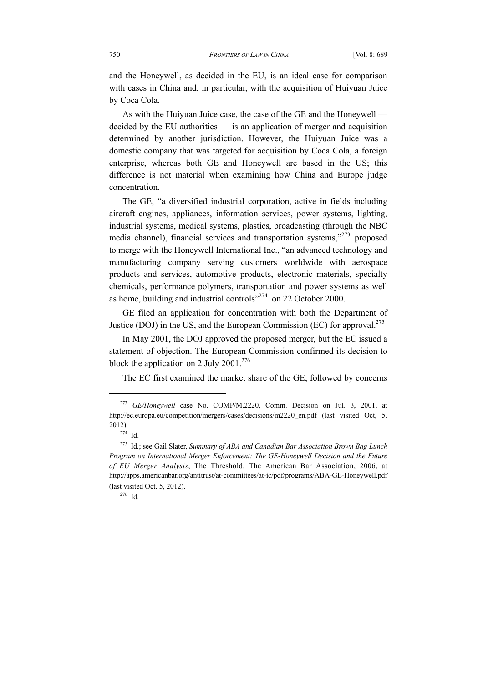and the Honeywell, as decided in the EU, is an ideal case for comparison with cases in China and, in particular, with the acquisition of Huiyuan Juice by Coca Cola.

As with the Huiyuan Juice case, the case of the GE and the Honeywell decided by the EU authorities — is an application of merger and acquisition determined by another jurisdiction. However, the Huiyuan Juice was a domestic company that was targeted for acquisition by Coca Cola, a foreign enterprise, whereas both GE and Honeywell are based in the US; this difference is not material when examining how China and Europe judge concentration.

The GE, "a diversified industrial corporation, active in fields including aircraft engines, appliances, information services, power systems, lighting, industrial systems, medical systems, plastics, broadcasting (through the NBC media channel), financial services and transportation systems,"<sup>273</sup> proposed to merge with the Honeywell International Inc., "an advanced technology and manufacturing company serving customers worldwide with aerospace products and services, automotive products, electronic materials, specialty chemicals, performance polymers, transportation and power systems as well as home, building and industrial controls $^{2274}$  on 22 October 2000.

GE filed an application for concentration with both the Department of Justice (DOJ) in the US, and the European Commission (EC) for approval.275

In May 2001, the DOJ approved the proposed merger, but the EC issued a statement of objection. The European Commission confirmed its decision to block the application on 2 July 2001.<sup>276</sup>

The EC first examined the market share of the GE, followed by concerns

<sup>273</sup> *GE/Honeywell* case No. COMP/M.2220, Comm. Decision on Jul. 3, 2001, at http://ec.europa.eu/competition/mergers/cases/decisions/m2220\_en.pdf (last visited Oct, 5, 2012).

 $274$  Id.

<sup>275</sup> Id*.*; see Gail Slater, *Summary of ABA and Canadian Bar Association Brown Bag Lunch Program on International Merger Enforcement: The GE-Honeywell Decision and the Future of EU Merger Analysis*, The Threshold, The American Bar Association, 2006, at http://apps.americanbar.org/antitrust/at-committees/at-ic/pdf/programs/ABA-GE-Honeywell.pdf (last visited Oct. 5, 2012).

<sup>276</sup> Id.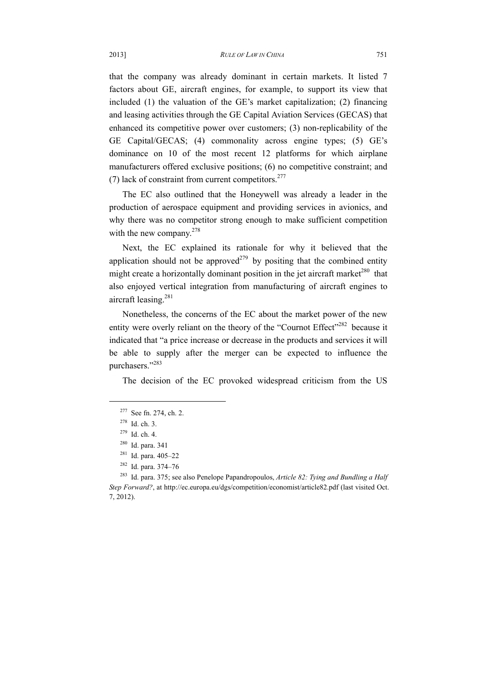that the company was already dominant in certain markets. It listed 7 factors about GE, aircraft engines, for example, to support its view that included (1) the valuation of the GE's market capitalization; (2) financing and leasing activities through the GE Capital Aviation Services (GECAS) that enhanced its competitive power over customers; (3) non-replicability of the GE Capital/GECAS; (4) commonality across engine types; (5) GE's dominance on 10 of the most recent 12 platforms for which airplane manufacturers offered exclusive positions; (6) no competitive constraint; and (7) lack of constraint from current competitors. $277$ 

The EC also outlined that the Honeywell was already a leader in the production of aerospace equipment and providing services in avionics, and why there was no competitor strong enough to make sufficient competition with the new company.<sup>278</sup>

Next, the EC explained its rationale for why it believed that the application should not be approved<sup> $279$ </sup> by positing that the combined entity might create a horizontally dominant position in the jet aircraft market<sup>280</sup> that also enjoyed vertical integration from manufacturing of aircraft engines to aircraft leasing.281

Nonetheless, the concerns of the EC about the market power of the new entity were overly reliant on the theory of the "Cournot Effect"<sup>282</sup> because it indicated that "a price increase or decrease in the products and services it will be able to supply after the merger can be expected to influence the purchasers."<sup>283</sup>

The decision of the EC provoked widespread criticism from the US

-

282 Id. para. 374–76

283 Id. para. 375; see also Penelope Papandropoulos, *Article 82: Tying and Bundling a Half Step Forward?*, at http://ec.europa.eu/dgs/competition/economist/article82.pdf (last visited Oct. 7, 2012).

 $277$  See fn. 274, ch. 2.

 $278$  Id. ch. 3.

<sup>279</sup> Id. ch. 4.

<sup>280</sup> Id. para. 341

 $281$  Id. para. 405–22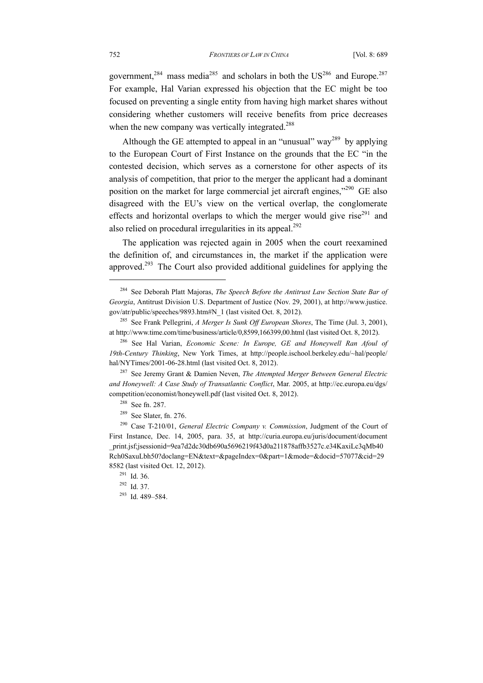government,<sup>284</sup> mass media<sup>285</sup> and scholars in both the US<sup>286</sup> and Europe.<sup>287</sup> For example, Hal Varian expressed his objection that the EC might be too focused on preventing a single entity from having high market shares without considering whether customers will receive benefits from price decreases when the new company was vertically integrated.<sup>288</sup>

Although the GE attempted to appeal in an "unusual" way<sup>289</sup> by applying to the European Court of First Instance on the grounds that the EC "in the contested decision, which serves as a cornerstone for other aspects of its analysis of competition, that prior to the merger the applicant had a dominant position on the market for large commercial jet aircraft engines,"<sup>290</sup> GE also disagreed with the EU's view on the vertical overlap, the conglomerate effects and horizontal overlaps to which the merger would give rise $2^{91}$  and also relied on procedural irregularities in its appeal.<sup>292</sup>

The application was rejected again in 2005 when the court reexamined the definition of, and circumstances in, the market if the application were approved.<sup>293</sup> The Court also provided additional guidelines for applying the

<sup>284</sup> See Deborah Platt Majoras, *The Speech Before the Antitrust Law Section State Bar of Georgia*, Antitrust Division U.S. Department of Justice (Nov. 29, 2001), at http://www.justice. gov/atr/public/speeches/9893.htm#N\_1 (last visited Oct. 8, 2012).

<sup>285</sup> See Frank Pellegrini, *A Merger Is Sunk Off European Shores*, The Time (Jul. 3, 2001), at http://www.time.com/time/business/article/0,8599,166399,00.html (last visited Oct. 8, 2012).

<sup>286</sup> See Hal Varian, *Economic Scene: In Europe, GE and Honeywell Ran Afoul of 19th-Century Thinking*, New York Times, at http://people.ischool.berkeley.edu/~hal/people/ hal/NYTimes/2001-06-28.html (last visited Oct. 8, 2012).

<sup>287</sup> See Jeremy Grant & Damien Neven, *The Attempted Merger Between General Electric and Honeywell: A Case Study of Transatlantic Conflict*, Mar. 2005, at http://ec.europa.eu/dgs/ competition/economist/honeywell.pdf (last visited Oct. 8, 2012).

<sup>288</sup> See fn. 287.

<sup>289</sup> See Slater, fn. 276.

<sup>290</sup> Case T-210/01, *General Electric Company v. Commission*, Judgment of the Court of First Instance, Dec. 14, 2005, para. 35, at http://curia.europa.eu/juris/document/document \_print.jsf;jsessionid=9ea7d2dc30db690a5696219f43d0a211878affb3527c.e34KaxiLc3qMb40 Rch0SaxuLbh50?doclang=EN&text=&pageIndex=0&part=1&mode=&docid=57077&cid=29 8582 (last visited Oct. 12, 2012).<br><sup>291</sup> Id. 36.<br><sup>292</sup> Id. 37.<br><sup>293</sup> Id. 489–584.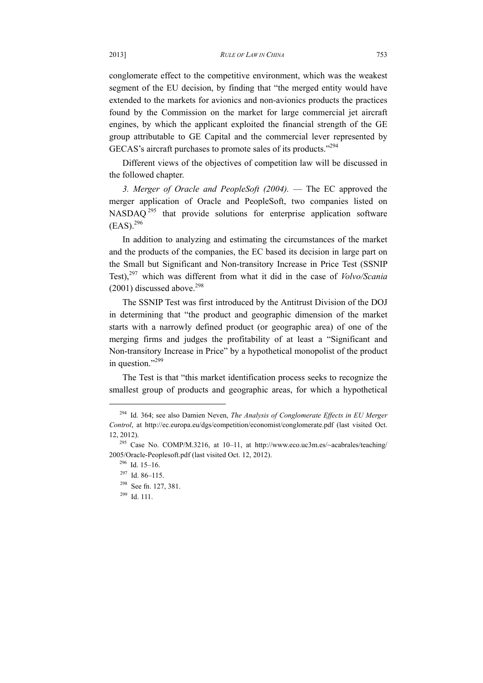conglomerate effect to the competitive environment, which was the weakest segment of the EU decision, by finding that "the merged entity would have extended to the markets for avionics and non-avionics products the practices found by the Commission on the market for large commercial jet aircraft engines, by which the applicant exploited the financial strength of the GE group attributable to GE Capital and the commercial lever represented by GECAS's aircraft purchases to promote sales of its products."<sup>294</sup>

Different views of the objectives of competition law will be discussed in the followed chapter.

*3. Merger of Oracle and PeopleSoft (2004).* — The EC approved the merger application of Oracle and PeopleSoft, two companies listed on NASDAQ 295 that provide solutions for enterprise application software  $(EAS)<sup>296</sup>$ 

In addition to analyzing and estimating the circumstances of the market and the products of the companies, the EC based its decision in large part on the Small but Significant and Non-transitory Increase in Price Test (SSNIP Test),297 which was different from what it did in the case of *Volvo/Scania*   $(2001)$  discussed above.<sup>298</sup>

The SSNIP Test was first introduced by the Antitrust Division of the DOJ in determining that "the product and geographic dimension of the market starts with a narrowly defined product (or geographic area) of one of the merging firms and judges the profitability of at least a "Significant and Non-transitory Increase in Price" by a hypothetical monopolist of the product in question."<sup>299</sup>

The Test is that "this market identification process seeks to recognize the smallest group of products and geographic areas, for which a hypothetical

<sup>&</sup>lt;sup>294</sup> Id. 364; see also Damien Neven, *The Analysis of Conglomerate Effects in EU Merger Control*, at http://ec.europa.eu/dgs/competition/economist/conglomerate.pdf (last visited Oct.

<sup>12, 2012).&</sup>lt;br><sup>295</sup> Case No. COMP/M.3216, at 10–11, at http://www.eco.uc3m.es/~acabrales/teaching/ 2005/Oracle-Peoplesoft.pdf (last visited Oct. 12, 2012). 296 Id. 15–16.

<sup>297</sup> Id. 86–115.

<sup>298</sup> See fn. 127, 381.

 $299$  Id. 111.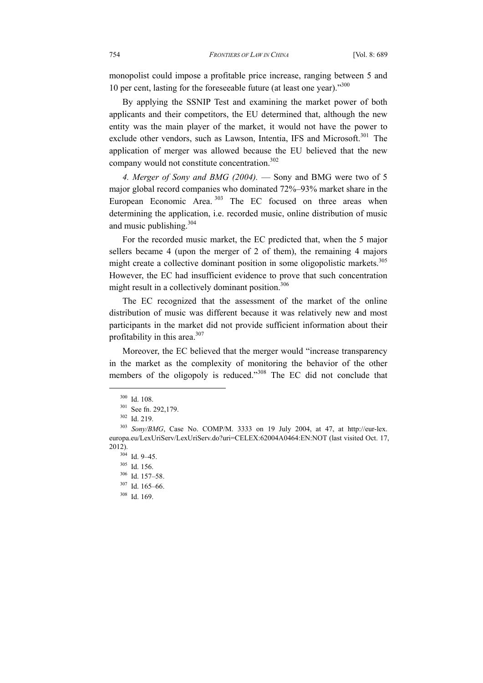monopolist could impose a profitable price increase, ranging between 5 and 10 per cent, lasting for the foreseeable future (at least one year). $10^3$ 

By applying the SSNIP Test and examining the market power of both applicants and their competitors, the EU determined that, although the new entity was the main player of the market, it would not have the power to exclude other vendors, such as Lawson, Intentia. IFS and Microsoft.<sup>301</sup> The application of merger was allowed because the EU believed that the new company would not constitute concentration.302

*4. Merger of Sony and BMG (2004).* — Sony and BMG were two of 5 major global record companies who dominated 72%–93% market share in the European Economic Area.  $303$  The EC focused on three areas when determining the application, i.e. recorded music, online distribution of music and music publishing.<sup>304</sup>

For the recorded music market, the EC predicted that, when the 5 major sellers became 4 (upon the merger of 2 of them), the remaining 4 majors might create a collective dominant position in some oligopolistic markets.<sup>305</sup> However, the EC had insufficient evidence to prove that such concentration might result in a collectively dominant position.<sup>306</sup>

The EC recognized that the assessment of the market of the online distribution of music was different because it was relatively new and most participants in the market did not provide sufficient information about their profitability in this area. $307$ 

Moreover, the EC believed that the merger would "increase transparency in the market as the complexity of monitoring the behavior of the other members of the oligopoly is reduced."<sup>308</sup> The EC did not conclude that

<sup>&</sup>lt;sup>301</sup> See fn. 292,179.<br><sup>302</sup> Id. 219.<br><sup>302</sup> Id. 219.<br><sup>303</sup> *Sony/BMG*, Case No. COMP/M. 3333 on 19 July 2004, at 47, at http://eur-lex. europa.eu/LexUriServ/LexUriServ.do?uri=CELEX:62004A0464:EN:NOT (last visited Oct. 17, 2012).<br>
<sup>304</sup> Id. 9–45.<br>
<sup>305</sup> Id. 156.<br>
<sup>306</sup> Id. 157–58.<br>
<sup>307</sup> Id. 165–66.<br>
<sup>308</sup> Id. 169.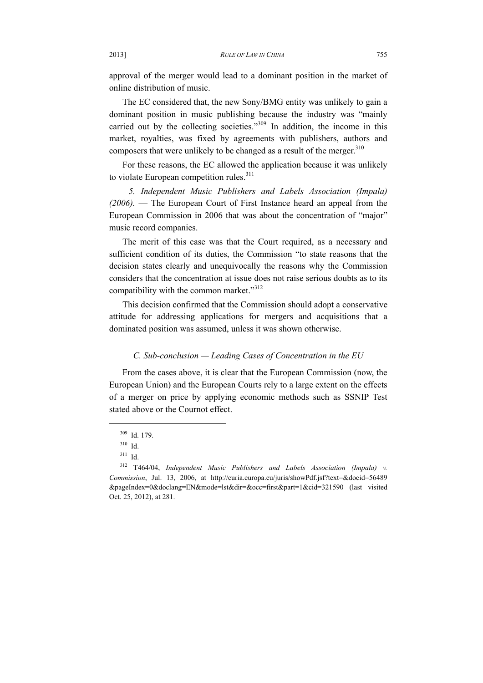approval of the merger would lead to a dominant position in the market of online distribution of music.

The EC considered that, the new Sony/BMG entity was unlikely to gain a dominant position in music publishing because the industry was "mainly carried out by the collecting societies."<sup>309</sup> In addition, the income in this market, royalties, was fixed by agreements with publishers, authors and composers that were unlikely to be changed as a result of the merger.  $310$ 

For these reasons, the EC allowed the application because it was unlikely to violate European competition rules.<sup>311</sup>

 *5. Independent Music Publishers and Labels Association (Impala) (2006).* — The European Court of First Instance heard an appeal from the European Commission in 2006 that was about the concentration of "major" music record companies.

The merit of this case was that the Court required, as a necessary and sufficient condition of its duties, the Commission "to state reasons that the decision states clearly and unequivocally the reasons why the Commission considers that the concentration at issue does not raise serious doubts as to its compatibility with the common market."<sup>312</sup>

This decision confirmed that the Commission should adopt a conservative attitude for addressing applications for mergers and acquisitions that a dominated position was assumed, unless it was shown otherwise.

## *C. Sub-conclusion — Leading Cases of Concentration in the EU*

From the cases above, it is clear that the European Commission (now, the European Union) and the European Courts rely to a large extent on the effects of a merger on price by applying economic methods such as SSNIP Test stated above or the Cournot effect.

<sup>309</sup> Id. 179.

<sup>310</sup> Id.

 $311$  Id.

<sup>312</sup> T464/04, *Independent Music Publishers and Labels Association (Impala) v. Commission*, Jul. 13, 2006, at http://curia.europa.eu/juris/showPdf.jsf?text=&docid=56489 &pageIndex=0&doclang=EN&mode=lst&dir=&occ=first&part=1&cid=321590 (last visited Oct. 25, 2012), at 281.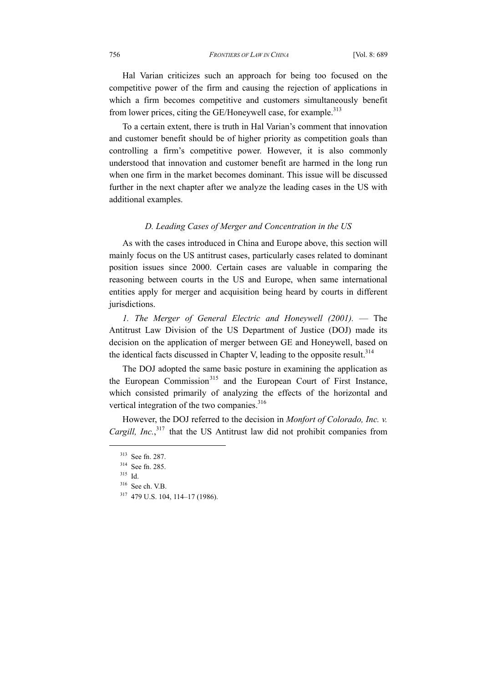Hal Varian criticizes such an approach for being too focused on the competitive power of the firm and causing the rejection of applications in which a firm becomes competitive and customers simultaneously benefit from lower prices, citing the GE/Honeywell case, for example.<sup>313</sup>

To a certain extent, there is truth in Hal Varian's comment that innovation and customer benefit should be of higher priority as competition goals than controlling a firm's competitive power. However, it is also commonly understood that innovation and customer benefit are harmed in the long run when one firm in the market becomes dominant. This issue will be discussed further in the next chapter after we analyze the leading cases in the US with additional examples.

## *D. Leading Cases of Merger and Concentration in the US*

As with the cases introduced in China and Europe above, this section will mainly focus on the US antitrust cases, particularly cases related to dominant position issues since 2000. Certain cases are valuable in comparing the reasoning between courts in the US and Europe, when same international entities apply for merger and acquisition being heard by courts in different jurisdictions.

*1. The Merger of General Electric and Honeywell (2001).* — The Antitrust Law Division of the US Department of Justice (DOJ) made its decision on the application of merger between GE and Honeywell, based on the identical facts discussed in Chapter V, leading to the opposite result.<sup>314</sup>

The DOJ adopted the same basic posture in examining the application as the European Commission<sup>315</sup> and the European Court of First Instance, which consisted primarily of analyzing the effects of the horizontal and vertical integration of the two companies.<sup>316</sup>

However, the DOJ referred to the decision in *Monfort of Colorado, Inc. v.*  Cargill, Inc.,<sup>317</sup> that the US Antitrust law did not prohibit companies from

<sup>&</sup>lt;sup>313</sup> See fn. 287.<br><sup>314</sup> See fn. 285.<br><sup>315</sup> See ch. V.B.<br><sup>317</sup> 479 U.S. 104, 114–17 (1986).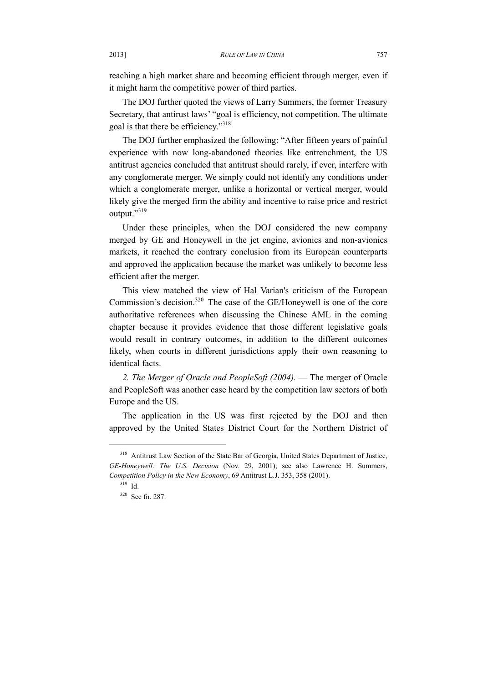reaching a high market share and becoming efficient through merger, even if it might harm the competitive power of third parties.

The DOJ further quoted the views of Larry Summers, the former Treasury Secretary, that antirust laws' "goal is efficiency, not competition. The ultimate goal is that there be efficiency."318

The DOJ further emphasized the following: "After fifteen years of painful experience with now long-abandoned theories like entrenchment, the US antitrust agencies concluded that antitrust should rarely, if ever, interfere with any conglomerate merger. We simply could not identify any conditions under which a conglomerate merger, unlike a horizontal or vertical merger, would likely give the merged firm the ability and incentive to raise price and restrict output."<sup>319</sup>

Under these principles, when the DOJ considered the new company merged by GE and Honeywell in the jet engine, avionics and non-avionics markets, it reached the contrary conclusion from its European counterparts and approved the application because the market was unlikely to become less efficient after the merger.

This view matched the view of Hal Varian's criticism of the European Commission's decision.<sup>320</sup> The case of the GE/Honeywell is one of the core authoritative references when discussing the Chinese AML in the coming chapter because it provides evidence that those different legislative goals would result in contrary outcomes, in addition to the different outcomes likely, when courts in different jurisdictions apply their own reasoning to identical facts.

2. *The Merger of Oracle and PeopleSoft (2004).* — The merger of Oracle and PeopleSoft was another case heard by the competition law sectors of both Europe and the US.

The application in the US was first rejected by the DOJ and then approved by the United States District Court for the Northern District of

<sup>318</sup> Antitrust Law Section of the State Bar of Georgia, United States Department of Justice, *GE-Honeywell: The U.S. Decision* (Nov. 29, 2001); see also Lawrence H. Summers, *Competition Policy in the New Economy*, 69 Antitrust L.J. 353, 358 (2001).

<sup>319</sup> Id.

<sup>320</sup> See fn. 287.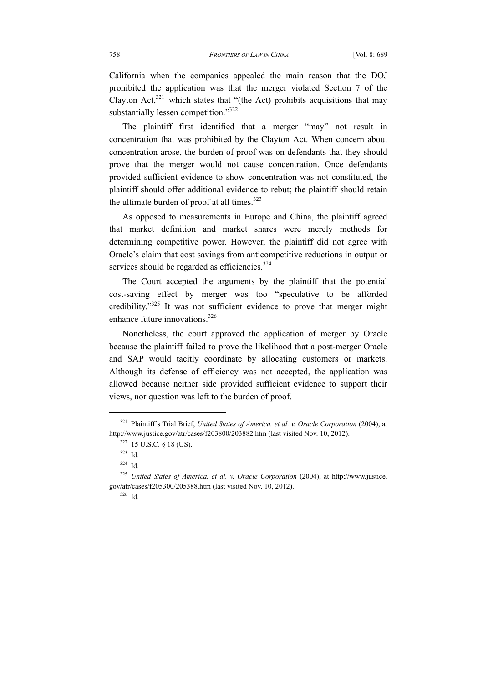California when the companies appealed the main reason that the DOJ prohibited the application was that the merger violated Section 7 of the Clayton Act, $321$  which states that "(the Act) prohibits acquisitions that may substantially lessen competition."<sup>322</sup>

The plaintiff first identified that a merger "may" not result in concentration that was prohibited by the Clayton Act. When concern about concentration arose, the burden of proof was on defendants that they should prove that the merger would not cause concentration. Once defendants provided sufficient evidence to show concentration was not constituted, the plaintiff should offer additional evidence to rebut; the plaintiff should retain the ultimate burden of proof at all times. $323$ 

As opposed to measurements in Europe and China, the plaintiff agreed that market definition and market shares were merely methods for determining competitive power. However, the plaintiff did not agree with Oracle's claim that cost savings from anticompetitive reductions in output or services should be regarded as efficiencies.<sup>324</sup>

The Court accepted the arguments by the plaintiff that the potential cost-saving effect by merger was too "speculative to be afforded credibility."325 It was not sufficient evidence to prove that merger might enhance future innovations.  $326$ 

Nonetheless, the court approved the application of merger by Oracle because the plaintiff failed to prove the likelihood that a post-merger Oracle and SAP would tacitly coordinate by allocating customers or markets. Although its defense of efficiency was not accepted, the application was allowed because neither side provided sufficient evidence to support their views, nor question was left to the burden of proof.

<sup>321</sup> Plaintiff's Trial Brief, *United States of America, et al. v. Oracle Corporation* (2004), at http://www.justice.gov/atr/cases/f203800/203882.htm (last visited Nov. 10, 2012).

<sup>322 15</sup> U.S.C. § 18 (US).

<sup>323</sup> Id.

 $324$  Id.

<sup>325</sup> *United States of America, et al. v. Oracle Corporation* (2004), at http://www.justice. gov/atr/cases/f205300/205388.htm (last visited Nov. 10, 2012).

<sup>326</sup> Id.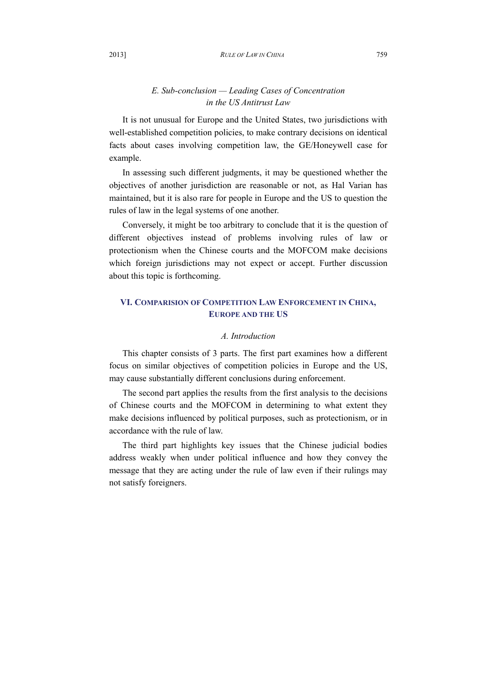# *E. Sub-conclusion — Leading Cases of Concentration in the US Antitrust Law*

It is not unusual for Europe and the United States, two jurisdictions with well-established competition policies, to make contrary decisions on identical facts about cases involving competition law, the GE/Honeywell case for example.

In assessing such different judgments, it may be questioned whether the objectives of another jurisdiction are reasonable or not, as Hal Varian has maintained, but it is also rare for people in Europe and the US to question the rules of law in the legal systems of one another.

Conversely, it might be too arbitrary to conclude that it is the question of different objectives instead of problems involving rules of law or protectionism when the Chinese courts and the MOFCOM make decisions which foreign jurisdictions may not expect or accept. Further discussion about this topic is forthcoming.

# **VI. COMPARISION OF COMPETITION LAW ENFORCEMENT IN CHINA, EUROPE AND THE US**

## *A. Introduction*

This chapter consists of 3 parts. The first part examines how a different focus on similar objectives of competition policies in Europe and the US, may cause substantially different conclusions during enforcement.

The second part applies the results from the first analysis to the decisions of Chinese courts and the MOFCOM in determining to what extent they make decisions influenced by political purposes, such as protectionism, or in accordance with the rule of law.

The third part highlights key issues that the Chinese judicial bodies address weakly when under political influence and how they convey the message that they are acting under the rule of law even if their rulings may not satisfy foreigners.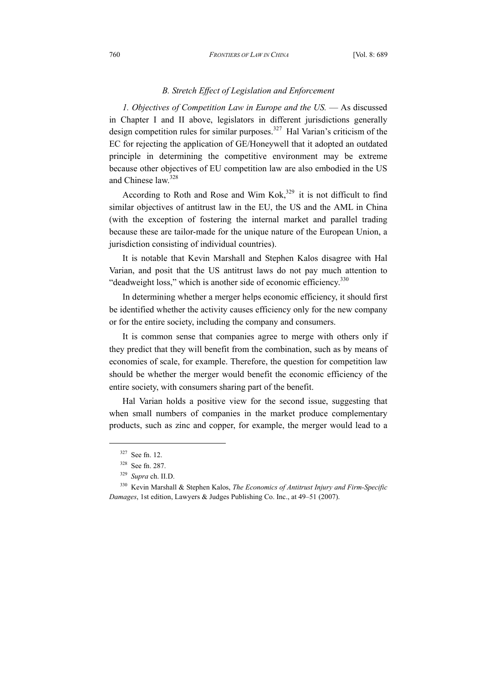## *B. Stretch Effect of Legislation and Enforcement*

*1. Objectives of Competition Law in Europe and the US.* — As discussed in Chapter I and II above, legislators in different jurisdictions generally design competition rules for similar purposes.<sup>327</sup> Hal Varian's criticism of the EC for rejecting the application of GE/Honeywell that it adopted an outdated principle in determining the competitive environment may be extreme because other objectives of EU competition law are also embodied in the US and Chinese law<sup>328</sup>

According to Roth and Rose and Wim  $Kok<sub>1</sub><sup>329</sup>$  it is not difficult to find similar objectives of antitrust law in the EU, the US and the AML in China (with the exception of fostering the internal market and parallel trading because these are tailor-made for the unique nature of the European Union, a jurisdiction consisting of individual countries).

It is notable that Kevin Marshall and Stephen Kalos disagree with Hal Varian, and posit that the US antitrust laws do not pay much attention to "deadweight loss," which is another side of economic efficiency.<sup>330</sup>

In determining whether a merger helps economic efficiency, it should first be identified whether the activity causes efficiency only for the new company or for the entire society, including the company and consumers.

It is common sense that companies agree to merge with others only if they predict that they will benefit from the combination, such as by means of economies of scale, for example. Therefore, the question for competition law should be whether the merger would benefit the economic efficiency of the entire society, with consumers sharing part of the benefit.

Hal Varian holds a positive view for the second issue, suggesting that when small numbers of companies in the market produce complementary products, such as zinc and copper, for example, the merger would lead to a

 $327$  See fn. 12.

<sup>328</sup> See fn. 287.

<sup>329</sup> *Supra* ch. II.D.

<sup>330</sup> Kevin Marshall & Stephen Kalos, *The Economics of Antitrust Injury and Firm-Specific Damages*, 1st edition, Lawyers & Judges Publishing Co. Inc., at 49–51 (2007).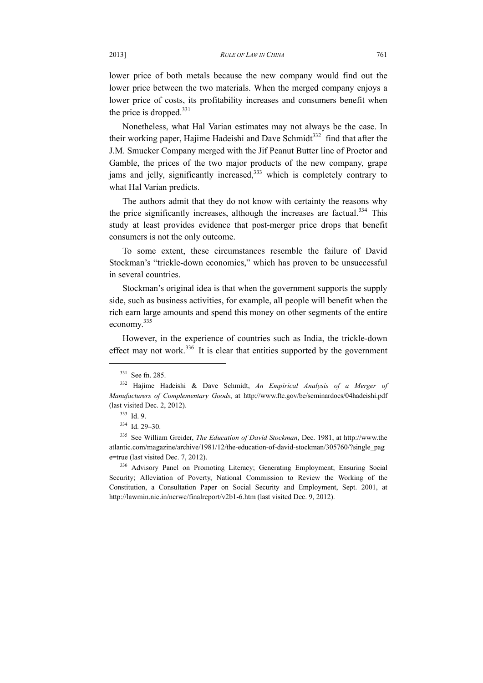lower price of both metals because the new company would find out the lower price between the two materials. When the merged company enjoys a lower price of costs, its profitability increases and consumers benefit when the price is dropped. $331$ 

Nonetheless, what Hal Varian estimates may not always be the case. In their working paper. Hajime Hadeishi and Dave Schmidt<sup>332</sup> find that after the J.M. Smucker Company merged with the Jif Peanut Butter line of Proctor and Gamble, the prices of the two major products of the new company, grape jams and jelly, significantly increased, $333$  which is completely contrary to what Hal Varian predicts.

The authors admit that they do not know with certainty the reasons why the price significantly increases, although the increases are factual.<sup>334</sup> This study at least provides evidence that post-merger price drops that benefit consumers is not the only outcome.

To some extent, these circumstances resemble the failure of David Stockman's "trickle-down economics," which has proven to be unsuccessful in several countries.

Stockman's original idea is that when the government supports the supply side, such as business activities, for example, all people will benefit when the rich earn large amounts and spend this money on other segments of the entire economy.335

However, in the experience of countries such as India, the trickle-down effect may not work.<sup>336</sup> It is clear that entities supported by the government

<sup>331</sup> See fn. 285.

<sup>332</sup> Hajime Hadeishi & Dave Schmidt, *An Empirical Analysis of a Merger of Manufacturers of Complementary Goods*, at http://www.ftc.gov/be/seminardocs/04hadeishi.pdf (last visited Dec. 2, 2012).

<sup>333</sup> Id. 9.

<sup>334</sup> Id. 29–30.

<sup>335</sup> See William Greider, *The Education of David Stockman*, Dec. 1981, at http://www.the atlantic.com/magazine/archive/1981/12/the-education-of-david-stockman/305760/?single\_pag e=true (last visited Dec. 7, 2012).

<sup>&</sup>lt;sup>336</sup> Advisory Panel on Promoting Literacy; Generating Employment; Ensuring Social Security; Alleviation of Poverty, National Commission to Review the Working of the Constitution, a Consultation Paper on Social Security and Employment, Sept. 2001, at http://lawmin.nic.in/ncrwc/finalreport/v2b1-6.htm (last visited Dec. 9, 2012).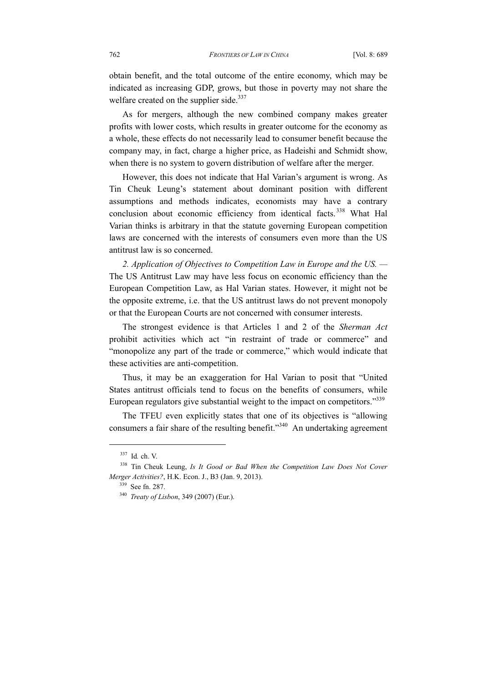obtain benefit, and the total outcome of the entire economy, which may be indicated as increasing GDP, grows, but those in poverty may not share the welfare created on the supplier side. $337$ 

As for mergers, although the new combined company makes greater profits with lower costs, which results in greater outcome for the economy as a whole, these effects do not necessarily lead to consumer benefit because the company may, in fact, charge a higher price, as Hadeishi and Schmidt show, when there is no system to govern distribution of welfare after the merger.

However, this does not indicate that Hal Varian's argument is wrong. As Tin Cheuk Leung's statement about dominant position with different assumptions and methods indicates, economists may have a contrary conclusion about economic efficiency from identical facts.<sup>338</sup> What Hal Varian thinks is arbitrary in that the statute governing European competition laws are concerned with the interests of consumers even more than the US antitrust law is so concerned.

*2. Application of Objectives to Competition Law in Europe and the US. —*  The US Antitrust Law may have less focus on economic efficiency than the European Competition Law, as Hal Varian states. However, it might not be the opposite extreme, i.e. that the US antitrust laws do not prevent monopoly or that the European Courts are not concerned with consumer interests.

The strongest evidence is that Articles 1 and 2 of the *Sherman Act* prohibit activities which act "in restraint of trade or commerce" and "monopolize any part of the trade or commerce," which would indicate that these activities are anti-competition.

Thus, it may be an exaggeration for Hal Varian to posit that "United States antitrust officials tend to focus on the benefits of consumers, while European regulators give substantial weight to the impact on competitors."339

The TFEU even explicitly states that one of its objectives is "allowing consumers a fair share of the resulting benefit."<sup>340</sup> An undertaking agreement

<u>.</u>

<sup>337</sup> Id*.* ch. V.

<sup>338</sup> Tin Cheuk Leung, *Is It Good or Bad When the Competition Law Does Not Cover Merger Activities?*, H.K. Econ. J., B3 (Jan. 9, 2013).<br><sup>339</sup> See fn. 287.<br><sup>340</sup> *Treaty of Lisbon*, 349 (2007) (Eur.).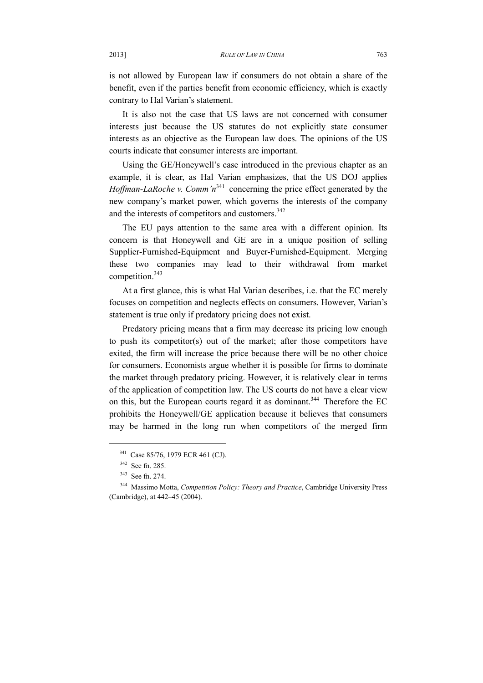is not allowed by European law if consumers do not obtain a share of the benefit, even if the parties benefit from economic efficiency, which is exactly contrary to Hal Varian's statement.

It is also not the case that US laws are not concerned with consumer interests just because the US statutes do not explicitly state consumer interests as an objective as the European law does. The opinions of the US courts indicate that consumer interests are important.

Using the GE/Honeywell's case introduced in the previous chapter as an example, it is clear, as Hal Varian emphasizes, that the US DOJ applies *Hoffman-LaRoche v. Comm'n*<sup>341</sup> concerning the price effect generated by the new company's market power, which governs the interests of the company and the interests of competitors and customers.<sup>342</sup>

The EU pays attention to the same area with a different opinion. Its concern is that Honeywell and GE are in a unique position of selling Supplier-Furnished-Equipment and Buyer-Furnished-Equipment. Merging these two companies may lead to their withdrawal from market competition.<sup>343</sup>

At a first glance, this is what Hal Varian describes, i.e. that the EC merely focuses on competition and neglects effects on consumers. However, Varian's statement is true only if predatory pricing does not exist.

Predatory pricing means that a firm may decrease its pricing low enough to push its competitor(s) out of the market; after those competitors have exited, the firm will increase the price because there will be no other choice for consumers. Economists argue whether it is possible for firms to dominate the market through predatory pricing. However, it is relatively clear in terms of the application of competition law. The US courts do not have a clear view on this, but the European courts regard it as dominant.<sup>344</sup> Therefore the EC prohibits the Honeywell/GE application because it believes that consumers may be harmed in the long run when competitors of the merged firm

 <sup>341</sup> Case 85/76, 1979 ECR 461 (CJ).

<sup>342</sup> See fn. 285.

<sup>343</sup> See fn. 274.

<sup>344</sup> Massimo Motta, *Competition Policy: Theory and Practice*, Cambridge University Press (Cambridge), at 442–45 (2004).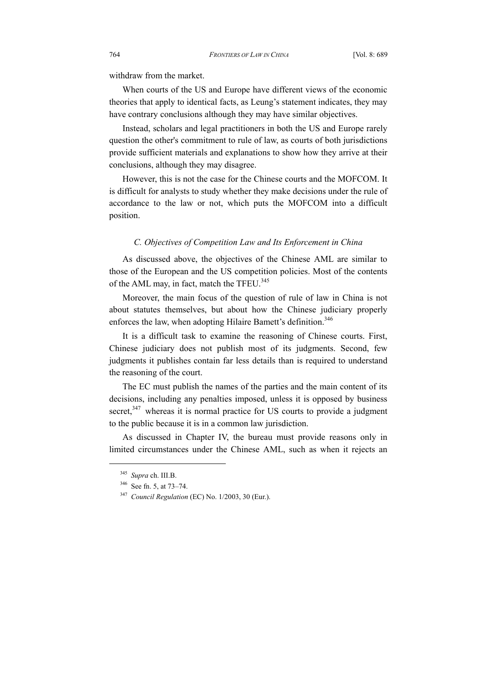withdraw from the market.

When courts of the US and Europe have different views of the economic theories that apply to identical facts, as Leung's statement indicates, they may have contrary conclusions although they may have similar objectives.

Instead, scholars and legal practitioners in both the US and Europe rarely question the other's commitment to rule of law, as courts of both jurisdictions provide sufficient materials and explanations to show how they arrive at their conclusions, although they may disagree.

However, this is not the case for the Chinese courts and the MOFCOM. It is difficult for analysts to study whether they make decisions under the rule of accordance to the law or not, which puts the MOFCOM into a difficult position.

## *C. Objectives of Competition Law and Its Enforcement in China*

As discussed above, the objectives of the Chinese AML are similar to those of the European and the US competition policies. Most of the contents of the AML may, in fact, match the TFEU.<sup>345</sup>

Moreover, the main focus of the question of rule of law in China is not about statutes themselves, but about how the Chinese judiciary properly enforces the law, when adopting Hilaire Bamett's definition.<sup>346</sup>

It is a difficult task to examine the reasoning of Chinese courts. First, Chinese judiciary does not publish most of its judgments. Second, few judgments it publishes contain far less details than is required to understand the reasoning of the court.

The EC must publish the names of the parties and the main content of its decisions, including any penalties imposed, unless it is opposed by business secret, $347$  whereas it is normal practice for US courts to provide a judgment to the public because it is in a common law jurisdiction.

As discussed in Chapter IV, the bureau must provide reasons only in limited circumstances under the Chinese AML, such as when it rejects an

<sup>345</sup> *Supra* ch. III.B.

<sup>346</sup> See fn. 5, at 73–74.

<sup>347</sup> *Council Regulation* (EC) No. 1/2003, 30 (Eur.).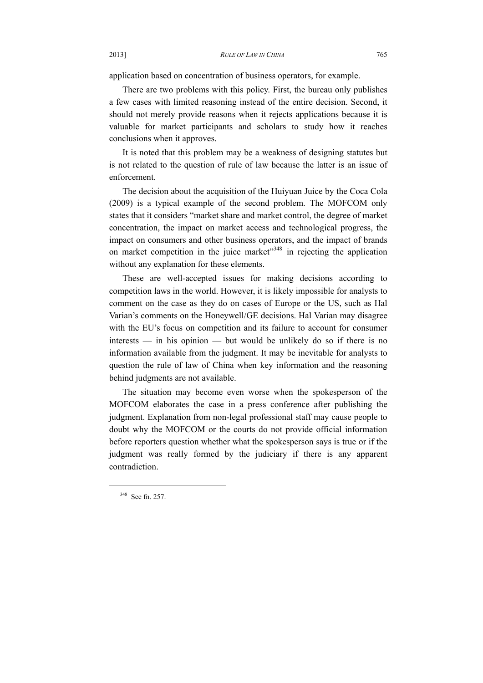application based on concentration of business operators, for example.

There are two problems with this policy. First, the bureau only publishes a few cases with limited reasoning instead of the entire decision. Second, it should not merely provide reasons when it rejects applications because it is valuable for market participants and scholars to study how it reaches conclusions when it approves.

It is noted that this problem may be a weakness of designing statutes but is not related to the question of rule of law because the latter is an issue of enforcement.

The decision about the acquisition of the Huiyuan Juice by the Coca Cola (2009) is a typical example of the second problem. The MOFCOM only states that it considers "market share and market control, the degree of market concentration, the impact on market access and technological progress, the impact on consumers and other business operators, and the impact of brands on market competition in the juice market<sup>348</sup> in rejecting the application without any explanation for these elements.

These are well-accepted issues for making decisions according to competition laws in the world. However, it is likely impossible for analysts to comment on the case as they do on cases of Europe or the US, such as Hal Varian's comments on the Honeywell/GE decisions. Hal Varian may disagree with the EU's focus on competition and its failure to account for consumer  $i$ nterests — in his opinion — but would be unlikely do so if there is no information available from the judgment. It may be inevitable for analysts to question the rule of law of China when key information and the reasoning behind judgments are not available.

The situation may become even worse when the spokesperson of the MOFCOM elaborates the case in a press conference after publishing the judgment. Explanation from non-legal professional staff may cause people to doubt why the MOFCOM or the courts do not provide official information before reporters question whether what the spokesperson says is true or if the judgment was really formed by the judiciary if there is any apparent contradiction.

<sup>348</sup> See fn. 257.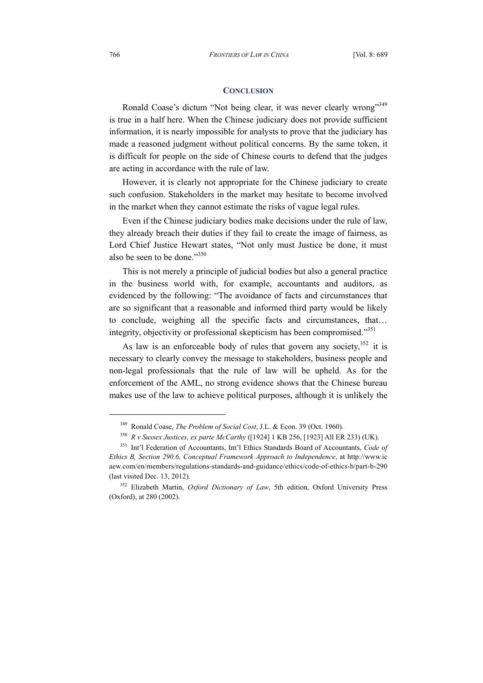## **CONCLUSION**

Ronald Coase's dictum "Not being clear, it was never clearly wrong"<sup>349</sup> is true in a half here. When the Chinese judiciary does not provide sufficient information, it is nearly impossible for analysts to prove that the judiciary has made a reasoned judgment without political concerns. By the same token, it is difficult for people on the side of Chinese courts to defend that the judges are acting in accordance with the rule of law.

However, it is clearly not appropriate for the Chinese judiciary to create such confusion. Stakeholders in the market may hesitate to become involved in the market when they cannot estimate the risks of vague legal rules.

Even if the Chinese judiciary bodies make decisions under the rule of law, they already breach their duties if they fail to create the image of fairness, as Lord Chief Justice Hewart states, "Not only must Justice be done, it must also be seen to be done."350

This is not merely a principle of judicial bodies but also a general practice in the business world with, for example, accountants and auditors, as evidenced by the following: "The avoidance of facts and circumstances that are so significant that a reasonable and informed third party would be likely to conclude, weighing all the specific facts and circumstances, that… integrity, objectivity or professional skepticism has been compromised."351

As law is an enforceable body of rules that govern any society,  $352$  it is necessary to clearly convey the message to stakeholders, business people and non-legal professionals that the rule of law will be upheld. As for the enforcement of the AML, no strong evidence shows that the Chinese bureau makes use of the law to achieve political purposes, although it is unlikely the

<sup>349</sup> Ronald Coase, *The Problem of Social Cost*, J.L. & Econ. 39 (Oct. 1960).

<sup>350</sup> *R v Sussex Justices, ex parte McCarthy* ([1924] 1 KB 256, [1923] All ER 233) (UK). 351 Int'l Federation of Accountants, Int'l Ethics Standards Board of Accountants, *Code of* 

*Ethics B, Section 290.6, Conceptual Framework Approach to Independence*, at http://www.ic aew.com/en/members/regulations-standards-and-guidance/ethics/code-of-ethics-b/part-b-290 (last visited Dec. 13, 2012).

<sup>352</sup> Elizabeth Martin, *Oxford Dictionary of Law*, 5th edition, Oxford University Press (Oxford), at 280 (2002).